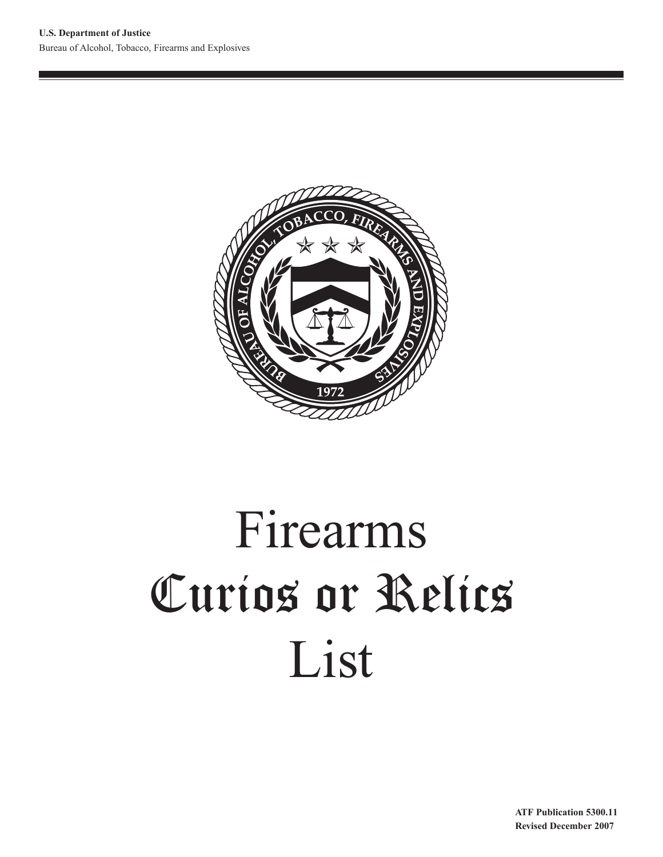

# Firearms Curios or Relics List

**ATF Publication 5300.11 Revised December 2007**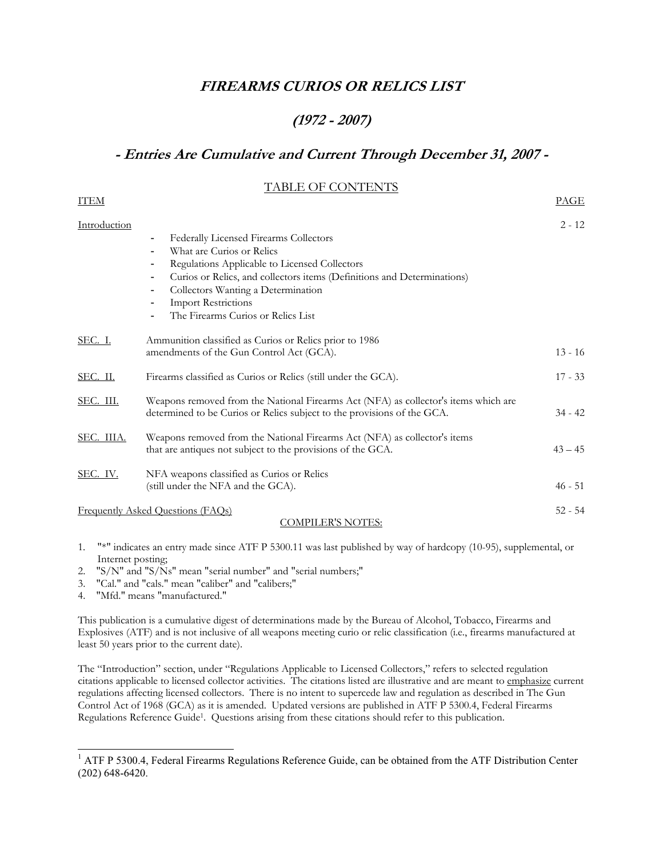# **FIREARMS CURIOS OR RELICS LIST**

# **(1972 - 2007)**

# **- Entries Are Cumulative and Current Through December 31, 2007 -**

## TABLE OF CONTENTS

| <b>ITEM</b>    |                                                                                                                                                                                                                                                                                                                               | <u>PAGE</u> |
|----------------|-------------------------------------------------------------------------------------------------------------------------------------------------------------------------------------------------------------------------------------------------------------------------------------------------------------------------------|-------------|
| Introduction   | Federally Licensed Firearms Collectors<br>۰<br>What are Curios or Relics<br>Regulations Applicable to Licensed Collectors<br>٠<br>Curios or Relics, and collectors items (Definitions and Determinations)<br>۰<br>Collectors Wanting a Determination<br>۰<br><b>Import Restrictions</b><br>The Firearms Curios or Relics List | $2 - 12$    |
| <u>SEC. I.</u> | Ammunition classified as Curios or Relics prior to 1986<br>amendments of the Gun Control Act (GCA).                                                                                                                                                                                                                           | $13 - 16$   |
| SEC. II.       | Firearms classified as Curios or Relics (still under the GCA).                                                                                                                                                                                                                                                                | $17 - 33$   |
| SEC. III.      | Weapons removed from the National Firearms Act (NFA) as collector's items which are<br>determined to be Curios or Relics subject to the provisions of the GCA.                                                                                                                                                                | $34 - 42$   |
| SEC. IIIA.     | Weapons removed from the National Firearms Act (NFA) as collector's items<br>that are antiques not subject to the provisions of the GCA.                                                                                                                                                                                      | $43 - 45$   |
| SEC. IV.       | NFA weapons classified as Curios or Relics<br>(still under the NFA and the GCA).                                                                                                                                                                                                                                              | $46 - 51$   |
|                | <b>Frequently Asked Questions (FAQs)</b><br><u>COMPILER'S NOTES:</u>                                                                                                                                                                                                                                                          | $52 - 54$   |

- 1. "\*" indicates an entry made since ATF P 5300.11 was last published by way of hardcopy (10-95), supplemental, or Internet posting;
- 2. "S/N" and "S/Ns" mean "serial number" and "serial numbers;"
- 3. "Cal." and "cals." mean "caliber" and "calibers;"
- 4. "Mfd." means "manufactured."

-

This publication is a cumulative digest of determinations made by the Bureau of Alcohol, Tobacco, Firearms and Explosives (ATF) and is not inclusive of all weapons meeting curio or relic classification (i.e., firearms manufactured at least 50 years prior to the current date).

The "Introduction" section, under "Regulations Applicable to Licensed Collectors," refers to selected regulation citations applicable to licensed collector activities. The citations listed are illustrative and are meant to emphasize current regulations affecting licensed collectors. There is no intent to supercede law and regulation as described in The Gun Control Act of 1968 (GCA) as it is amended. Updated versions are published in ATF P 5300.4, Federal Firearms Regulations Reference Guid[e1.](#page-1-0) Questions arising from these citations should refer to this publication.

<span id="page-1-0"></span><sup>&</sup>lt;sup>1</sup> ATF P 5300.4, Federal Firearms Regulations Reference Guide, can be obtained from the ATF Distribution Center (202) 648-6420.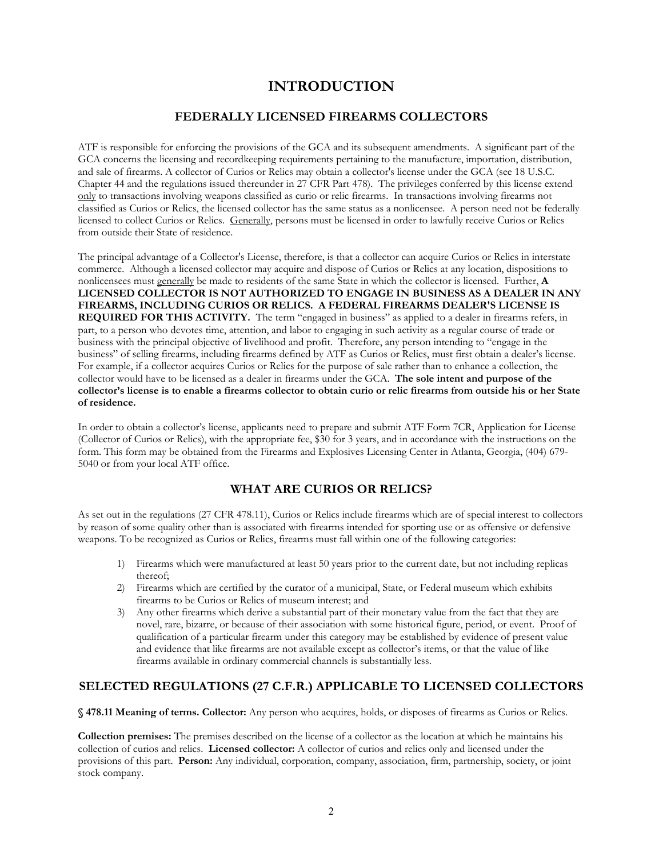# **INTRODUCTION**

## **FEDERALLY LICENSED FIREARMS COLLECTORS**

ATF is responsible for enforcing the provisions of the GCA and its subsequent amendments. A significant part of the GCA concerns the licensing and recordkeeping requirements pertaining to the manufacture, importation, distribution, and sale of firearms. A collector of Curios or Relics may obtain a collector's license under the GCA (see 18 U.S.C. Chapter 44 and the regulations issued thereunder in 27 CFR Part 478). The privileges conferred by this license extend only to transactions involving weapons classified as curio or relic firearms. In transactions involving firearms not classified as Curios or Relics, the licensed collector has the same status as a nonlicensee. A person need not be federally licensed to collect Curios or Relics. Generally, persons must be licensed in order to lawfully receive Curios or Relics from outside their State of residence.

The principal advantage of a Collector's License, therefore, is that a collector can acquire Curios or Relics in interstate commerce. Although a licensed collector may acquire and dispose of Curios or Relics at any location, dispositions to nonlicensees must generally be made to residents of the same State in which the collector is licensed. Further, **A LICENSED COLLECTOR IS NOT AUTHORIZED TO ENGAGE IN BUSINESS AS A DEALER IN ANY FIREARMS, INCLUDING CURIOS OR RELICS. A FEDERAL FIREARMS DEALER'S LICENSE IS REQUIRED FOR THIS ACTIVITY.** The term "engaged in business" as applied to a dealer in firearms refers, in part, to a person who devotes time, attention, and labor to engaging in such activity as a regular course of trade or business with the principal objective of livelihood and profit. Therefore, any person intending to "engage in the business" of selling firearms, including firearms defined by ATF as Curios or Relics, must first obtain a dealer's license. For example, if a collector acquires Curios or Relics for the purpose of sale rather than to enhance a collection, the collector would have to be licensed as a dealer in firearms under the GCA. **The sole intent and purpose of the collector's license is to enable a firearms collector to obtain curio or relic firearms from outside his or her State of residence.**

In order to obtain a collector's license, applicants need to prepare and submit ATF Form 7CR, Application for License (Collector of Curios or Relics), with the appropriate fee, \$30 for 3 years, and in accordance with the instructions on the form. This form may be obtained from the Firearms and Explosives Licensing Center in Atlanta, Georgia, (404) 679- 5040 or from your local ATF office.

## **WHAT ARE CURIOS OR RELICS?**

As set out in the regulations (27 CFR 478.11), Curios or Relics include firearms which are of special interest to collectors by reason of some quality other than is associated with firearms intended for sporting use or as offensive or defensive weapons. To be recognized as Curios or Relics, firearms must fall within one of the following categories:

- 1) Firearms which were manufactured at least 50 years prior to the current date, but not including replicas thereof;
- 2) Firearms which are certified by the curator of a municipal, State, or Federal museum which exhibits firearms to be Curios or Relics of museum interest; and
- 3) Any other firearms which derive a substantial part of their monetary value from the fact that they are novel, rare, bizarre, or because of their association with some historical figure, period, or event. Proof of qualification of a particular firearm under this category may be established by evidence of present value and evidence that like firearms are not available except as collector's items, or that the value of like firearms available in ordinary commercial channels is substantially less.

## **SELECTED REGULATIONS (27 C.F.R.) APPLICABLE TO LICENSED COLLECTORS**

**§ 478.11 Meaning of terms. Collector:** Any person who acquires, holds, or disposes of firearms as Curios or Relics.

**Collection premises:** The premises described on the license of a collector as the location at which he maintains his collection of curios and relics. **Licensed collector:** A collector of curios and relics only and licensed under the provisions of this part. **Person:** Any individual, corporation, company, association, firm, partnership, society, or joint stock company.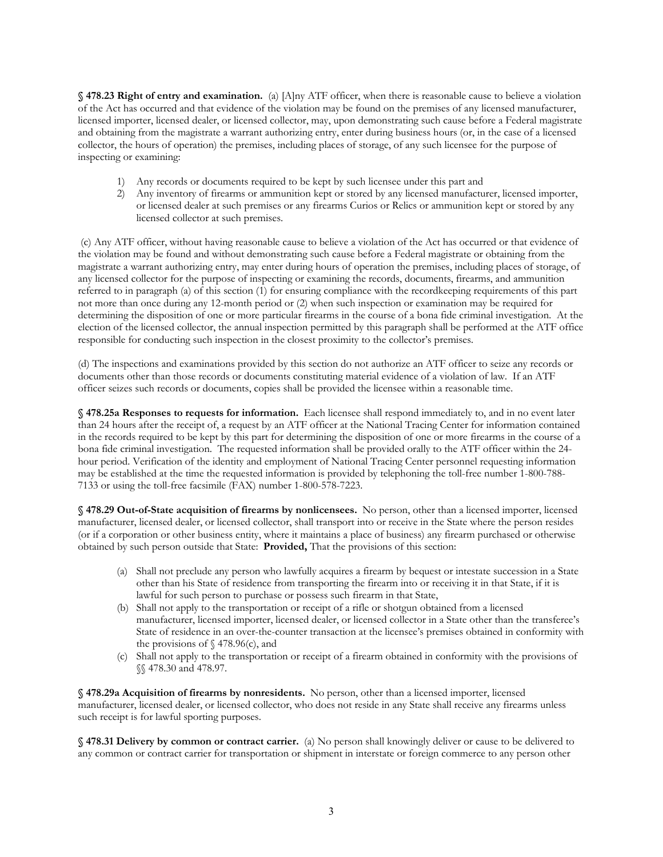**§ 478.23 Right of entry and examination.** (a) [A]ny ATF officer, when there is reasonable cause to believe a violation of the Act has occurred and that evidence of the violation may be found on the premises of any licensed manufacturer, licensed importer, licensed dealer, or licensed collector, may, upon demonstrating such cause before a Federal magistrate and obtaining from the magistrate a warrant authorizing entry, enter during business hours (or, in the case of a licensed collector, the hours of operation) the premises, including places of storage, of any such licensee for the purpose of inspecting or examining:

- 1) Any records or documents required to be kept by such licensee under this part and
- 2) Any inventory of firearms or ammunition kept or stored by any licensed manufacturer, licensed importer, or licensed dealer at such premises or any firearms Curios or Relics or ammunition kept or stored by any licensed collector at such premises.

 (c) Any ATF officer, without having reasonable cause to believe a violation of the Act has occurred or that evidence of the violation may be found and without demonstrating such cause before a Federal magistrate or obtaining from the magistrate a warrant authorizing entry, may enter during hours of operation the premises, including places of storage, of any licensed collector for the purpose of inspecting or examining the records, documents, firearms, and ammunition referred to in paragraph (a) of this section (1) for ensuring compliance with the recordkeeping requirements of this part not more than once during any 12-month period or (2) when such inspection or examination may be required for determining the disposition of one or more particular firearms in the course of a bona fide criminal investigation. At the election of the licensed collector, the annual inspection permitted by this paragraph shall be performed at the ATF office responsible for conducting such inspection in the closest proximity to the collector's premises.

(d) The inspections and examinations provided by this section do not authorize an ATF officer to seize any records or documents other than those records or documents constituting material evidence of a violation of law. If an ATF officer seizes such records or documents, copies shall be provided the licensee within a reasonable time.

**§ 478.25a Responses to requests for information.** Each licensee shall respond immediately to, and in no event later than 24 hours after the receipt of, a request by an ATF officer at the National Tracing Center for information contained in the records required to be kept by this part for determining the disposition of one or more firearms in the course of a bona fide criminal investigation. The requested information shall be provided orally to the ATF officer within the 24 hour period. Verification of the identity and employment of National Tracing Center personnel requesting information may be established at the time the requested information is provided by telephoning the toll-free number 1-800-788- 7133 or using the toll-free facsimile (FAX) number 1-800-578-7223.

**§ 478.29 Out-of-State acquisition of firearms by nonlicensees.** No person, other than a licensed importer, licensed manufacturer, licensed dealer, or licensed collector, shall transport into or receive in the State where the person resides (or if a corporation or other business entity, where it maintains a place of business) any firearm purchased or otherwise obtained by such person outside that State: **Provided,** That the provisions of this section:

- (a) Shall not preclude any person who lawfully acquires a firearm by bequest or intestate succession in a State other than his State of residence from transporting the firearm into or receiving it in that State, if it is lawful for such person to purchase or possess such firearm in that State,
- (b) Shall not apply to the transportation or receipt of a rifle or shotgun obtained from a licensed manufacturer, licensed importer, licensed dealer, or licensed collector in a State other than the transferee's State of residence in an over-the-counter transaction at the licensee's premises obtained in conformity with the provisions of  $\frac{6}{9}$  478.96(c), and
- (c) Shall not apply to the transportation or receipt of a firearm obtained in conformity with the provisions of §§ 478.30 and 478.97.

**§ 478.29a Acquisition of firearms by nonresidents.** No person, other than a licensed importer, licensed manufacturer, licensed dealer, or licensed collector, who does not reside in any State shall receive any firearms unless such receipt is for lawful sporting purposes.

**§ 478.31 Delivery by common or contract carrier.** (a) No person shall knowingly deliver or cause to be delivered to any common or contract carrier for transportation or shipment in interstate or foreign commerce to any person other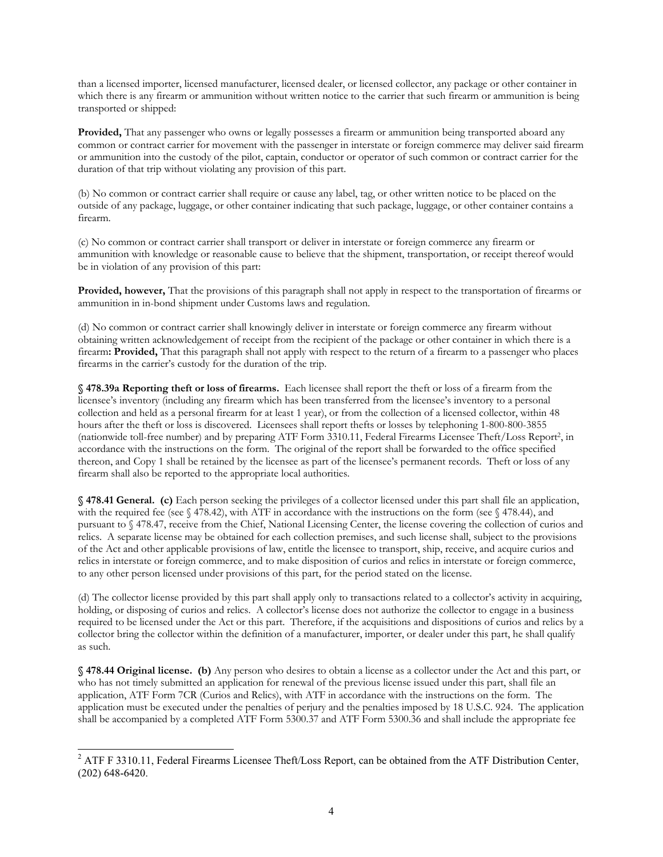than a licensed importer, licensed manufacturer, licensed dealer, or licensed collector, any package or other container in which there is any firearm or ammunition without written notice to the carrier that such firearm or ammunition is being transported or shipped:

Provided, That any passenger who owns or legally possesses a firearm or ammunition being transported aboard any common or contract carrier for movement with the passenger in interstate or foreign commerce may deliver said firearm or ammunition into the custody of the pilot, captain, conductor or operator of such common or contract carrier for the duration of that trip without violating any provision of this part.

(b) No common or contract carrier shall require or cause any label, tag, or other written notice to be placed on the outside of any package, luggage, or other container indicating that such package, luggage, or other container contains a firearm.

(c) No common or contract carrier shall transport or deliver in interstate or foreign commerce any firearm or ammunition with knowledge or reasonable cause to believe that the shipment, transportation, or receipt thereof would be in violation of any provision of this part:

**Provided, however,** That the provisions of this paragraph shall not apply in respect to the transportation of firearms or ammunition in in-bond shipment under Customs laws and regulation.

(d) No common or contract carrier shall knowingly deliver in interstate or foreign commerce any firearm without obtaining written acknowledgement of receipt from the recipient of the package or other container in which there is a firearm**: Provided,** That this paragraph shall not apply with respect to the return of a firearm to a passenger who places firearms in the carrier's custody for the duration of the trip.

**§ 478.39a Reporting theft or loss of firearms.** Each licensee shall report the theft or loss of a firearm from the licensee's inventory (including any firearm which has been transferred from the licensee's inventory to a personal collection and held as a personal firearm for at least 1 year), or from the collection of a licensed collector, within 48 hours after the theft or loss is discovered. Licensees shall report thefts or losses by telephoning 1-800-800-3855 (nationwide toll-free number) and by preparing ATF Form 3310.11, Federal Firearms Licensee Theft/Loss Repor[t2,](#page-4-0) in accordance with the instructions on the form. The original of the report shall be forwarded to the office specified thereon, and Copy 1 shall be retained by the licensee as part of the licensee's permanent records. Theft or loss of any firearm shall also be reported to the appropriate local authorities.

**§ 478.41 General. (c)** Each person seeking the privileges of a collector licensed under this part shall file an application, with the required fee (see  $\S$  478.42), with ATF in accordance with the instructions on the form (see  $\S$  478.44), and pursuant to § 478.47, receive from the Chief, National Licensing Center, the license covering the collection of curios and relics. A separate license may be obtained for each collection premises, and such license shall, subject to the provisions of the Act and other applicable provisions of law, entitle the licensee to transport, ship, receive, and acquire curios and relics in interstate or foreign commerce, and to make disposition of curios and relics in interstate or foreign commerce, to any other person licensed under provisions of this part, for the period stated on the license.

(d) The collector license provided by this part shall apply only to transactions related to a collector's activity in acquiring, holding, or disposing of curios and relics. A collector's license does not authorize the collector to engage in a business required to be licensed under the Act or this part. Therefore, if the acquisitions and dispositions of curios and relics by a collector bring the collector within the definition of a manufacturer, importer, or dealer under this part, he shall qualify as such.

**§ 478.44 Original license. (b)** Any person who desires to obtain a license as a collector under the Act and this part, or who has not timely submitted an application for renewal of the previous license issued under this part, shall file an application, ATF Form 7CR (Curios and Relics), with ATF in accordance with the instructions on the form. The application must be executed under the penalties of perjury and the penalties imposed by 18 U.S.C. 924. The application shall be accompanied by a completed ATF Form 5300.37 and ATF Form 5300.36 and shall include the appropriate fee

 $\overline{a}$ 

<span id="page-4-0"></span> $2$  ATF F 3310.11, Federal Firearms Licensee Theft/Loss Report, can be obtained from the ATF Distribution Center, (202) 648-6420.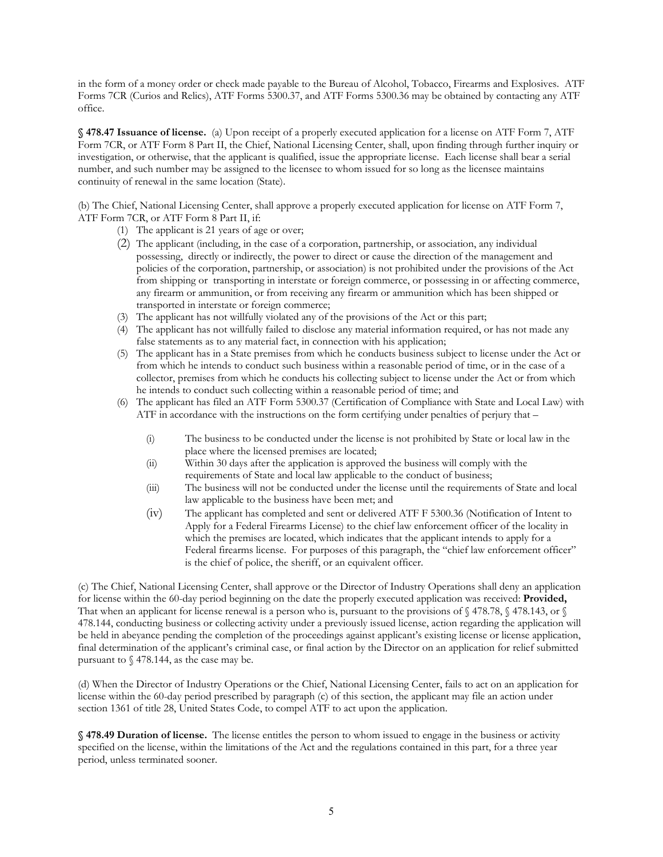in the form of a money order or check made payable to the Bureau of Alcohol, Tobacco, Firearms and Explosives. ATF Forms 7CR (Curios and Relics), ATF Forms 5300.37, and ATF Forms 5300.36 may be obtained by contacting any ATF office.

**§ 478.47 Issuance of license.** (a) Upon receipt of a properly executed application for a license on ATF Form 7, ATF Form 7CR, or ATF Form 8 Part II, the Chief, National Licensing Center, shall, upon finding through further inquiry or investigation, or otherwise, that the applicant is qualified, issue the appropriate license. Each license shall bear a serial number, and such number may be assigned to the licensee to whom issued for so long as the licensee maintains continuity of renewal in the same location (State).

(b) The Chief, National Licensing Center, shall approve a properly executed application for license on ATF Form 7, ATF Form 7CR, or ATF Form 8 Part II, if:

- (1) The applicant is 21 years of age or over;
- (2) The applicant (including, in the case of a corporation, partnership, or association, any individual possessing, directly or indirectly, the power to direct or cause the direction of the management and policies of the corporation, partnership, or association) is not prohibited under the provisions of the Act from shipping or transporting in interstate or foreign commerce, or possessing in or affecting commerce, any firearm or ammunition, or from receiving any firearm or ammunition which has been shipped or transported in interstate or foreign commerce;
- (3) The applicant has not willfully violated any of the provisions of the Act or this part;
- (4) The applicant has not willfully failed to disclose any material information required, or has not made any false statements as to any material fact, in connection with his application;
- (5) The applicant has in a State premises from which he conducts business subject to license under the Act or from which he intends to conduct such business within a reasonable period of time, or in the case of a collector, premises from which he conducts his collecting subject to license under the Act or from which he intends to conduct such collecting within a reasonable period of time; and
- (6) The applicant has filed an ATF Form 5300.37 (Certification of Compliance with State and Local Law) with ATF in accordance with the instructions on the form certifying under penalties of perjury that –
	- (i) The business to be conducted under the license is not prohibited by State or local law in the place where the licensed premises are located;
	- (ii) Within 30 days after the application is approved the business will comply with the requirements of State and local law applicable to the conduct of business;
	- (iii) The business will not be conducted under the license until the requirements of State and local law applicable to the business have been met; and
	- (iv) The applicant has completed and sent or delivered ATF F 5300.36 (Notification of Intent to Apply for a Federal Firearms License) to the chief law enforcement officer of the locality in which the premises are located, which indicates that the applicant intends to apply for a Federal firearms license. For purposes of this paragraph, the "chief law enforcement officer" is the chief of police, the sheriff, or an equivalent officer.

(c) The Chief, National Licensing Center, shall approve or the Director of Industry Operations shall deny an application for license within the 60-day period beginning on the date the properly executed application was received: **Provided,** That when an applicant for license renewal is a person who is, pursuant to the provisions of §478.78, §478.143, or § 478.144, conducting business or collecting activity under a previously issued license, action regarding the application will be held in abeyance pending the completion of the proceedings against applicant's existing license or license application, final determination of the applicant's criminal case, or final action by the Director on an application for relief submitted pursuant to § 478.144, as the case may be.

(d) When the Director of Industry Operations or the Chief, National Licensing Center, fails to act on an application for license within the 60-day period prescribed by paragraph (c) of this section, the applicant may file an action under section 1361 of title 28, United States Code, to compel ATF to act upon the application.

**§ 478.49 Duration of license.** The license entitles the person to whom issued to engage in the business or activity specified on the license, within the limitations of the Act and the regulations contained in this part, for a three year period, unless terminated sooner.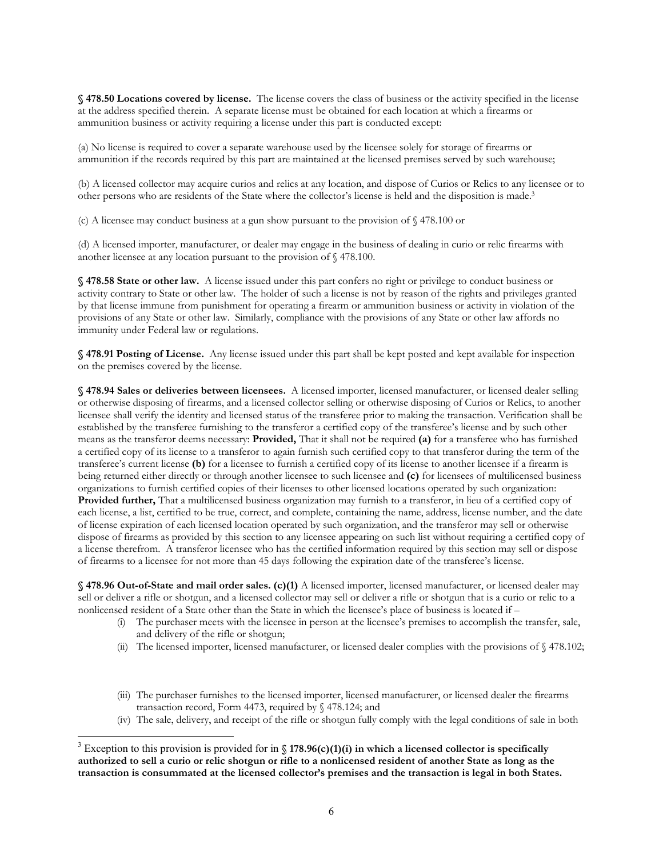**§ 478.50 Locations covered by license.** The license covers the class of business or the activity specified in the license at the address specified therein. A separate license must be obtained for each location at which a firearms or ammunition business or activity requiring a license under this part is conducted except:

(a) No license is required to cover a separate warehouse used by the licensee solely for storage of firearms or ammunition if the records required by this part are maintained at the licensed premises served by such warehouse;

(b) A licensed collector may acquire curios and relics at any location, and dispose of Curios or Relics to any licensee or to other persons who are residents of the State where the collector's license is held and the disposition is made[.3](#page-6-0)

(c) A licensee may conduct business at a gun show pursuant to the provision of § 478.100 or

(d) A licensed importer, manufacturer, or dealer may engage in the business of dealing in curio or relic firearms with another licensee at any location pursuant to the provision of § 478.100.

**§ 478.58 State or other law.** A license issued under this part confers no right or privilege to conduct business or activity contrary to State or other law. The holder of such a license is not by reason of the rights and privileges granted by that license immune from punishment for operating a firearm or ammunition business or activity in violation of the provisions of any State or other law. Similarly, compliance with the provisions of any State or other law affords no immunity under Federal law or regulations.

**§ 478.91 Posting of License.** Any license issued under this part shall be kept posted and kept available for inspection on the premises covered by the license.

**§ 478.94 Sales or deliveries between licensees.** A licensed importer, licensed manufacturer, or licensed dealer selling or otherwise disposing of firearms, and a licensed collector selling or otherwise disposing of Curios or Relics, to another licensee shall verify the identity and licensed status of the transferee prior to making the transaction. Verification shall be established by the transferee furnishing to the transferor a certified copy of the transferee's license and by such other means as the transferor deems necessary: **Provided,** That it shall not be required **(a)** for a transferee who has furnished a certified copy of its license to a transferor to again furnish such certified copy to that transferor during the term of the transferee's current license **(b)** for a licensee to furnish a certified copy of its license to another licensee if a firearm is being returned either directly or through another licensee to such licensee and **(c)** for licensees of multilicensed business organizations to furnish certified copies of their licenses to other licensed locations operated by such organization: **Provided further,** That a multilicensed business organization may furnish to a transferor, in lieu of a certified copy of each license, a list, certified to be true, correct, and complete, containing the name, address, license number, and the date of license expiration of each licensed location operated by such organization, and the transferor may sell or otherwise dispose of firearms as provided by this section to any licensee appearing on such list without requiring a certified copy of a license therefrom. A transferor licensee who has the certified information required by this section may sell or dispose of firearms to a licensee for not more than 45 days following the expiration date of the transferee's license.

**§ 478.96 Out-of-State and mail order sales. (c)(1)** A licensed importer, licensed manufacturer, or licensed dealer may sell or deliver a rifle or shotgun, and a licensed collector may sell or deliver a rifle or shotgun that is a curio or relic to a nonlicensed resident of a State other than the State in which the licensee's place of business is located if –

- (i) The purchaser meets with the licensee in person at the licensee's premises to accomplish the transfer, sale, and delivery of the rifle or shotgun;
- (ii) The licensed importer, licensed manufacturer, or licensed dealer complies with the provisions of § 478.102;
- (iii) The purchaser furnishes to the licensed importer, licensed manufacturer, or licensed dealer the firearms transaction record, Form 4473, required by § 478.124; and
- (iv) The sale, delivery, and receipt of the rifle or shotgun fully comply with the legal conditions of sale in both

 $\overline{a}$ 

<span id="page-6-0"></span><sup>&</sup>lt;sup>3</sup> Exception to this provision is provided for in  $\S$  178.96(c)(1)(i) in which a licensed collector is specifically **authorized to sell a curio or relic shotgun or rifle to a nonlicensed resident of another State as long as the transaction is consummated at the licensed collector's premises and the transaction is legal in both States.**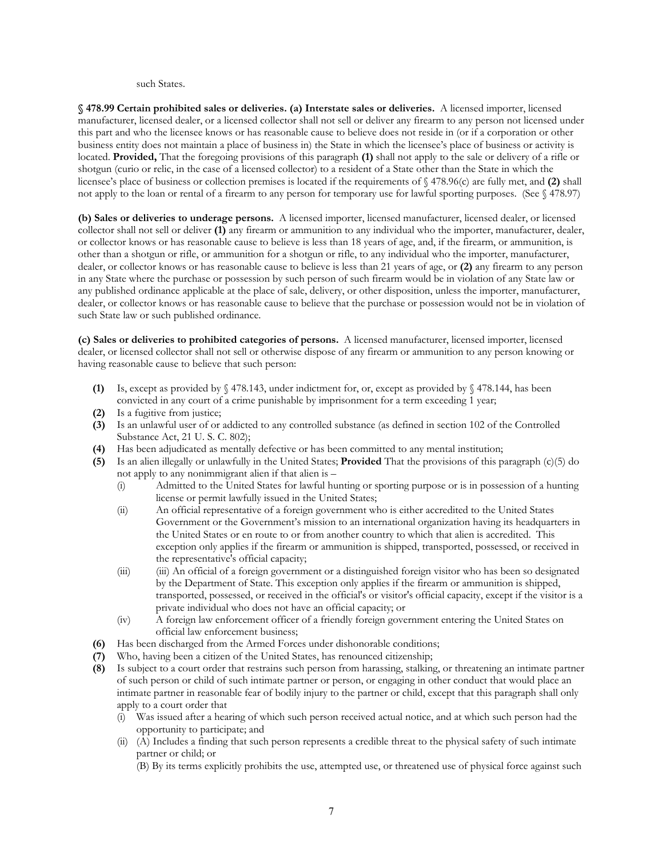such States.

**§ 478.99 Certain prohibited sales or deliveries. (a) Interstate sales or deliveries.** A licensed importer, licensed manufacturer, licensed dealer, or a licensed collector shall not sell or deliver any firearm to any person not licensed under this part and who the licensee knows or has reasonable cause to believe does not reside in (or if a corporation or other business entity does not maintain a place of business in) the State in which the licensee's place of business or activity is located. **Provided,** That the foregoing provisions of this paragraph **(1)** shall not apply to the sale or delivery of a rifle or shotgun (curio or relic, in the case of a licensed collector) to a resident of a State other than the State in which the licensee's place of business or collection premises is located if the requirements of § 478.96(c) are fully met, and **(2)** shall not apply to the loan or rental of a firearm to any person for temporary use for lawful sporting purposes. (See § 478.97)

**(b) Sales or deliveries to underage persons.** A licensed importer, licensed manufacturer, licensed dealer, or licensed collector shall not sell or deliver **(1)** any firearm or ammunition to any individual who the importer, manufacturer, dealer, or collector knows or has reasonable cause to believe is less than 18 years of age, and, if the firearm, or ammunition, is other than a shotgun or rifle, or ammunition for a shotgun or rifle, to any individual who the importer, manufacturer, dealer, or collector knows or has reasonable cause to believe is less than 21 years of age, or **(2)** any firearm to any person in any State where the purchase or possession by such person of such firearm would be in violation of any State law or any published ordinance applicable at the place of sale, delivery, or other disposition, unless the importer, manufacturer, dealer, or collector knows or has reasonable cause to believe that the purchase or possession would not be in violation of such State law or such published ordinance.

**(c) Sales or deliveries to prohibited categories of persons.** A licensed manufacturer, licensed importer, licensed dealer, or licensed collector shall not sell or otherwise dispose of any firearm or ammunition to any person knowing or having reasonable cause to believe that such person:

- **(1)** Is, except as provided by § 478.143, under indictment for, or, except as provided by § 478.144, has been convicted in any court of a crime punishable by imprisonment for a term exceeding 1 year;
- **(2)** Is a fugitive from justice;
- **(3)** Is an unlawful user of or addicted to any controlled substance (as defined in section 102 of the Controlled Substance Act, 21 U. S. C. 802);
- **(4)** Has been adjudicated as mentally defective or has been committed to any mental institution;
- **(5)** Is an alien illegally or unlawfully in the United States; **Provided** That the provisions of this paragraph (c)(5) do not apply to any nonimmigrant alien if that alien is –
	- (i) Admitted to the United States for lawful hunting or sporting purpose or is in possession of a hunting license or permit lawfully issued in the United States;
	- (ii) An official representative of a foreign government who is either accredited to the United States Government or the Government's mission to an international organization having its headquarters in the United States or en route to or from another country to which that alien is accredited. This exception only applies if the firearm or ammunition is shipped, transported, possessed, or received in the representative's official capacity;
	- (iii) (iii) An official of a foreign government or a distinguished foreign visitor who has been so designated by the Department of State. This exception only applies if the firearm or ammunition is shipped, transported, possessed, or received in the official's or visitor's official capacity, except if the visitor is a private individual who does not have an official capacity; or
	- (iv) A foreign law enforcement officer of a friendly foreign government entering the United States on official law enforcement business;
- **(6)** Has been discharged from the Armed Forces under dishonorable conditions;
- **(7)** Who, having been a citizen of the United States, has renounced citizenship;
- **(8)** Is subject to a court order that restrains such person from harassing, stalking, or threatening an intimate partner of such person or child of such intimate partner or person, or engaging in other conduct that would place an intimate partner in reasonable fear of bodily injury to the partner or child, except that this paragraph shall only apply to a court order that
	- (i) Was issued after a hearing of which such person received actual notice, and at which such person had the opportunity to participate; and
	- (ii) (A) Includes a finding that such person represents a credible threat to the physical safety of such intimate partner or child; or
		- (B) By its terms explicitly prohibits the use, attempted use, or threatened use of physical force against such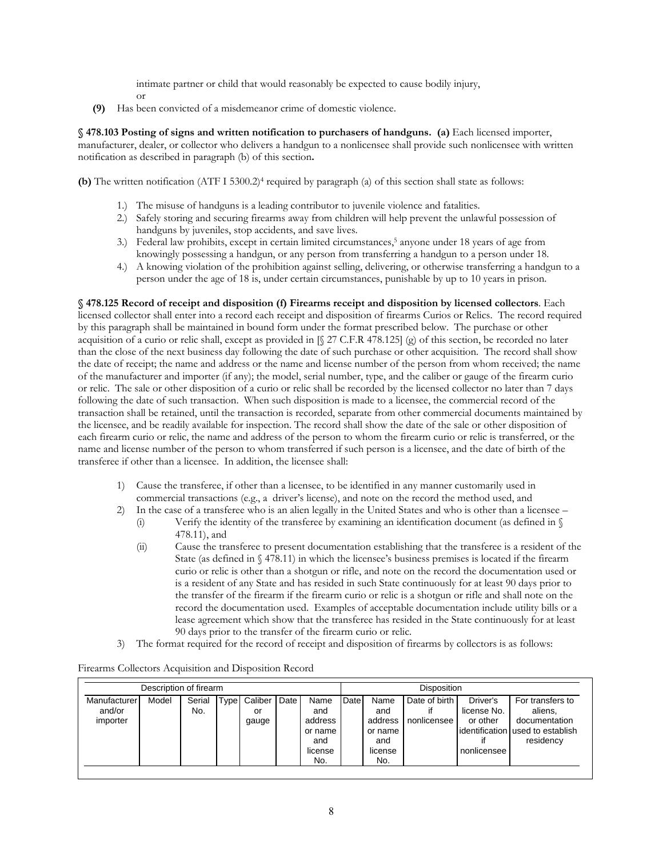intimate partner or child that would reasonably be expected to cause bodily injury,

or

**(9)** Has been convicted of a misdemeanor crime of domestic violence.

**§ 478.103 Posting of signs and written notification to purchasers of handguns. (a)** Each licensed importer, manufacturer, dealer, or collector who delivers a handgun to a nonlicensee shall provide such nonlicensee with written notification as described in paragraph (b) of this section**.** 

**(b)** The written notification (ATF I 5300.2)<sup>4</sup> required by paragraph (a) of this section shall state as follows:

- 1.) The misuse of handguns is a leading contributor to juvenile violence and fatalities.
- 2.) Safely storing and securing firearms away from children will help prevent the unlawful possession of handguns by juveniles, stop accidents, and save lives.
- 3.) Federal law prohibits, except in certain limited circumstances,<sup>5</sup> anyone under 18 years of age from knowingly possessing a handgun, or any person from transferring a handgun to a person under 18.
- 4.) A knowing violation of the prohibition against selling, delivering, or otherwise transferring a handgun to a person under the age of 18 is, under certain circumstances, punishable by up to 10 years in prison.

**§ 478.125 Record of receipt and disposition (f) Firearms receipt and disposition by licensed collectors**. Each licensed collector shall enter into a record each receipt and disposition of firearms Curios or Relics. The record required by this paragraph shall be maintained in bound form under the format prescribed below. The purchase or other acquisition of a curio or relic shall, except as provided in  $\[\$\,27 \text{ C.F.R } 478.125\]$  (g) of this section, be recorded no later than the close of the next business day following the date of such purchase or other acquisition. The record shall show the date of receipt; the name and address or the name and license number of the person from whom received; the name of the manufacturer and importer (if any); the model, serial number, type, and the caliber or gauge of the firearm curio or relic. The sale or other disposition of a curio or relic shall be recorded by the licensed collector no later than 7 days following the date of such transaction. When such disposition is made to a licensee, the commercial record of the transaction shall be retained, until the transaction is recorded, separate from other commercial documents maintained by the licensee, and be readily available for inspection. The record shall show the date of the sale or other disposition of each firearm curio or relic, the name and address of the person to whom the firearm curio or relic is transferred, or the name and license number of the person to whom transferred if such person is a licensee, and the date of birth of the transferee if other than a licensee. In addition, the licensee shall:

- 1) Cause the transferee, if other than a licensee, to be identified in any manner customarily used in commercial transactions (e.g., a driver's license), and note on the record the method used, and
- 2) In the case of a transferee who is an alien legally in the United States and who is other than a licensee
	- (i) Verify the identity of the transferee by examining an identification document (as defined in  $\mathcal{S}$ 478.11), and
	- (ii) Cause the transferee to present documentation establishing that the transferee is a resident of the State (as defined in  $\S$  478.11) in which the licensee's business premises is located if the firearm curio or relic is other than a shotgun or rifle, and note on the record the documentation used or is a resident of any State and has resided in such State continuously for at least 90 days prior to the transfer of the firearm if the firearm curio or relic is a shotgun or rifle and shall note on the record the documentation used. Examples of acceptable documentation include utility bills or a lease agreement which show that the transferee has resided in the State continuously for at least 90 days prior to the transfer of the firearm curio or relic.
- 3) The format required for the record of receipt and disposition of firearms by collectors is as follows:

<span id="page-8-1"></span><span id="page-8-0"></span>

| Description of firearm             |       |               |      |                        |      |                                                            | <b>Disposition</b> |                                                            |                              |                                                    |                                                                                                 |
|------------------------------------|-------|---------------|------|------------------------|------|------------------------------------------------------------|--------------------|------------------------------------------------------------|------------------------------|----------------------------------------------------|-------------------------------------------------------------------------------------------------|
| Manufacturer<br>and/or<br>importer | Model | Serial<br>No. | Type | Caliber<br>or<br>gauge | Date | Name<br>and<br>address<br>or name<br>and<br>license<br>No. | Date               | Name<br>and<br>address<br>or name<br>and<br>license<br>No. | Date of birth<br>nonlicensee | Driver's<br>license No.<br>or other<br>nonlicensee | For transfers to<br>aliens,<br>documentation<br>lidentification lused to establish<br>residency |

## Firearms Collectors Acquisition and Disposition Record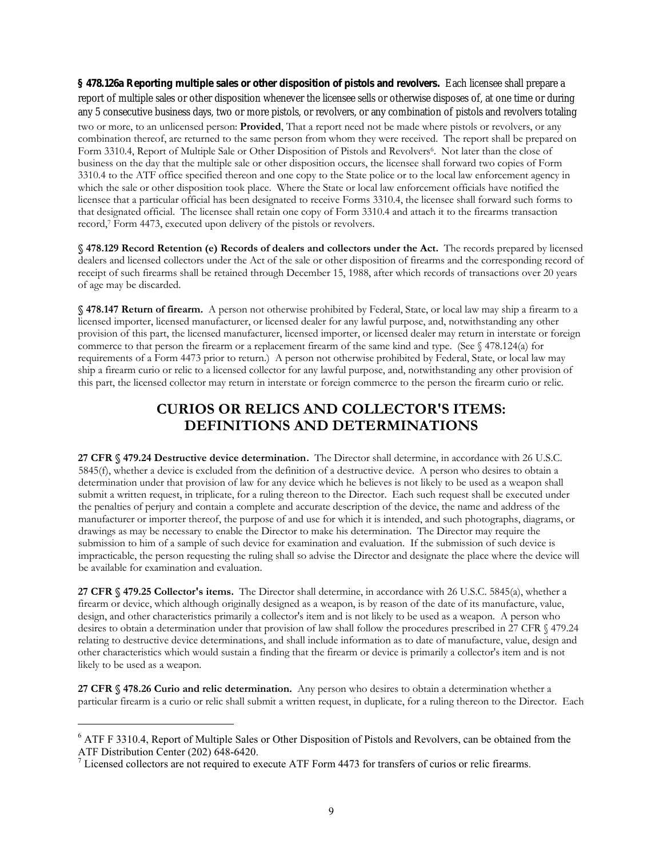**§ 478.126a Reporting multiple sales or other disposition of pistols and revolvers.** Each licensee shall prepare a report of multiple sales or other disposition whenever the licensee sells or otherwise disposes of, at one time or during any 5 consecutive business days, two or more pistols, or revolvers, or any combinati[on](#page-9-0) of pistols and revolvers totaling two or more, to an unlicensed person: **Provided**, That a report need not be made where pistols or revolvers, or any combination thereof, are returned to the same person from whom they were received. The report shall be prepared on Form 3310.4, Report of Multiple Sale or Other Disposition of Pistols and Revolvers<sup>6</sup>. Not later than the close of business on the day that the multiple sale or other disposition occurs, the licensee shall forward two copies of Form 3310.4 [to](#page-9-1) the ATF office specified thereon and one copy to the State police or to the local law enforcement agency in which the sale or other disposition took place. Where the State or local law enforcement officials have notified the licensee that a particular official has been designated to receive Forms 3310.4, the licensee shall forward such forms to that designated official. The licensee shall retain one copy of Form 3310.4 and attach it to the firearms transaction record,7 Form 4473, executed upon delivery of the pistols or revolvers.

**§ 478.129 Record Retention (e) Records of dealers and collectors under the Act.** The records prepared by licensed dealers and licensed collectors under the Act of the sale or other disposition of firearms and the corresponding record of receipt of such firearms shall be retained through December 15, 1988, after which records of transactions over 20 years of age may be discarded.

**§ 478.147 Return of firearm.** A person not otherwise prohibited by Federal, State, or local law may ship a firearm to a licensed importer, licensed manufacturer, or licensed dealer for any lawful purpose, and, notwithstanding any other provision of this part, the licensed manufacturer, licensed importer, or licensed dealer may return in interstate or foreign commerce to that person the firearm or a replacement firearm of the same kind and type. (See § 478.124(a) for requirements of a Form 4473 prior to return.) A person not otherwise prohibited by Federal, State, or local law may ship a firearm curio or relic to a licensed collector for any lawful purpose, and, notwithstanding any other provision of this part, the licensed collector may return in interstate or foreign commerce to the person the firearm curio or relic.

# **CURIOS OR RELICS AND COLLECTOR'S ITEMS: DEFINITIONS AND DETERMINATIONS**

**27 CFR § 479.24 Destructive device determination.** The Director shall determine, in accordance with 26 U.S.C. 5845(f), whether a device is excluded from the definition of a destructive device. A person who desires to obtain a determination under that provision of law for any device which he believes is not likely to be used as a weapon shall submit a written request, in triplicate, for a ruling thereon to the Director. Each such request shall be executed under the penalties of perjury and contain a complete and accurate description of the device, the name and address of the manufacturer or importer thereof, the purpose of and use for which it is intended, and such photographs, diagrams, or drawings as may be necessary to enable the Director to make his determination. The Director may require the submission to him of a sample of such device for examination and evaluation. If the submission of such device is impracticable, the person requesting the ruling shall so advise the Director and designate the place where the device will be available for examination and evaluation.

**27 CFR § 479.25 Collector's items.** The Director shall determine, in accordance with 26 U.S.C. 5845(a), whether a firearm or device, which although originally designed as a weapon, is by reason of the date of its manufacture, value, design, and other characteristics primarily a collector's item and is not likely to be used as a weapon. A person who desires to obtain a determination under that provision of law shall follow the procedures prescribed in 27 CFR § 479.24 relating to destructive device determinations, and shall include information as to date of manufacture, value, design and other characteristics which would sustain a finding that the firearm or device is primarily a collector's item and is not likely to be used as a weapon.

**27 CFR § 478.26 Curio and relic determination.** Any person who desires to obtain a determination whether a particular firearm is a curio or relic shall submit a written request, in duplicate, for a ruling thereon to the Director. Each

<span id="page-9-0"></span><sup>&</sup>lt;sup>6</sup> ATF F 3310.4, Report of Multiple Sales or Other Disposition of Pistols and Revolvers, can be obtained from the ATF Distribution Center (202) 648-6420.

<span id="page-9-1"></span> $\frac{7}{10}$  Licensed collectors are not required to execute ATF Form 4473 for transfers of curios or relic firearms.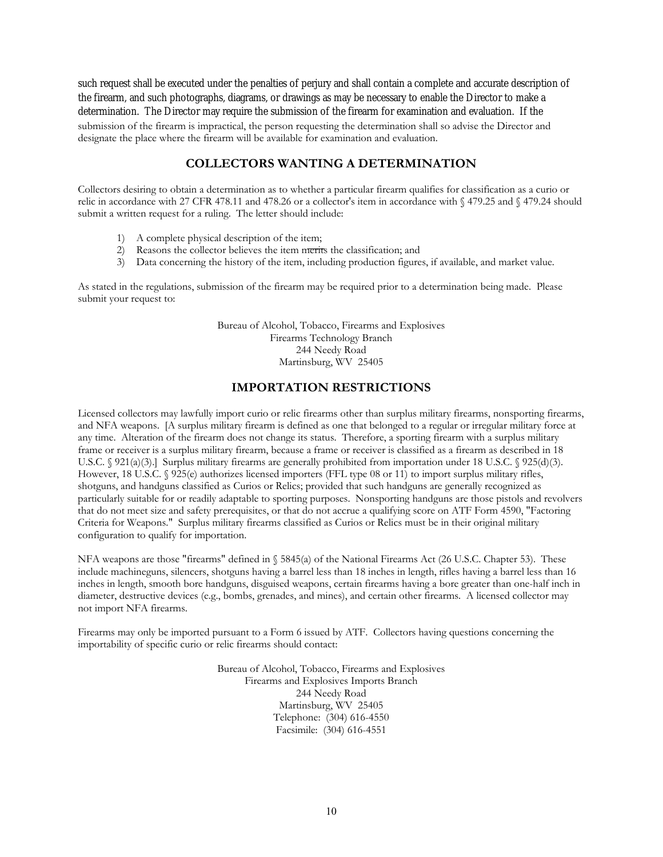such request shall be executed under the penalties of perjury and shall contain a complete and accurate description of the firearm, and such photographs, diagrams, or drawings as may be necessary to enable the Director to make a determination. The Director may require the submission of the firearm for examination and evaluation. If the submission of the firearm is impractical, the person requesting the determination shall so advise the Director and designate the place where the firearm will be available for examination and evaluation.

## **COLLECTORS WANTING A DETERMINATION**

Collectors desiring to obtain a determination as to whether a particular firearm qualifies for classification as a curio or relic in accordance with 27 CFR 478.11 and 478.26 or a collector's item in accordance with § 479.25 and § 479.24 should submit a written request for a ruling. The letter should include:

- 1) A complete physical description of the item;
- 2) Reasons the collector believes the item merits the classification; and
- 3) Data concerning the history of the item, including production figures, if available, and market value.

As stated in the regulations, submission of the firearm may be required prior to a determination being made. Please submit your request to:

> Bureau of Alcohol, Tobacco, Firearms and Explosives Firearms Technology Branch 244 Needy Road Martinsburg, WV 25405

## **IMPORTATION RESTRICTIONS**

Licensed collectors may lawfully import curio or relic firearms other than surplus military firearms, nonsporting firearms, and NFA weapons. [A surplus military firearm is defined as one that belonged to a regular or irregular military force at any time. Alteration of the firearm does not change its status. Therefore, a sporting firearm with a surplus military frame or receiver is a surplus military firearm, because a frame or receiver is classified as a firearm as described in 18 U.S.C. § 921(a)(3).] Surplus military firearms are generally prohibited from importation under 18 U.S.C. § 925(d)(3). However, 18 U.S.C. § 925(e) authorizes licensed importers (FFL type 08 or 11) to import surplus military rifles, shotguns, and handguns classified as Curios or Relics; provided that such handguns are generally recognized as particularly suitable for or readily adaptable to sporting purposes. Nonsporting handguns are those pistols and revolvers that do not meet size and safety prerequisites, or that do not accrue a qualifying score on ATF Form 4590, "Factoring Criteria for Weapons." Surplus military firearms classified as Curios or Relics must be in their original military configuration to qualify for importation.

NFA weapons are those "firearms" defined in § 5845(a) of the National Firearms Act (26 U.S.C. Chapter 53). These include machineguns, silencers, shotguns having a barrel less than 18 inches in length, rifles having a barrel less than 16 inches in length, smooth bore handguns, disguised weapons, certain firearms having a bore greater than one-half inch in diameter, destructive devices (e.g., bombs, grenades, and mines), and certain other firearms. A licensed collector may not import NFA firearms.

Firearms may only be imported pursuant to a Form 6 issued by ATF. Collectors having questions concerning the importability of specific curio or relic firearms should contact:

> Bureau of Alcohol, Tobacco, Firearms and Explosives Firearms and Explosives Imports Branch 244 Needy Road Martinsburg, WV 25405 Telephone: (304) 616-4550 Facsimile: (304) 616-4551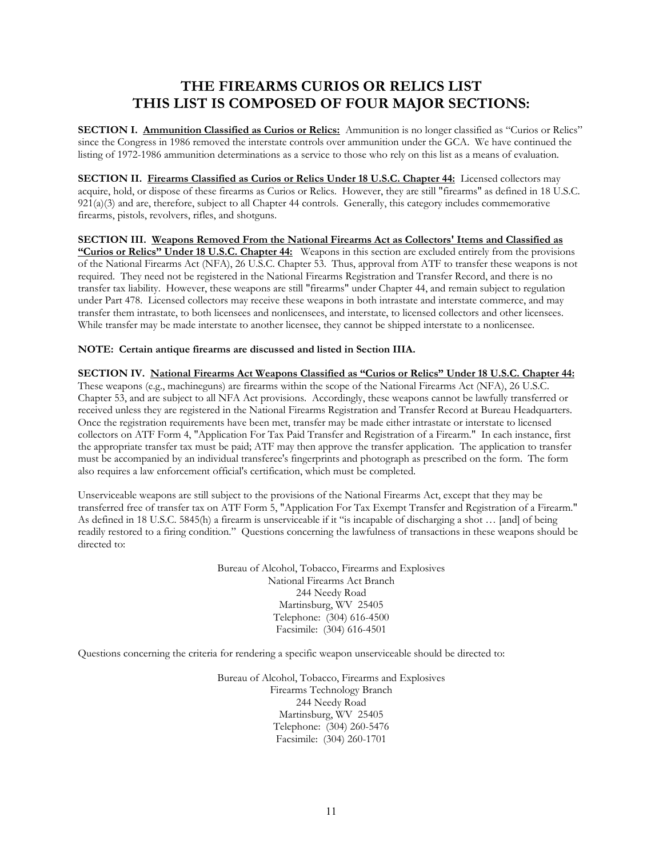# **THE FIREARMS CURIOS OR RELICS LIST THIS LIST IS COMPOSED OF FOUR MAJOR SECTIONS:**

**SECTION I. Ammunition Classified as Curios or Relics:** Ammunition is no longer classified as "Curios or Relics" since the Congress in 1986 removed the interstate controls over ammunition under the GCA. We have continued the listing of 1972-1986 ammunition determinations as a service to those who rely on this list as a means of evaluation.

**SECTION II. Firearms Classified as Curios or Relics Under 18 U.S.C. Chapter 44:** Licensed collectors may acquire, hold, or dispose of these firearms as Curios or Relics. However, they are still "firearms" as defined in 18 U.S.C.  $921(a)(3)$  and are, therefore, subject to all Chapter 44 controls. Generally, this category includes commemorative firearms, pistols, revolvers, rifles, and shotguns.

**SECTION III. Weapons Removed From the National Firearms Act as Collectors' Items and Classified as "Curios or Relics" Under 18 U.S.C. Chapter 44:** Weapons in this section are excluded entirely from the provisions of the National Firearms Act (NFA), 26 U.S.C. Chapter 53. Thus, approval from ATF to transfer these weapons is not required. They need not be registered in the National Firearms Registration and Transfer Record, and there is no transfer tax liability. However, these weapons are still "firearms" under Chapter 44, and remain subject to regulation under Part 478. Licensed collectors may receive these weapons in both intrastate and interstate commerce, and may transfer them intrastate, to both licensees and nonlicensees, and interstate, to licensed collectors and other licensees. While transfer may be made interstate to another licensee, they cannot be shipped interstate to a nonlicensee.

## **NOTE: Certain antique firearms are discussed and listed in Section IIIA.**

**SECTION IV. National Firearms Act Weapons Classified as "Curios or Relics" Under 18 U.S.C. Chapter 44:** These weapons (e.g., machineguns) are firearms within the scope of the National Firearms Act (NFA), 26 U.S.C. Chapter 53, and are subject to all NFA Act provisions. Accordingly, these weapons cannot be lawfully transferred or received unless they are registered in the National Firearms Registration and Transfer Record at Bureau Headquarters. Once the registration requirements have been met, transfer may be made either intrastate or interstate to licensed collectors on ATF Form 4, "Application For Tax Paid Transfer and Registration of a Firearm." In each instance, first the appropriate transfer tax must be paid; ATF may then approve the transfer application. The application to transfer must be accompanied by an individual transferee's fingerprints and photograph as prescribed on the form. The form also requires a law enforcement official's certification, which must be completed.

Unserviceable weapons are still subject to the provisions of the National Firearms Act, except that they may be transferred free of transfer tax on ATF Form 5, "Application For Tax Exempt Transfer and Registration of a Firearm." As defined in 18 U.S.C. 5845(h) a firearm is unserviceable if it "is incapable of discharging a shot … [and] of being readily restored to a firing condition." Questions concerning the lawfulness of transactions in these weapons should be directed to:

> Bureau of Alcohol, Tobacco, Firearms and Explosives National Firearms Act Branch 244 Needy Road Martinsburg, WV 25405 Telephone: (304) 616-4500 Facsimile: (304) 616-4501

Questions concerning the criteria for rendering a specific weapon unserviceable should be directed to:

Bureau of Alcohol, Tobacco, Firearms and Explosives Firearms Technology Branch 244 Needy Road Martinsburg, WV 25405 Telephone: (304) 260-5476 Facsimile: (304) 260-1701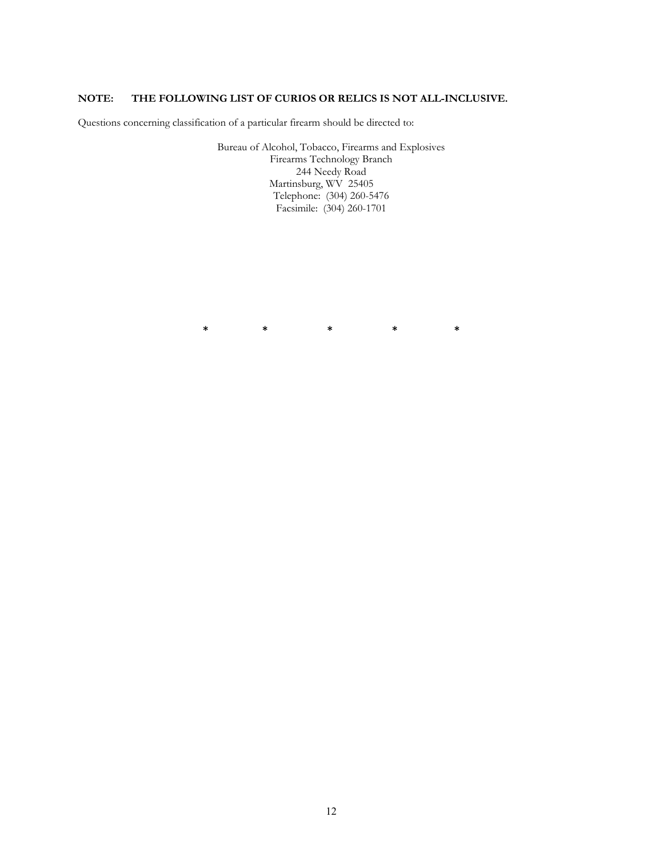## **NOTE: THE FOLLOWING LIST OF CURIOS OR RELICS IS NOT ALL-INCLUSIVE.**

Questions concerning classification of a particular firearm should be directed to:

Bureau of Alcohol, Tobacco, Firearms and Explosives Firearms Technology Branch 244 Needy Road Martinsburg, WV 25405 Telephone: (304) 260-5476 Facsimile: (304) 260-1701

**\* \* \* \* \***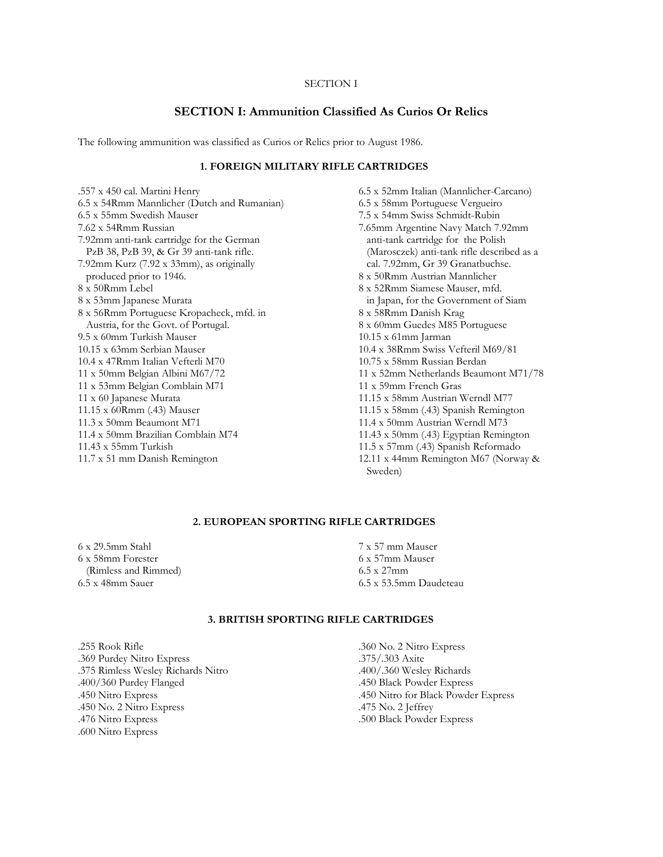## **SECTION I: Ammunition Classified As Curios Or Relics**

The following ammunition was classified as Curios or Relics prior to August 1986.

## **1. FOREIGN MILITARY RIFLE CARTRIDGES**

.557 x 450 cal. Martini Henry 6.5 x 54Rmm Mannlicher (Dutch and Rumanian) 6.5 x 55mm Swedish Mauser 7.62 x 54Rmm Russian 7.92mm anti-tank cartridge for the German PzB 38, PzB 39, & Gr 39 anti-tank rifle. 7.92mm Kurz (7.92 x 33mm), as originally produced prior to 1946.  $8 \times 50$ Rmm Lebel 8 x 53mm Japanese Murata 8 x 56Rmm Portuguese Kropacheck, mfd. in Austria, for the Govt. of Portugal. 9.5 x 60mm Turkish Mauser 10.15 x 63mm Serbian Mauser 10.4 x 47Rmm Italian Vefterli M70 11 x 50mm Belgian Albini M67/72 11 x 53mm Belgian Comblain M71 11 x 60 Japanese Murata 11.15 x 60Rmm (.43) Mauser 11.3 x 50mm Beaumont M71 11.4 x 50mm Brazilian Comblain M74 11.43 x 55mm Turkish 11.7 x 51 mm Danish Remington

6.5 x 52mm Italian (Mannlicher-Carcano) 6.5 x 58mm Portuguese Vergueiro 7.5 x 54mm Swiss Schmidt-Rubin 7.65mm Argentine Navy Match 7.92mm anti-tank cartridge for the Polish (Marosczek) anti-tank rifle described as a cal. 7.92mm, Gr 39 Granatbuchse. 8 x 50Rmm Austrian Mannlicher 8 x 52Rmm Siamese Mauser, mfd. in Japan, for the Government of Siam 8 x 58Rmm Danish Krag 8 x 60mm Guedes M85 Portuguese 10.15 x 61mm Jarman 10.4 x 38Rmm Swiss Vefteril M69/81 10.75 x 58mm Russian Berdan 11 x 52mm Netherlands Beaumont M71/78 11 x 59mm French Gras 11.15 x 58mm Austrian Werndl M77 11.15 x 58mm (.43) Spanish Remington 11.4 x 50mm Austrian Werndl M73 11.43 x 50mm (.43) Egyptian Remington 11.5 x 57mm (.43) Spanish Reformado 12.11 x 44mm Remington M67 (Norway & Sweden)

## **2. EUROPEAN SPORTING RIFLE CARTRIDGES**

6 x 29.5mm Stahl 6 x 58mm Forester (Rimless and Rimmed) 6.5 x 48mm Sauer

7 x 57 mm Mauser 6 x 57mm Mauser 6.5 x 27mm 6.5 x 53.5mm Daudeteau

## **3. BRITISH SPORTING RIFLE CARTRIDGES**

.255 Rook Rifle .369 Purdey Nitro Express .375 Rimless Wesley Richards Nitro .400/360 Purdey Flanged .450 Nitro Express .450 No. 2 Nitro Express .476 Nitro Express .600 Nitro Express

.360 No. 2 Nitro Express .375/.303 Axite .400/.360 Wesley Richards .450 Black Powder Express .450 Nitro for Black Powder Express .475 No. 2 Jeffrey .500 Black Powder Express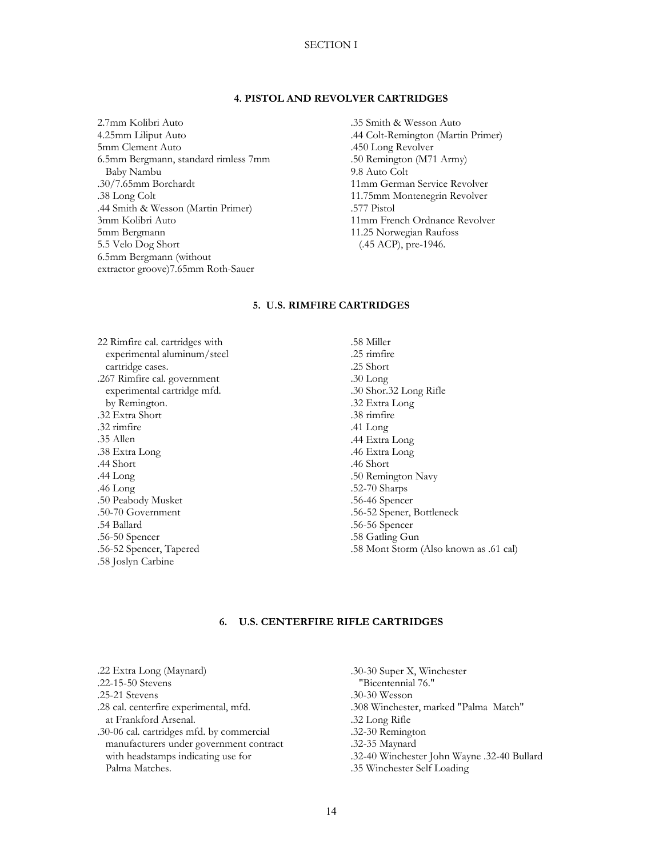## **4. PISTOL AND REVOLVER CARTRIDGES**

2.7mm Kolibri Auto 4.25mm Liliput Auto 5mm Clement Auto 6.5mm Bergmann, standard rimless 7mm Baby Nambu .30/7.65mm Borchardt .38 Long Colt .44 Smith & Wesson (Martin Primer) 3mm Kolibri Auto 5mm Bergmann 5.5 Velo Dog Short 6.5mm Bergmann (without extractor groove)7.65mm Roth-Sauer

.35 Smith & Wesson Auto .44 Colt-Remington (Martin Primer) .450 Long Revolver .50 Remington (M71 Army) 9.8 Auto Colt 11mm German Service Revolver 11.75mm Montenegrin Revolver .577 Pistol 11mm French Ordnance Revolver 11.25 Norwegian Raufoss (.45 ACP), pre-1946.

## **5. U.S. RIMFIRE CARTRIDGES**

22 Rimfire cal. cartridges with experimental aluminum/steel cartridge cases. .267 Rimfire cal. government experimental cartridge mfd. by Remington. .32 Extra Short .32 rimfire .35 Allen .38 Extra Long .44 Short .44 Long .46 Long .50 Peabody Musket .50-70 Government .54 Ballard .56-50 Spencer .56-52 Spencer, Tapered .58 Joslyn Carbine

.58 Miller .25 rimfire .25 Short .30 Long .30 Shor.32 Long Rifle .32 Extra Long .38 rimfire .41 Long .44 Extra Long .46 Extra Long .46 Short .50 Remington Navy .52-70 Sharps .56-46 Spencer .56-52 Spener, Bottleneck .56-56 Spencer .58 Gatling Gun .58 Mont Storm (Also known as .61 cal)

## **6. U.S. CENTERFIRE RIFLE CARTRIDGES**

.22 Extra Long (Maynard) .22-15-50 Stevens .25-21 Stevens .28 cal. centerfire experimental, mfd. at Frankford Arsenal. .30-06 cal. cartridges mfd. by commercial manufacturers under government contract with headstamps indicating use for Palma Matches.

.30-30 Super X, Winchester "Bicentennial 76." .30-30 Wesson .308 Winchester, marked "Palma Match" .32 Long Rifle .32-30 Remington .32-35 Maynard .32-40 Winchester John Wayne .32-40 Bullard .35 Winchester Self Loading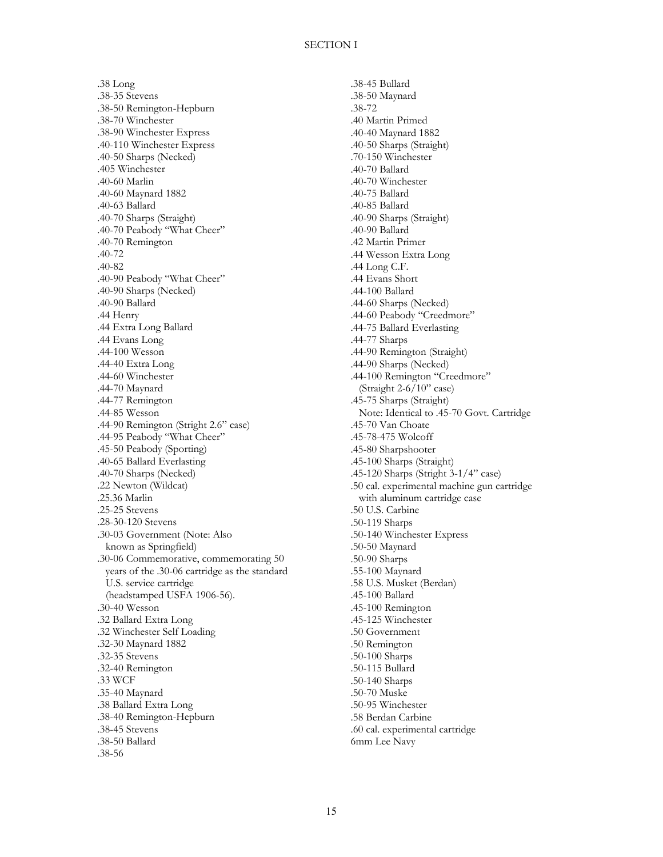.38 Long .38-35 Stevens .38-50 Remington-Hepburn .38-70 Winchester .38-90 Winchester Express .40-110 Winchester Express .40-50 Sharps (Necked) .405 Winchester .40-60 Marlin .40-60 Maynard 1882 .40-63 Ballard .40-70 Sharps (Straight) .40-70 Peabody "What Cheer" .40-70 Remington .40-72 .40-82 .40-90 Peabody "What Cheer" .40-90 Sharps (Necked) .40-90 Ballard .44 Henry .44 Extra Long Ballard .44 Evans Long .44-100 Wesson .44-40 Extra Long .44-60 Winchester .44-70 Maynard .44-77 Remington .44-85 Wesson .44-90 Remington (Stright 2.6" case) .44-95 Peabody "What Cheer" .45-50 Peabody (Sporting) .40-65 Ballard Everlasting .40-70 Sharps (Necked) .22 Newton (Wildcat) .25.36 Marlin .25-25 Stevens .28-30-120 Stevens .30-03 Government (Note: Also known as Springfield) .30-06 Commemorative, commemorating 50 years of the .30-06 cartridge as the standard U.S. service cartridge (headstamped USFA 1906-56). .30-40 Wesson .32 Ballard Extra Long .32 Winchester Self Loading .32-30 Maynard 1882 .32-35 Stevens .32-40 Remington .33 WCF .35-40 Maynard .38 Ballard Extra Long .38-40 Remington-Hepburn .38-45 Stevens .38-50 Ballard .38-56

.38-45 Bullard .38-50 Maynard .38-72 .40 Martin Primed .40-40 Maynard 1882 .40-50 Sharps (Straight) .70-150 Winchester .40-70 Ballard .40-70 Winchester .40-75 Ballard .40-85 Ballard .40-90 Sharps (Straight) .40-90 Ballard .42 Martin Primer .44 Wesson Extra Long .44 Long C.F. .44 Evans Short .44-100 Ballard .44-60 Sharps (Necked) .44-60 Peabody "Creedmore" .44-75 Ballard Everlasting .44-77 Sharps .44-90 Remington (Straight) .44-90 Sharps (Necked) .44-100 Remington "Creedmore" (Straight 2-6/10" case) .45-75 Sharps (Straight) Note: Identical to .45-70 Govt. Cartridge .45-70 Van Choate .45-78-475 Wolcoff .45-80 Sharpshooter .45-100 Sharps (Straight) .45-120 Sharps (Stright 3-1/4" case) .50 cal. experimental machine gun cartridge with aluminum cartridge case .50 U.S. Carbine .50-119 Sharps .50-140 Winchester Express .50-50 Maynard .50-90 Sharps .55-100 Maynard .58 U.S. Musket (Berdan) .45-100 Ballard .45-100 Remington .45-125 Winchester .50 Government .50 Remington .50-100 Sharps .50-115 Bullard .50-140 Sharps .50-70 Muske .50-95 Winchester .58 Berdan Carbine .60 cal. experimental cartridge 6mm Lee Navy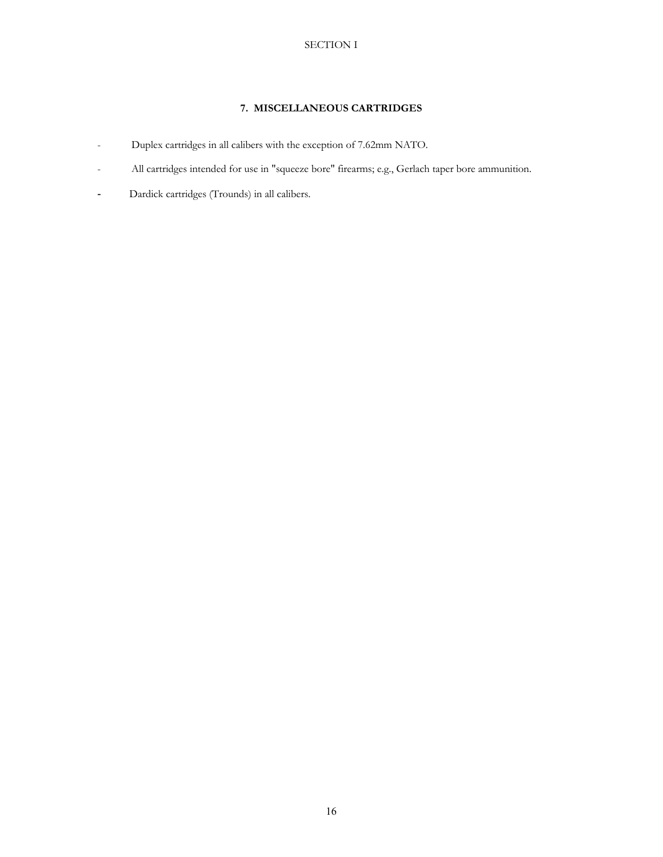## **7. MISCELLANEOUS CARTRIDGES**

- Duplex cartridges in all calibers with the exception of 7.62mm NATO.
- All cartridges intended for use in "squeeze bore" firearms; e.g., Gerlach taper bore ammunition.
- **-** Dardick cartridges (Trounds) in all calibers.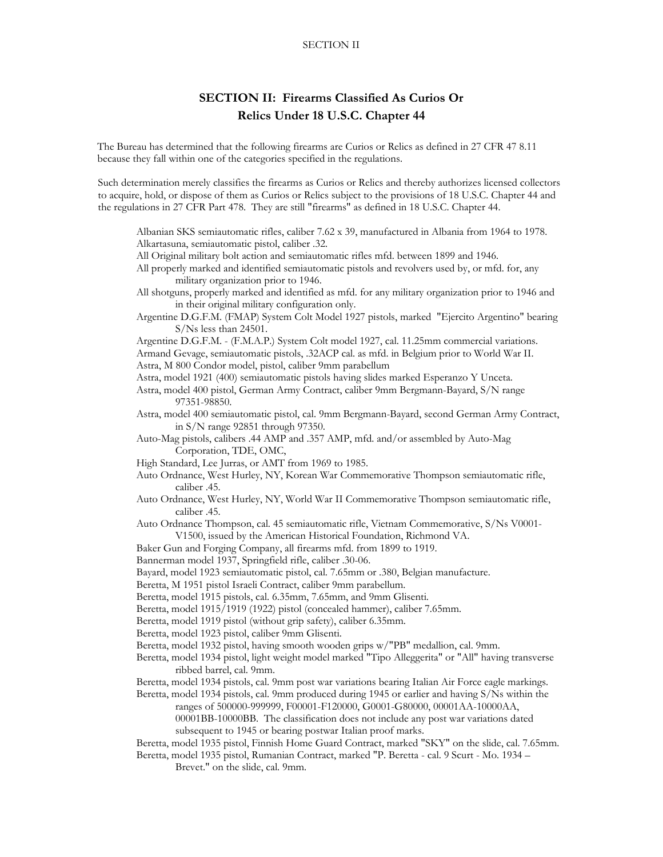## **SECTION II: Firearms Classified As Curios Or Relics Under 18 U.S.C. Chapter 44**

The Bureau has determined that the following firearms are Curios or Relics as defined in 27 CFR 47 8.11 because they fall within one of the categories specified in the regulations.

 Such determination merely classifies the firearms as Curios or Relics and thereby authorizes licensed collectors to acquire, hold, or dispose of them as Curios or Relics subject to the provisions of 18 U.S.C. Chapter 44 and the regulations in 27 CFR Part 478. They are still "firearms" as defined in 18 U.S.C. Chapter 44.

- Albanian SKS semiautomatic rifles, caliber 7.62 x 39, manufactured in Albania from 1964 to 1978. Alkartasuna, semiautomatic pistol, caliber .32.
- All Original military bolt action and semiautomatic rifles mfd. between 1899 and 1946.
- All properly marked and identified semiautomatic pistols and revolvers used by, or mfd. for, any military organization prior to 1946.
- All shotguns, properly marked and identified as mfd. for any military organization prior to 1946 and in their original military configuration only.
- Argentine D.G.F.M. (FMAP) System Colt Model 1927 pistols, marked "Ejercito Argentino" bearing S/Ns less than 24501.

 Argentine D.G.F.M. - (F.M.A.P.) System Colt model 1927, cal. 11.25mm commercial variations. Armand Gevage, semiautomatic pistols, .32ACP cal. as mfd. in Belgium prior to World War II. Astra, M 800 Condor model, pistol, caliber 9mm parabellum

Astra, model 1921 (400) semiautomatic pistols having slides marked Esperanzo Y Unceta.

- Astra, model 400 pistol, German Army Contract, caliber 9mm Bergmann-Bayard, S/N range 97351-98850.
- Astra, model 400 semiautomatic pistol, cal. 9mm Bergmann-Bayard, second German Army Contract, in S/N range 92851 through 97350.
- Auto-Mag pistols, calibers .44 AMP and .357 AMP, mfd. and/or assembled by Auto-Mag Corporation, TDE, OMC,
- High Standard, Lee Jurras, or AMT from 1969 to 1985.
- Auto Ordnance, West Hurley, NY, Korean War Commemorative Thompson semiautomatic rifle, caliber .45.
- Auto Ordnance, West Hurley, NY, World War II Commemorative Thompson semiautomatic rifle, caliber .45.
- Auto Ordnance Thompson, cal. 45 semiautomatic rifle, Vietnam Commemorative, S/Ns V0001- V1500, issued by the American Historical Foundation, Richmond VA.
- Baker Gun and Forging Company, all firearms mfd. from 1899 to 1919.
- Bannerman model 1937, Springfield rifle, caliber .30-06.
- Bayard, model 1923 semiautomatic pistol, cal. 7.65mm or .380, Belgian manufacture.
- Beretta, M 1951 pistol Israeli Contract, caliber 9mm parabellum.
- Beretta, model 1915 pistols, cal. 6.35mm, 7.65mm, and 9mm Glisenti.
- Beretta, model 1915/1919 (1922) pistol (concealed hammer), caliber 7.65mm.
- Beretta, model 1919 pistol (without grip safety), caliber 6.35mm.
- Beretta, model 1923 pistol, caliber 9mm Glisenti.
- Beretta, model 1932 pistol, having smooth wooden grips w/"PB" medallion, cal. 9mm.
- Beretta, model 1934 pistol, light weight model marked "Tipo Alleggerita" or "All" having transverse ribbed barrel, cal. 9mm.
- Beretta, model 1934 pistols, cal. 9mm post war variations bearing Italian Air Force eagle markings.
- Beretta, model 1934 pistols, cal. 9mm produced during 1945 or earlier and having S/Ns within the ranges of 500000-999999, F00001-F120000, G0001-G80000, 00001AA-10000AA, 00001BB-10000BB. The classification does not include any post war variations dated subsequent to 1945 or bearing postwar Italian proof marks.
- Beretta, model 1935 pistol, Finnish Home Guard Contract, marked "SKY" on the slide, cal. 7.65mm.
- Beretta, model 1935 pistol, Rumanian Contract, marked "P. Beretta cal. 9 Scurt Mo. 1934 Brevet." on the slide, cal. 9mm.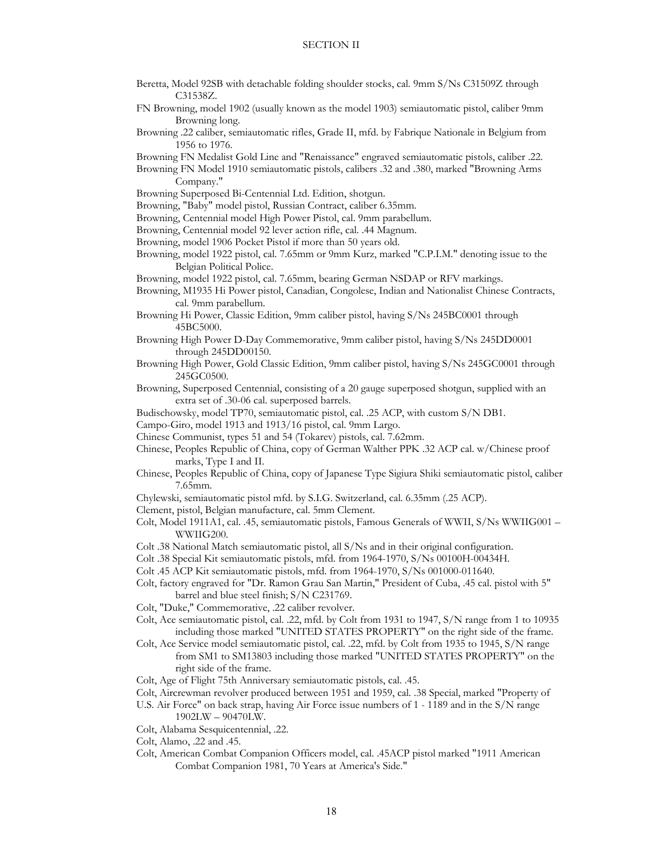- Beretta, Model 92SB with detachable folding shoulder stocks, cal. 9mm S/Ns C31509Z through C31538Z.
- FN Browning, model 1902 (usually known as the model 1903) semiautomatic pistol, caliber 9mm Browning long.
- Browning .22 caliber, semiautomatic rifles, Grade II, mfd. by Fabrique Nationale in Belgium from 1956 to 1976.

Browning FN Medalist Gold Line and "Renaissance" engraved semiautomatic pistols, caliber .22.

- Browning FN Model 1910 semiautomatic pistols, calibers .32 and .380, marked "Browning Arms Company."
- Browning Superposed Bi-Centennial Ltd. Edition, shotgun.
- Browning, "Baby" model pistol, Russian Contract, caliber 6.35mm.
- Browning, Centennial model High Power Pistol, cal. 9mm parabellum.

Browning, Centennial model 92 lever action rifle, cal. .44 Magnum.

- Browning, model 1906 Pocket Pistol if more than 50 years old.
- Browning, model 1922 pistol, cal. 7.65mm or 9mm Kurz, marked "C.P.I.M." denoting issue to the Belgian Political Police.

Browning, model 1922 pistol, cal. 7.65mm, bearing German NSDAP or RFV markings.

- Browning, M1935 Hi Power pistol, Canadian, Congolese, Indian and Nationalist Chinese Contracts, cal. 9mm parabellum.
- Browning Hi Power, Classic Edition, 9mm caliber pistol, having S/Ns 245BC0001 through 45BC5000.
- Browning High Power D-Day Commemorative, 9mm caliber pistol, having S/Ns 245DD0001 through 245DD00150.
- Browning High Power, Gold Classic Edition, 9mm caliber pistol, having S/Ns 245GC0001 through 245GC0500.
- Browning, Superposed Centennial, consisting of a 20 gauge superposed shotgun, supplied with an extra set of .30-06 cal. superposed barrels.
- Budischowsky, model TP70, semiautomatic pistol, cal. .25 ACP, with custom S/N DB1.
- Campo-Giro, model 1913 and 1913/16 pistol, cal. 9mm Largo.
- Chinese Communist, types 51 and 54 (Tokarev) pistols, cal. 7.62mm.
- Chinese, Peoples Republic of China, copy of German Walther PPK .32 ACP cal. w/Chinese proof marks, Type I and II.
- Chinese, Peoples Republic of China, copy of Japanese Type Sigiura Shiki semiautomatic pistol, caliber 7.65mm.
- Chylewski, semiautomatic pistol mfd. by S.I.G. Switzerland, cal. 6.35mm (.25 ACP).
- Clement, pistol, Belgian manufacture, cal. 5mm Clement.
- Colt, Model 1911A1, cal. .45, semiautomatic pistols, Famous Generals of WWII, S/Ns WWIIG001 WWIIG200.
- Colt .38 National Match semiautomatic pistol, all S/Ns and in their original configuration.
- Colt .38 Special Kit semiautomatic pistols, mfd. from 1964-1970, S/Ns 00100H-00434H.
- Colt .45 ACP Kit semiautomatic pistols, mfd. from 1964-1970, S/Ns 001000-011640.
- Colt, factory engraved for "Dr. Ramon Grau San Martin," President of Cuba, .45 cal. pistol with 5" barrel and blue steel finish; S/N C231769.
- Colt, "Duke," Commemorative, .22 caliber revolver.
- Colt, Ace semiautomatic pistol, cal. .22, mfd. by Colt from 1931 to 1947, S/N range from 1 to 10935 including those marked "UNITED STATES PROPERTY" on the right side of the frame.
- Colt, Ace Service model semiautomatic pistol, cal. .22, mfd. by Colt from 1935 to 1945, S/N range from SM1 to SM13803 including those marked "UNITED STATES PROPERTY" on the right side of the frame.
- Colt, Age of Flight 75th Anniversary semiautomatic pistols, cal. .45.
- Colt, Aircrewman revolver produced between 1951 and 1959, cal. .38 Special, marked "Property of
- U.S. Air Force" on back strap, having Air Force issue numbers of 1 1189 and in the S/N range
- 1902LW 90470LW. Colt, Alabama Sesquicentennial, .22.
- 
- Colt, Alamo, .22 and .45.
- Colt, American Combat Companion Officers model, cal. .45ACP pistol marked "1911 American Combat Companion 1981, 70 Years at America's Side."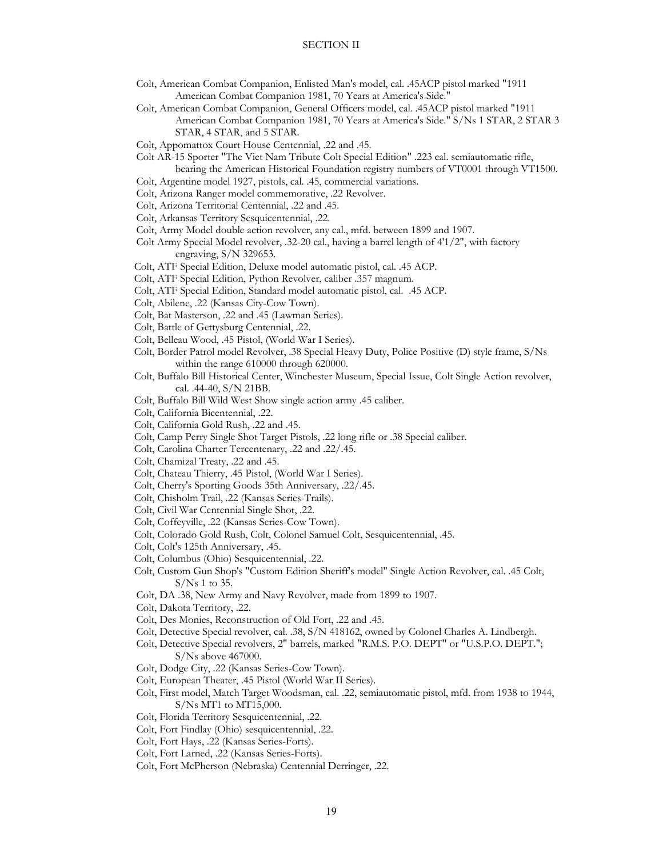- Colt, American Combat Companion, Enlisted Man's model, cal. .45ACP pistol marked "1911 American Combat Companion 1981, 70 Years at America's Side."
- Colt, American Combat Companion, General Officers model, cal. .45ACP pistol marked "1911 American Combat Companion 1981, 70 Years at America's Side." S/Ns 1 STAR, 2 STAR 3 STAR, 4 STAR, and 5 STAR.
- Colt, Appomattox Court House Centennial, .22 and .45.
- Colt AR-15 Sporter "The Viet Nam Tribute Colt Special Edition" .223 cal. semiautomatic rifle,
- bearing the American Historical Foundation registry numbers of VT0001 through VT1500. Colt, Argentine model 1927, pistols, cal. .45, commercial variations.
- Colt, Arizona Ranger model commemorative, .22 Revolver.
- Colt, Arizona Territorial Centennial, .22 and .45.
- Colt, Arkansas Territory Sesquicentennial, .22.
- Colt, Army Model double action revolver, any cal., mfd. between 1899 and 1907.
- Colt Army Special Model revolver, .32-20 cal., having a barrel length of 4'1/2", with factory engraving, S/N 329653.
- Colt, ATF Special Edition, Deluxe model automatic pistol, cal. .45 ACP.
- Colt, ATF Special Edition, Python Revolver, caliber .357 magnum.
- Colt, ATF Special Edition, Standard model automatic pistol, cal. .45 ACP.
- Colt, Abilene, .22 (Kansas City-Cow Town).
- Colt, Bat Masterson, .22 and .45 (Lawman Series).
- Colt, Battle of Gettysburg Centennial, .22.
- Colt, Belleau Wood, .45 Pistol, (World War I Series).
- Colt, Border Patrol model Revolver, .38 Special Heavy Duty, Police Positive (D) style frame, S/Ns within the range 610000 through 620000.
- Colt, Buffalo Bill Historical Center, Winchester Museum, Special Issue, Colt Single Action revolver, cal. .44-40, S/N 21BB.
- Colt, Buffalo Bill Wild West Show single action army .45 caliber.
- Colt, California Bicentennial, .22.
- Colt, California Gold Rush, .22 and .45.
- Colt, Camp Perry Single Shot Target Pistols, .22 long rifle or .38 Special caliber.
- Colt, Carolina Charter Tercentenary, .22 and .22/.45.
- Colt, Chamizal Treaty, .22 and .45.
- Colt, Chateau Thierry, .45 Pistol, (World War I Series).
- Colt, Cherry's Sporting Goods 35th Anniversary, .22/.45.
- Colt, Chisholm Trail, .22 (Kansas Series-Trails).
- Colt, Civil War Centennial Single Shot, .22.
- Colt, Coffeyville, .22 (Kansas Series-Cow Town).
- Colt, Colorado Gold Rush, Colt, Colonel Samuel Colt, Sesquicentennial, .45.
- Colt, Colt's 125th Anniversary, .45.
- Colt, Columbus (Ohio) Sesquicentennial, .22.
- Colt, Custom Gun Shop's "Custom Edition Sheriff's model" Single Action Revolver, cal. .45 Colt, S/Ns 1 to 35.
- Colt, DA .38, New Army and Navy Revolver, made from 1899 to 1907.
- Colt, Dakota Territory, .22.
- Colt, Des Monies, Reconstruction of Old Fort, .22 and .45.
- Colt, Detective Special revolver, cal. .38, S/N 418162, owned by Colonel Charles A. Lindbergh.
- Colt, Detective Special revolvers, 2" barrels, marked "R.M.S. P.O. DEPT" or "U.S.P.O. DEPT."; S/Ns above 467000.
- Colt, Dodge City, .22 (Kansas Series-Cow Town).
- Colt, European Theater, .45 Pistol (World War II Series).
- Colt, First model, Match Target Woodsman, cal. .22, semiautomatic pistol, mfd. from 1938 to 1944, S/Ns MT1 to MT15,000.
- Colt, Florida Territory Sesquicentennial, .22.
- Colt, Fort Findlay (Ohio) sesquicentennial, .22.
- Colt, Fort Hays, .22 (Kansas Series-Forts).
- Colt, Fort Larned, .22 (Kansas Series-Forts).
- Colt, Fort McPherson (Nebraska) Centennial Derringer, .22.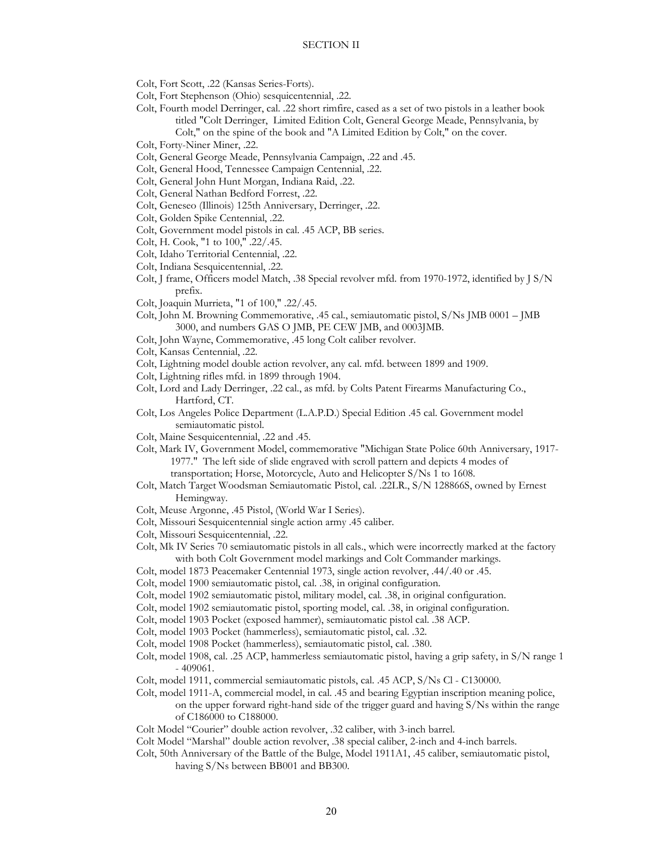- Colt, Fort Scott, .22 (Kansas Series-Forts).
- Colt, Fort Stephenson (Ohio) sesquicentennial, .22.
- Colt, Fourth model Derringer, cal. .22 short rimfire, cased as a set of two pistols in a leather book titled "Colt Derringer, Limited Edition Colt, General George Meade, Pennsylvania, by Colt," on the spine of the book and "A Limited Edition by Colt," on the cover.
- Colt, Forty-Niner Miner, .22.
- Colt, General George Meade, Pennsylvania Campaign, .22 and .45.
- Colt, General Hood, Tennessee Campaign Centennial, .22.
- Colt, General John Hunt Morgan, Indiana Raid, .22.
- Colt, General Nathan Bedford Forrest, .22.
- Colt, Geneseo (Illinois) 125th Anniversary, Derringer, .22.
- Colt, Golden Spike Centennial, .22.
- Colt, Government model pistols in cal. .45 ACP, BB series.
- Colt, H. Cook, "1 to 100," .22/.45.
- Colt, Idaho Territorial Centennial, .22.
- Colt, Indiana Sesquicentennial, .22.
- Colt, J frame, Officers model Match, .38 Special revolver mfd. from 1970-1972, identified by J S/N prefix.
- Colt, Joaquin Murrieta, "1 of 100," .22/.45.
- Colt, John M. Browning Commemorative, .45 cal., semiautomatic pistol, S/Ns JMB 0001 JMB 3000, and numbers GAS O JMB, PE CEW JMB, and 0003JMB.
- Colt, John Wayne, Commemorative, .45 long Colt caliber revolver.
- Colt, Kansas Centennial, .22.
- Colt, Lightning model double action revolver, any cal. mfd. between 1899 and 1909.
- Colt, Lightning rifles mfd. in 1899 through 1904.
- Colt, Lord and Lady Derringer, .22 cal., as mfd. by Colts Patent Firearms Manufacturing Co., Hartford, CT.
- Colt, Los Angeles Police Department (L.A.P.D.) Special Edition .45 cal. Government model semiautomatic pistol.
- Colt, Maine Sesquicentennial, .22 and .45.
- Colt, Mark IV, Government Model, commemorative "Michigan State Police 60th Anniversary, 1917- 1977." The left side of slide engraved with scroll pattern and depicts 4 modes of
	- transportation; Horse, Motorcycle, Auto and Helicopter S/Ns 1 to 1608.
- Colt, Match Target Woodsman Semiautomatic Pistol, cal. .22LR., S/N 128866S, owned by Ernest Hemingway.
- Colt, Meuse Argonne, .45 Pistol, (World War I Series).
- Colt, Missouri Sesquicentennial single action army .45 caliber.
- Colt, Missouri Sesquicentennial, .22.
- Colt, Mk IV Series 70 semiautomatic pistols in all cals., which were incorrectly marked at the factory with both Colt Government model markings and Colt Commander markings.
- Colt, model 1873 Peacemaker Centennial 1973, single action revolver, .44/.40 or .45.
- Colt, model 1900 semiautomatic pistol, cal. .38, in original configuration.
- Colt, model 1902 semiautomatic pistol, military model, cal. .38, in original configuration.
- Colt, model 1902 semiautomatic pistol, sporting model, cal. .38, in original configuration.
- Colt, model 1903 Pocket (exposed hammer), semiautomatic pistol cal. .38 ACP.
- Colt, model 1903 Pocket (hammerless), semiautomatic pistol, cal. .32.
- Colt, model 1908 Pocket (hammerless), semiautomatic pistol, cal. .380.
- Colt, model 1908, cal. .25 ACP, hammerless semiautomatic pistol, having a grip safety, in S/N range 1 - 409061.
- Colt, model 1911, commercial semiautomatic pistols, cal. .45 ACP, S/Ns Cl C130000.
- Colt, model 1911-A, commercial model, in cal. .45 and bearing Egyptian inscription meaning police, on the upper forward right-hand side of the trigger guard and having S/Ns within the range of C186000 to C188000.
- Colt Model "Courier" double action revolver, .32 caliber, with 3-inch barrel.
- Colt Model "Marshal" double action revolver, .38 special caliber, 2-inch and 4-inch barrels.
- Colt, 50th Anniversary of the Battle of the Bulge, Model 1911A1, .45 caliber, semiautomatic pistol, having S/Ns between BB001 and BB300.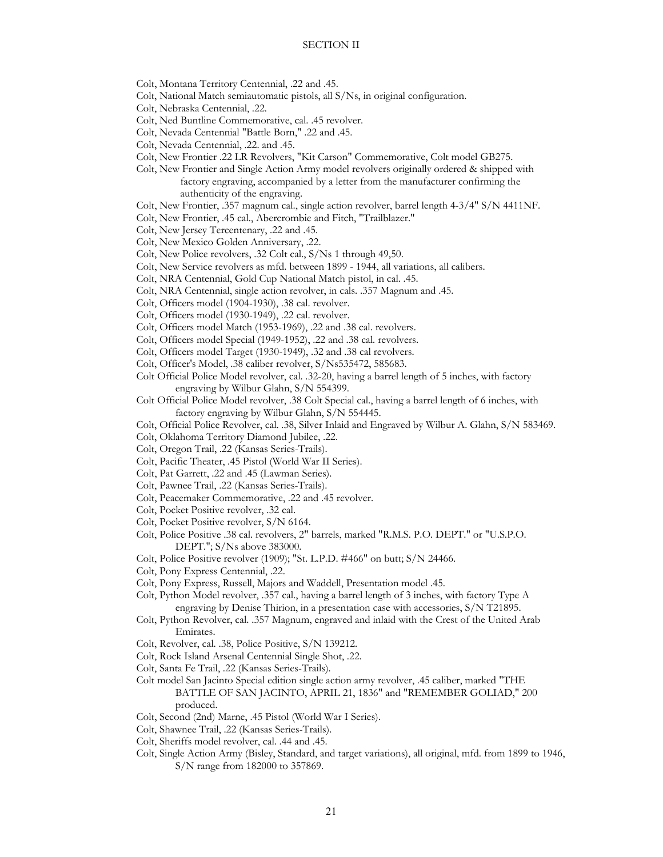Colt, Montana Territory Centennial, .22 and .45.

- Colt, National Match semiautomatic pistols, all S/Ns, in original configuration.
- Colt, Nebraska Centennial, .22.
- Colt, Ned Buntline Commemorative, cal. .45 revolver.
- Colt, Nevada Centennial "Battle Born," .22 and .45.
- Colt, Nevada Centennial, .22. and .45.
- Colt, New Frontier .22 LR Revolvers, "Kit Carson" Commemorative, Colt model GB275.
- Colt, New Frontier and Single Action Army model revolvers originally ordered & shipped with factory engraving, accompanied by a letter from the manufacturer confirming the authenticity of the engraving.
- Colt, New Frontier, .357 magnum cal., single action revolver, barrel length 4-3/4" S/N 4411NF.
- Colt, New Frontier, .45 cal., Abercrombie and Fitch, "Trailblazer."
- Colt, New Jersey Tercentenary, .22 and .45.
- Colt, New Mexico Golden Anniversary, .22.
- Colt, New Police revolvers, .32 Colt cal., S/Ns 1 through 49,50.
- Colt, New Service revolvers as mfd. between 1899 1944, all variations, all calibers.
- Colt, NRA Centennial, Gold Cup National Match pistol, in cal. .45.
- Colt, NRA Centennial, single action revolver, in cals. .357 Magnum and .45.
- Colt, Officers model (1904-1930), .38 cal. revolver.
- Colt, Officers model (1930-1949), .22 cal. revolver.
- Colt, Officers model Match (1953-1969), .22 and .38 cal. revolvers.
- Colt, Officers model Special (1949-1952), .22 and .38 cal. revolvers.
- Colt, Officers model Target (1930-1949), .32 and .38 cal revolvers.
- Colt, Officer's Model, .38 caliber revolver, S/Ns535472, 585683.
- Colt Official Police Model revolver, cal. .32-20, having a barrel length of 5 inches, with factory engraving by Wilbur Glahn, S/N 554399.
- Colt Official Police Model revolver, .38 Colt Special cal., having a barrel length of 6 inches, with factory engraving by Wilbur Glahn, S/N 554445.
- Colt, Official Police Revolver, cal. .38, Silver Inlaid and Engraved by Wilbur A. Glahn, S/N 583469.
- Colt, Oklahoma Territory Diamond Jubilee, .22.
- Colt, Oregon Trail, .22 (Kansas Series-Trails).
- Colt, Pacific Theater, .45 Pistol (World War II Series).
- Colt, Pat Garrett, .22 and .45 (Lawman Series).
- Colt, Pawnee Trail, .22 (Kansas Series-Trails).
- Colt, Peacemaker Commemorative, .22 and .45 revolver.
- Colt, Pocket Positive revolver, .32 cal.
- Colt, Pocket Positive revolver, S/N 6164.
- Colt, Police Positive .38 cal. revolvers, 2" barrels, marked "R.M.S. P.O. DEPT." or "U.S.P.O. DEPT."; S/Ns above 383000.
- Colt, Police Positive revolver (1909); "St. L.P.D. #466" on butt; S/N 24466.
- Colt, Pony Express Centennial, .22.
- Colt, Pony Express, Russell, Majors and Waddell, Presentation model .45.

Colt, Python Model revolver, .357 cal., having a barrel length of 3 inches, with factory Type A engraving by Denise Thirion, in a presentation case with accessories, S/N T21895.

- Colt, Python Revolver, cal. .357 Magnum, engraved and inlaid with the Crest of the United Arab Emirates.
- Colt, Revolver, cal. .38, Police Positive, S/N 139212.
- Colt, Rock Island Arsenal Centennial Single Shot, .22.
- Colt, Santa Fe Trail, .22 (Kansas Series-Trails).
- Colt model San Jacinto Special edition single action army revolver, .45 caliber, marked "THE BATTLE OF SAN JACINTO, APRIL 21, 1836" and "REMEMBER GOLIAD," 200 produced.
- Colt, Second (2nd) Marne, .45 Pistol (World War I Series).
- Colt, Shawnee Trail, .22 (Kansas Series-Trails).
- Colt, Sheriffs model revolver, cal. .44 and .45.
- Colt, Single Action Army (Bisley, Standard, and target variations), all original, mfd. from 1899 to 1946, S/N range from 182000 to 357869.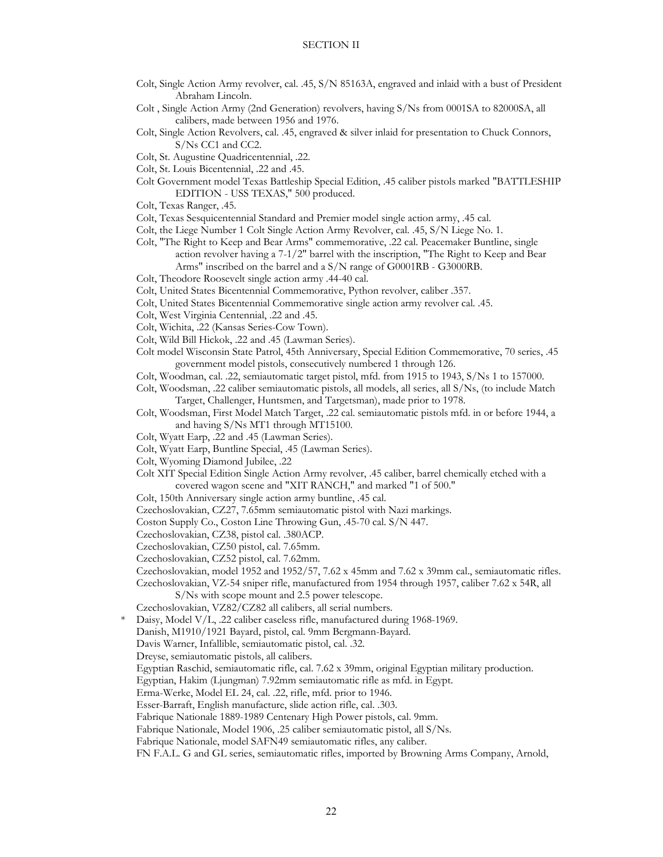- Colt, Single Action Army revolver, cal. .45, S/N 85163A, engraved and inlaid with a bust of President Abraham Lincoln.
- Colt , Single Action Army (2nd Generation) revolvers, having S/Ns from 0001SA to 82000SA, all calibers, made between 1956 and 1976.
- Colt, Single Action Revolvers, cal. .45, engraved & silver inlaid for presentation to Chuck Connors, S/Ns CC1 and CC2.
- Colt, St. Augustine Quadricentennial, .22.
- Colt, St. Louis Bicentennial, .22 and .45.
- Colt Government model Texas Battleship Special Edition, .45 caliber pistols marked "BATTLESHIP EDITION - USS TEXAS," 500 produced.
- Colt, Texas Ranger, .45.
- Colt, Texas Sesquicentennial Standard and Premier model single action army, .45 cal.
- Colt, the Liege Number 1 Colt Single Action Army Revolver, cal. .45, S/N Liege No. 1.
- Colt, "The Right to Keep and Bear Arms" commemorative, .22 cal. Peacemaker Buntline, single action revolver having a  $7-1/2$ " barrel with the inscription, "The Right to Keep and Bear Arms" inscribed on the barrel and a S/N range of G0001RB - G3000RB.
- Colt, Theodore Roosevelt single action army .44-40 cal.
- Colt, United States Bicentennial Commemorative, Python revolver, caliber .357.
- Colt, United States Bicentennial Commemorative single action army revolver cal. .45.
- Colt, West Virginia Centennial, .22 and .45.
- Colt, Wichita, .22 (Kansas Series-Cow Town).
- Colt, Wild Bill Hickok, .22 and .45 (Lawman Series).
- Colt model Wisconsin State Patrol, 45th Anniversary, Special Edition Commemorative, 70 series, .45 government model pistols, consecutively numbered 1 through 126.
- Colt, Woodman, cal. .22, semiautomatic target pistol, mfd. from 1915 to 1943, S/Ns 1 to 157000.
- Colt, Woodsman, .22 caliber semiautomatic pistols, all models, all series, all S/Ns, (to include Match Target, Challenger, Huntsmen, and Targetsman), made prior to 1978.
- Colt, Woodsman, First Model Match Target, .22 cal. semiautomatic pistols mfd. in or before 1944, a and having S/Ns MT1 through MT15100.
- Colt, Wyatt Earp, .22 and .45 (Lawman Series).
- Colt, Wyatt Earp, Buntline Special, .45 (Lawman Series).
- Colt, Wyoming Diamond Jubilee, .22
- Colt XIT Special Edition Single Action Army revolver, .45 caliber, barrel chemically etched with a covered wagon scene and "XIT RANCH," and marked "1 of 500."
- Colt, 150th Anniversary single action army buntline, .45 cal.
- Czechoslovakian, CZ27, 7.65mm semiautomatic pistol with Nazi markings.
- Coston Supply Co., Coston Line Throwing Gun, .45-70 cal. S/N 447.
- Czechoslovakian, CZ38, pistol cal. .380ACP.
- Czechoslovakian, CZ50 pistol, cal. 7.65mm.
- Czechoslovakian, CZ52 pistol, cal. 7.62mm.

Czechoslovakian, model 1952 and 1952/57, 7.62 x 45mm and 7.62 x 39mm cal., semiautomatic rifles.

Czechoslovakian, VZ-54 sniper rifle, manufactured from 1954 through 1957, caliber 7.62 x 54R, all S/Ns with scope mount and 2.5 power telescope.

Czechoslovakian, VZ82/CZ82 all calibers, all serial numbers.

- Daisy, Model V/L, .22 caliber caseless rifle, manufactured during 1968-1969.
- Danish, M1910/1921 Bayard, pistol, cal. 9mm Bergmann-Bayard.
- Davis Warner, Infallible, semiautomatic pistol, cal. .32.
- Dreyse, semiautomatic pistols, all calibers.
- Egyptian Raschid, semiautomatic rifle, cal. 7.62 x 39mm, original Egyptian military production.

Egyptian, Hakim (Ljungman) 7.92mm semiautomatic rifle as mfd. in Egypt.

- Erma-Werke, Model EL 24, cal. .22, rifle, mfd. prior to 1946.
- Esser-Barraft, English manufacture, slide action rifle, cal. .303.
- Fabrique Nationale 1889-1989 Centenary High Power pistols, cal. 9mm.
- Fabrique Nationale, Model 1906, .25 caliber semiautomatic pistol, all S/Ns.
- Fabrique Nationale, model SAFN49 semiautomatic rifles, any caliber.
- FN F.A.L. G and GL series, semiautomatic rifles, imported by Browning Arms Company, Arnold,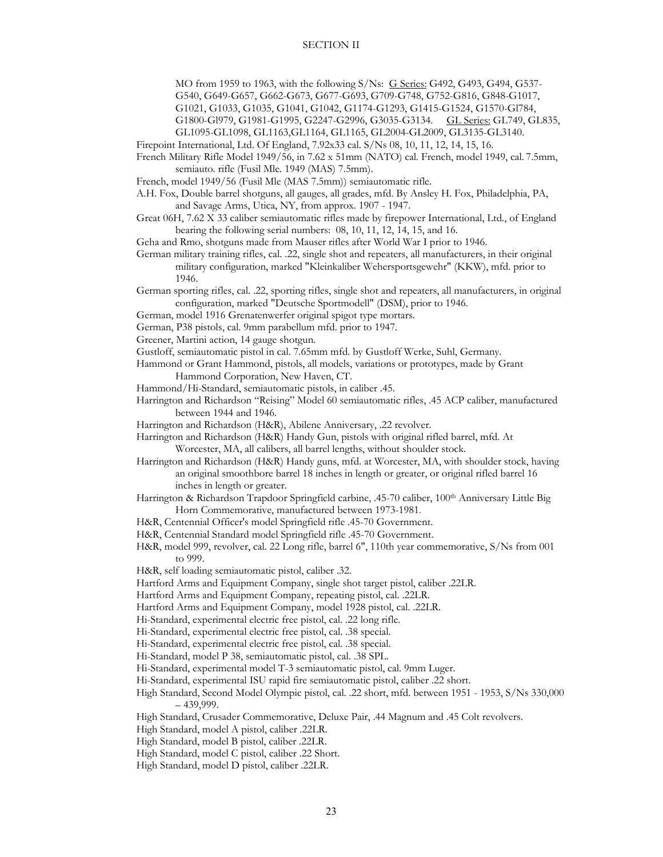MO from 1959 to 1963, with the following S/Ns: G Series: G492, G493, G494, G537- G540, G649-G657, G662-G673, G677-G693, G709-G748, G752-G816, G848-G1017,

G1021, G1033, G1035, G1041, G1042, G1174-G1293, G1415-G1524, G1570-Gl784,

G1800-Gl979, G1981-G1995, G2247-G2996, G3035-G3134. GL Series: GL749, GL835,

GL1095-GL1098, GL1163,GL1164, GL1165, GL2004-GL2009, GL3135-GL3140.

Firepoint International, Ltd. Of England, 7.92x33 cal. S/Ns 08, 10, 11, 12, 14, 15, 16.

French Military Rifle Model 1949/56, in 7.62 x 51mm (NATO) cal. French, model 1949, cal. 7.5mm, semiauto. rifle (Fusil Mle. 1949 (MAS) 7.5mm).

French, model 1949/56 (Fusil Mle (MAS 7.5mm)) semiautomatic rifle.

A.H. Fox, Double barrel shotguns, all gauges, all grades, mfd. By Ansley H. Fox, Philadelphia, PA, and Savage Arms, Utica, NY, from approx. 1907 - 1947.

Great 06H, 7.62 X 33 caliber semiautomatic rifles made by firepower International, Ltd., of England bearing the following serial numbers: 08, 10, 11, 12, 14, 15, and 16.

Geha and Rmo, shotguns made from Mauser rifles after World War I prior to 1946.

German military training rifles, cal. .22, single shot and repeaters, all manufacturers, in their original military configuration, marked "Kleinkaliber Wehersportsgewehr" (KKW), mfd. prior to 1946.

 German sporting rifles, cal. .22, sporting rifles, single shot and repeaters, all manufacturers, in original configuration, marked "Deutsche Sportmodell" (DSM), prior to 1946.

German, model 1916 Grenatenwerfer original spigot type mortars.

German, P38 pistols, cal. 9mm parabellum mfd. prior to 1947.

Greener, Martini action, 14 gauge shotgun.

Gustloff, semiautomatic pistol in cal. 7.65mm mfd. by Gustloff Werke, Suhl, Germany.

 Hammond or Grant Hammond, pistols, all models, variations or prototypes, made by Grant Hammond Corporation, New Haven, CT.

Hammond/Hi-Standard, semiautomatic pistols, in caliber .45.

 Harrington and Richardson "Reising" Model 60 semiautomatic rifles, .45 ACP caliber, manufactured between 1944 and 1946.

Harrington and Richardson (H&R), Abilene Anniversary, .22 revolver.

 Harrington and Richardson (H&R) Handy Gun, pistols with original rifled barrel, mfd. At Worcester, MA, all calibers, all barrel lengths, without shoulder stock.

- Harrington and Richardson (H&R) Handy guns, mfd. at Worcester, MA, with shoulder stock, having an original smoothbore barrel 18 inches in length or greater, or original rifled barrel 16 inches in length or greater.
- Harrington & Richardson Trapdoor Springfield carbine, .45-70 caliber, 100<sup>th</sup> Anniversary Little Big Horn Commemorative, manufactured between 1973-1981.
- H&R, Centennial Officer's model Springfield rifle .45-70 Government.

H&R, Centennial Standard model Springfield rifle .45-70 Government.

H&R, model 999, revolver, cal. 22 Long rifle, barrel 6", 110th year commemorative, S/Ns from 001 to 999.

H&R, self loading semiautomatic pistol, caliber .32.

Hartford Arms and Equipment Company, single shot target pistol, caliber .22LR.

Hartford Arms and Equipment Company, repeating pistol, cal. .22LR.

Hartford Arms and Equipment Company, model 1928 pistol, cal. .22LR.

Hi-Standard, experimental electric free pistol, cal. .22 long rifle.

Hi-Standard, experimental electric free pistol, cal. .38 special.

Hi-Standard, experimental electric free pistol, cal. .38 special.

Hi-Standard, model P 38, semiautomatic pistol, cal. .38 SPL.

Hi-Standard, experimental model T-3 semiautomatic pistol, cal. 9mm Luger.

Hi-Standard, experimental ISU rapid fire semiautomatic pistol, caliber .22 short.

High Standard, Second Model Olympic pistol, cal. .22 short, mfd. between 1951 - 1953, S/Ns 330,000  $-439,999.$ 

High Standard, Crusader Commemorative, Deluxe Pair, .44 Magnum and .45 Colt revolvers.

High Standard, model A pistol, caliber .22LR.

High Standard, model B pistol, caliber .22LR.

High Standard, model C pistol, caliber .22 Short.

High Standard, model D pistol, caliber .22LR.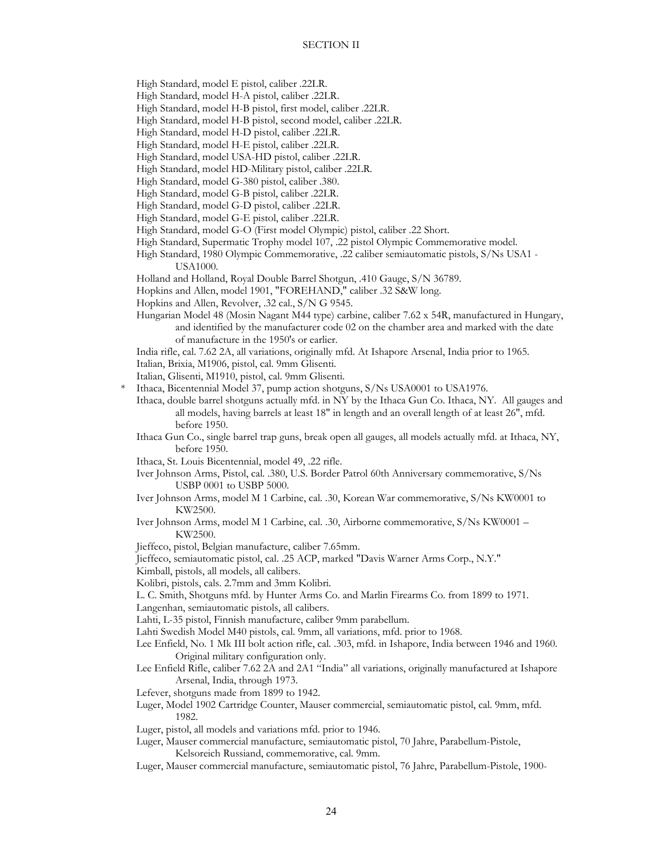High Standard, model E pistol, caliber .22LR.

- High Standard, model H-A pistol, caliber .22LR.
- High Standard, model H-B pistol, first model, caliber .22LR.
- High Standard, model H-B pistol, second model, caliber .22LR.
- High Standard, model H-D pistol, caliber .22LR.
- High Standard, model H-E pistol, caliber .22LR.
- High Standard, model USA-HD pistol, caliber .22LR.
- High Standard, model HD-Military pistol, caliber .22LR.
- High Standard, model G-380 pistol, caliber .380.
- High Standard, model G-B pistol, caliber .22LR.
- High Standard, model G-D pistol, caliber .22LR.
- High Standard, model G-E pistol, caliber .22LR.
- High Standard, model G-O (First model Olympic) pistol, caliber .22 Short.
- High Standard, Supermatic Trophy model 107, .22 pistol Olympic Commemorative model.
- High Standard, 1980 Olympic Commemorative, .22 caliber semiautomatic pistols, S/Ns USA1 USA1000.
- Holland and Holland, Royal Double Barrel Shotgun, .410 Gauge, S/N 36789.
- Hopkins and Allen, model 1901, "FOREHAND," caliber .32 S&W long.
- Hopkins and Allen, Revolver, .32 cal., S/N G 9545.
- Hungarian Model 48 (Mosin Nagant M44 type) carbine, caliber 7.62 x 54R, manufactured in Hungary, and identified by the manufacturer code 02 on the chamber area and marked with the date of manufacture in the 1950's or earlier.
- India rifle, cal. 7.62 2A, all variations, originally mfd. At Ishapore Arsenal, India prior to 1965.
- Italian, Brixia, M1906, pistol, cal. 9mm Glisenti.
- Italian, Glisenti, M1910, pistol, cal. 9mm Glisenti.
- Ithaca, Bicentennial Model 37, pump action shotguns, S/Ns USA0001 to USA1976.
- Ithaca, double barrel shotguns actually mfd. in NY by the Ithaca Gun Co. Ithaca, NY. All gauges and all models, having barrels at least 18" in length and an overall length of at least 26", mfd. before 1950.
- Ithaca Gun Co., single barrel trap guns, break open all gauges, all models actually mfd. at Ithaca, NY, before 1950.
- Ithaca, St. Louis Bicentennial, model 49, .22 rifle.
- Iver Johnson Arms, Pistol, cal. .380, U.S. Border Patrol 60th Anniversary commemorative, S/Ns USBP 0001 to USBP 5000.
- Iver Johnson Arms, model M 1 Carbine, cal. .30, Korean War commemorative, S/Ns KW0001 to KW2500.
- Iver Johnson Arms, model M 1 Carbine, cal. .30, Airborne commemorative, S/Ns KW0001 KW2500.
- Jieffeco, pistol, Belgian manufacture, caliber 7.65mm.
- Jieffeco, semiautomatic pistol, cal. .25 ACP, marked "Davis Warner Arms Corp., N.Y."
- Kimball, pistols, all models, all calibers.
- Kolibri, pistols, cals. 2.7mm and 3mm Kolibri.
- L. C. Smith, Shotguns mfd. by Hunter Arms Co. and Marlin Firearms Co. from 1899 to 1971.
- Langenhan, semiautomatic pistols, all calibers.
- Lahti, L-35 pistol, Finnish manufacture, caliber 9mm parabellum.
- Lahti Swedish Model M40 pistols, cal. 9mm, all variations, mfd. prior to 1968.
- Lee Enfield, No. 1 Mk III bolt action rifle, cal. .303, mfd. in Ishapore, India between 1946 and 1960. Original military configuration only.
- Lee Enfield Rifle, caliber 7.62 2A and 2A1 "India" all variations, originally manufactured at Ishapore Arsenal, India, through 1973.
- Lefever, shotguns made from 1899 to 1942.
- Luger, Model 1902 Cartridge Counter, Mauser commercial, semiautomatic pistol, cal. 9mm, mfd. 1982.
- Luger, pistol, all models and variations mfd. prior to 1946.
- Luger, Mauser commercial manufacture, semiautomatic pistol, 70 Jahre, Parabellum-Pistole, Kelsoreich Russiand, commemorative, cal. 9mm.
- Luger, Mauser commercial manufacture, semiautomatic pistol, 76 Jahre, Parabellum-Pistole, 1900-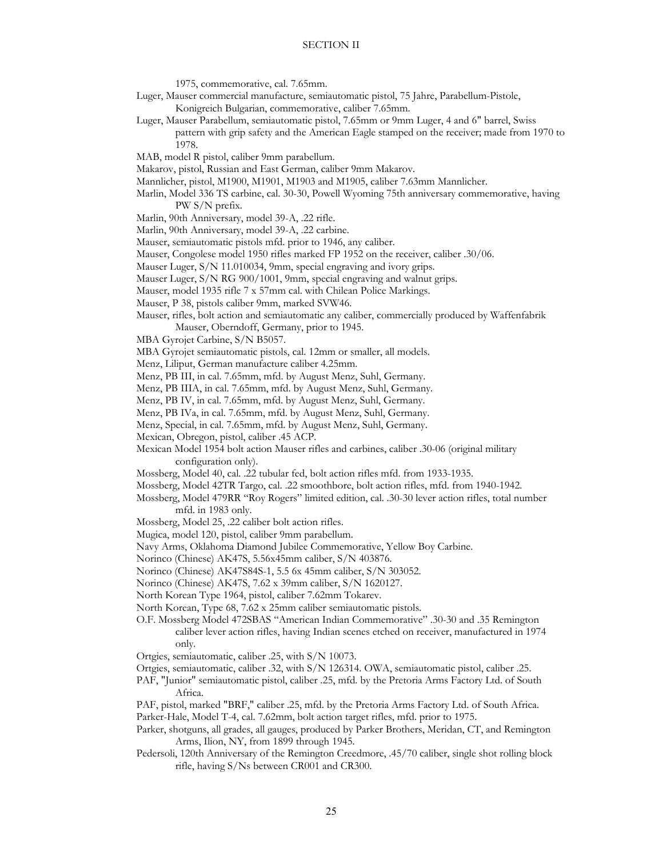1975, commemorative, cal. 7.65mm.

- Luger, Mauser commercial manufacture, semiautomatic pistol, 75 Jahre, Parabellum-Pistole, Konigreich Bulgarian, commemorative, caliber 7.65mm.
- Luger, Mauser Parabellum, semiautomatic pistol, 7.65mm or 9mm Luger, 4 and 6" barrel, Swiss
- pattern with grip safety and the American Eagle stamped on the receiver; made from 1970 to 1978.
- MAB, model R pistol, caliber 9mm parabellum.
- Makarov, pistol, Russian and East German, caliber 9mm Makarov.
- Mannlicher, pistol, M1900, M1901, M1903 and M1905, caliber 7.63mm Mannlicher.
- Marlin, Model 336 TS carbine, cal. 30-30, Powell Wyoming 75th anniversary commemorative, having PW S/N prefix.
- Marlin, 90th Anniversary, model 39-A, .22 rifle.
- Marlin, 90th Anniversary, model 39-A, .22 carbine.
- Mauser, semiautomatic pistols mfd. prior to 1946, any caliber.
- Mauser, Congolese model 1950 rifles marked FP 1952 on the receiver, caliber .30/06.
- Mauser Luger, S/N 11.010034, 9mm, special engraving and ivory grips.
- Mauser Luger, S/N RG 900/1001, 9mm, special engraving and walnut grips.
- Mauser, model 1935 rifle 7 x 57mm cal. with Chilean Police Markings.
- Mauser, P 38, pistols caliber 9mm, marked SVW46.
- Mauser, rifles, bolt action and semiautomatic any caliber, commercially produced by Waffenfabrik Mauser, Oberndoff, Germany, prior to 1945.
- MBA Gyrojet Carbine, S/N B5057.
- MBA Gyrojet semiautomatic pistols, cal. 12mm or smaller, all models.
- Menz, Liliput, German manufacture caliber 4.25mm.
- Menz, PB III, in cal. 7.65mm, mfd. by August Menz, Suhl, Germany.
- Menz, PB IIIA, in cal. 7.65mm, mfd. by August Menz, Suhl, Germany.
- Menz, PB IV, in cal. 7.65mm, mfd. by August Menz, Suhl, Germany.
- Menz, PB IVa, in cal. 7.65mm, mfd. by August Menz, Suhl, Germany.
- Menz, Special, in cal. 7.65mm, mfd. by August Menz, Suhl, Germany.
- Mexican, Obregon, pistol, caliber .45 ACP.
- Mexican Model 1954 bolt action Mauser rifles and carbines, caliber .30-06 (original military configuration only).
- Mossberg, Model 40, cal. .22 tubular fed, bolt action rifles mfd. from 1933-1935.
- Mossberg, Model 42TR Targo, cal. .22 smoothbore, bolt action rifles, mfd. from 1940-1942.
- Mossberg, Model 479RR "Roy Rogers" limited edition, cal. .30-30 lever action rifles, total number mfd. in 1983 only.
- Mossberg, Model 25, .22 caliber bolt action rifles.
- Mugica, model 120, pistol, caliber 9mm parabellum.
- Navy Arms, Oklahoma Diamond Jubilee Commemorative, Yellow Boy Carbine.
- Norinco (Chinese) AK47S, 5.56x45mm caliber, S/N 403876.
- Norinco (Chinese) AK47S84S-1, 5.5 6x 45mm caliber, S/N 303052.
- Norinco (Chinese) AK47S, 7.62 x 39mm caliber, S/N 1620127.
- North Korean Type 1964, pistol, caliber 7.62mm Tokarev.
- North Korean, Type 68, 7.62 x 25mm caliber semiautomatic pistols.
- O.F. Mossberg Model 472SBAS "American Indian Commemorative" .30-30 and .35 Remington caliber lever action rifles, having Indian scenes etched on receiver, manufactured in 1974 only.
- Ortgies, semiautomatic, caliber .25, with S/N 10073.
- Ortgies, semiautomatic, caliber .32, with S/N 126314. OWA, semiautomatic pistol, caliber .25.
- PAF, "Junior" semiautomatic pistol, caliber .25, mfd. by the Pretoria Arms Factory Ltd. of South Africa.
- PAF, pistol, marked "BRF," caliber .25, mfd. by the Pretoria Arms Factory Ltd. of South Africa. Parker-Hale, Model T-4, cal. 7.62mm, bolt action target rifles, mfd. prior to 1975.
- Parker, shotguns, all grades, all gauges, produced by Parker Brothers, Meridan, CT, and Remington Arms, Ilion, NY, from 1899 through 1945.
- Pedersoli, 120th Anniversary of the Remington Creedmore, .45/70 caliber, single shot rolling block rifle, having S/Ns between CR001 and CR300.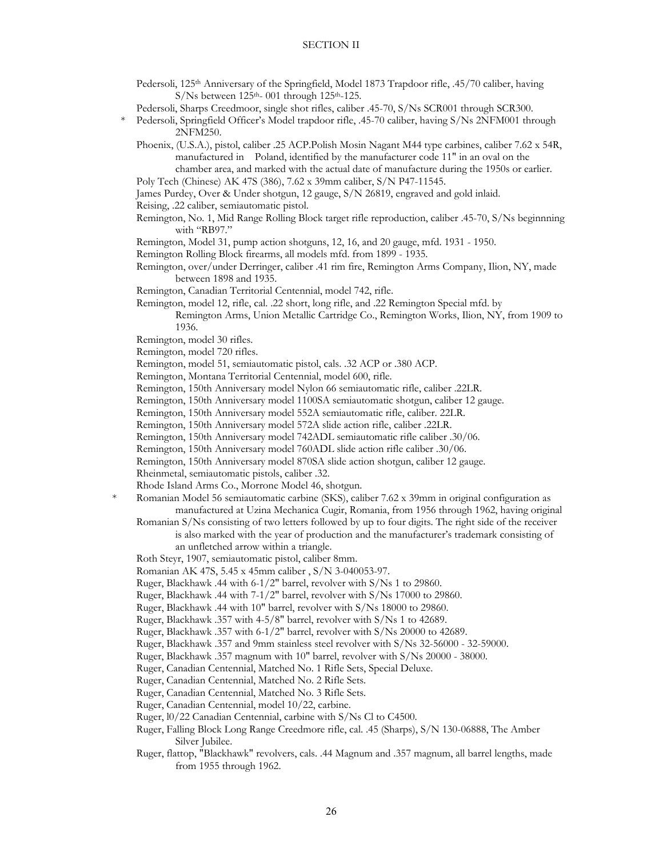- Pedersoli, 125<sup>th</sup> Anniversary of the Springfield, Model 1873 Trapdoor rifle, .45/70 caliber, having  $S/Ns$  between  $125<sup>th</sup> - 001$  through  $125<sup>th</sup> - 125$ .
- Pedersoli, Sharps Creedmoor, single shot rifles, caliber .45-70, S/Ns SCR001 through SCR300.
- \* Pedersoli, Springfield Officer's Model trapdoor rifle, .45-70 caliber, having S/Ns 2NFM001 through 2NFM250.
	- Phoenix, (U.S.A.), pistol, caliber .25 ACP.Polish Mosin Nagant M44 type carbines, caliber 7.62 x 54R, manufactured in Poland, identified by the manufacturer code 11" in an oval on the chamber area, and marked with the actual date of manufacture during the 1950s or earlier.
	- Poly Tech (Chinese) AK 47S (386), 7.62 x 39mm caliber, S/N P47-11545.
	- James Purdey, Over & Under shotgun, 12 gauge, S/N 26819, engraved and gold inlaid.
	- Reising, .22 caliber, semiautomatic pistol.
	- Remington, No. 1, Mid Range Rolling Block target rifle reproduction, caliber .45-70, S/Ns beginnning with "RB97."
	- Remington, Model 31, pump action shotguns, 12, 16, and 20 gauge, mfd. 1931 1950.
	- Remington Rolling Block firearms, all models mfd. from 1899 1935.
	- Remington, over/under Derringer, caliber .41 rim fire, Remington Arms Company, Ilion, NY, made between 1898 and 1935.
	- Remington, Canadian Territorial Centennial, model 742, rifle.
	- Remington, model 12, rifle, cal. .22 short, long rifle, and .22 Remington Special mfd. by
		- Remington Arms, Union Metallic Cartridge Co., Remington Works, Ilion, NY, from 1909 to 1936.
	- Remington, model 30 rifles.
	- Remington, model 720 rifles.
	- Remington, model 51, semiautomatic pistol, cals. .32 ACP or .380 ACP.
	- Remington, Montana Territorial Centennial, model 600, rifle.
	- Remington, 150th Anniversary model Nylon 66 semiautomatic rifle, caliber .22LR.
	- Remington, 150th Anniversary model 1100SA semiautomatic shotgun, caliber 12 gauge.
	- Remington, 150th Anniversary model 552A semiautomatic rifle, caliber. 22LR.
	- Remington, 150th Anniversary model 572A slide action rifle, caliber .22LR.
	- Remington, 150th Anniversary model 742ADL semiautomatic rifle caliber .30/06.
	- Remington, 150th Anniversary model 760ADL slide action rifle caliber .30/06.
	- Remington, 150th Anniversary model 870SA slide action shotgun, caliber 12 gauge.
	- Rheinmetal, semiautomatic pistols, caliber .32.
	- Rhode Island Arms Co., Morrone Model 46, shotgun.
	- Romanian Model 56 semiautomatic carbine (SKS), caliber 7.62 x 39mm in original configuration as manufactured at Uzina Mechanica Cugir, Romania, from 1956 through 1962, having original
	- Romanian S/Ns consisting of two letters followed by up to four digits. The right side of the receiver is also marked with the year of production and the manufacturer's trademark consisting of an unfletched arrow within a triangle.
	- Roth Steyr, 1907, semiautomatic pistol, caliber 8mm.
	- Romanian AK 47S, 5.45 x 45mm caliber , S/N 3-040053-97.
	- Ruger, Blackhawk .44 with 6-1/2" barrel, revolver with S/Ns 1 to 29860.
	- Ruger, Blackhawk .44 with 7-1/2" barrel, revolver with S/Ns 17000 to 29860.
	- Ruger, Blackhawk .44 with 10" barrel, revolver with S/Ns 18000 to 29860.
	- Ruger, Blackhawk .357 with 4-5/8" barrel, revolver with S/Ns 1 to 42689.
	- Ruger, Blackhawk .357 with 6-1/2" barrel, revolver with S/Ns 20000 to 42689.
	- Ruger, Blackhawk .357 and 9mm stainless steel revolver with S/Ns 32-56000 32-59000.
	- Ruger, Blackhawk .357 magnum with 10" barrel, revolver with S/Ns 20000 38000.
	- Ruger, Canadian Centennial, Matched No. 1 Rifle Sets, Special Deluxe.
	- Ruger, Canadian Centennial, Matched No. 2 Rifle Sets.
	- Ruger, Canadian Centennial, Matched No. 3 Rifle Sets.
	- Ruger, Canadian Centennial, model 10/22, carbine.
	- Ruger, l0/22 Canadian Centennial, carbine with S/Ns Cl to C4500.
	- Ruger, Falling Block Long Range Creedmore rifle, cal. .45 (Sharps), S/N 130-06888, The Amber Silver Jubilee.
	- Ruger, flattop, "Blackhawk" revolvers, cals. .44 Magnum and .357 magnum, all barrel lengths, made from 1955 through 1962.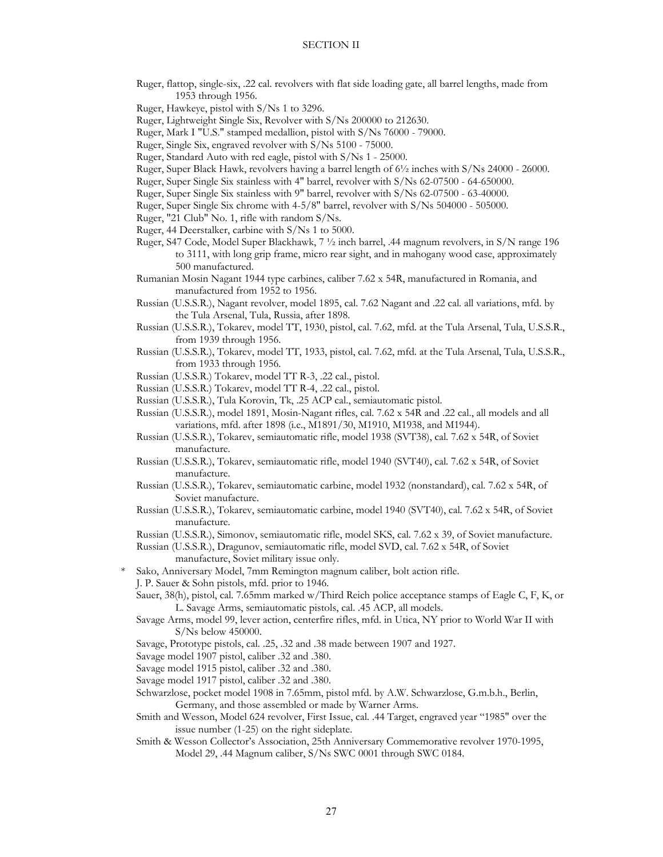- Ruger, flattop, single-six, .22 cal. revolvers with flat side loading gate, all barrel lengths, made from 1953 through 1956.
- Ruger, Hawkeye, pistol with S/Ns 1 to 3296.
- Ruger, Lightweight Single Six, Revolver with S/Ns 200000 to 212630.
- Ruger, Mark I "U.S." stamped medallion, pistol with S/Ns 76000 79000.
- Ruger, Single Six, engraved revolver with S/Ns 5100 75000.
- Ruger, Standard Auto with red eagle, pistol with S/Ns 1 25000.
- Ruger, Super Black Hawk, revolvers having a barrel length of 6½ inches with S/Ns 24000 26000.
- Ruger, Super Single Six stainless with 4" barrel, revolver with S/Ns 62-07500 64-650000.
- Ruger, Super Single Six stainless with 9" barrel, revolver with S/Ns 62-07500 63-40000.
- Ruger, Super Single Six chrome with 4-5/8" barrel, revolver with S/Ns 504000 505000.
- Ruger, "21 Club" No. 1, rifle with random S/Ns.
- Ruger, 44 Deerstalker, carbine with S/Ns 1 to 5000.
- Ruger, S47 Code, Model Super Blackhawk, 7 ½ inch barrel, .44 magnum revolvers, in S/N range 196 to 3111, with long grip frame, micro rear sight, and in mahogany wood case, approximately 500 manufactured.
- Rumanian Mosin Nagant 1944 type carbines, caliber 7.62 x 54R, manufactured in Romania, and manufactured from 1952 to 1956.
- Russian (U.S.S.R.), Nagant revolver, model 1895, cal. 7.62 Nagant and .22 cal. all variations, mfd. by the Tula Arsenal, Tula, Russia, after 1898.
- Russian (U.S.S.R.), Tokarev, model TT, 1930, pistol, cal. 7.62, mfd. at the Tula Arsenal, Tula, U.S.S.R., from 1939 through 1956.
- Russian (U.S.S.R.), Tokarev, model TT, 1933, pistol, cal. 7.62, mfd. at the Tula Arsenal, Tula, U.S.S.R., from 1933 through 1956.
- Russian (U.S.S.R.) Tokarev, model TT R-3, .22 cal., pistol.
- Russian (U.S.S.R.) Tokarev, model TT R-4, .22 cal., pistol.
- Russian (U.S.S.R.), Tula Korovin, Tk, .25 ACP cal., semiautomatic pistol.
- Russian (U.S.S.R.), model 1891, Mosin-Nagant rifles, cal. 7.62 x 54R and .22 cal., all models and all variations, mfd. after 1898 (i.e., M1891/30, M1910, M1938, and M1944).
- Russian (U.S.S.R.), Tokarev, semiautomatic rifle, model 1938 (SVT38), cal. 7.62 x 54R, of Soviet manufacture.
- Russian (U.S.S.R.), Tokarev, semiautomatic rifle, model 1940 (SVT40), cal. 7.62 x 54R, of Soviet manufacture.
- Russian (U.S.S.R.), Tokarev, semiautomatic carbine, model 1932 (nonstandard), cal. 7.62 x 54R, of Soviet manufacture.
- Russian (U.S.S.R.), Tokarev, semiautomatic carbine, model 1940 (SVT40), cal. 7.62 x 54R, of Soviet manufacture.

Russian (U.S.S.R.), Simonov, semiautomatic rifle, model SKS, cal. 7.62 x 39, of Soviet manufacture.

- Russian (U.S.S.R.), Dragunov, semiautomatic rifle, model SVD, cal. 7.62 x 54R, of Soviet manufacture, Soviet military issue only.
- Sako, Anniversary Model, 7mm Remington magnum caliber, bolt action rifle. J. P. Sauer & Sohn pistols, mfd. prior to 1946.
	- Sauer, 38(h), pistol, cal. 7.65mm marked w/Third Reich police acceptance stamps of Eagle C, F, K, or L. Savage Arms, semiautomatic pistols, cal. .45 ACP, all models.
	- Savage Arms, model 99, lever action, centerfire rifles, mfd. in Utica, NY prior to World War II with S/Ns below 450000.
	- Savage, Prototype pistols, cal. .25, .32 and .38 made between 1907 and 1927.
	- Savage model 1907 pistol, caliber .32 and .380.
	- Savage model 1915 pistol, caliber .32 and .380.
	- Savage model 1917 pistol, caliber .32 and .380.
	- Schwarzlose, pocket model 1908 in 7.65mm, pistol mfd. by A.W. Schwarzlose, G.m.b.h., Berlin, Germany, and those assembled or made by Warner Arms.
	- Smith and Wesson, Model 624 revolver, First Issue, cal. .44 Target, engraved year "1985" over the issue number (1-25) on the right sideplate.
	- Smith & Wesson Collector's Association, 25th Anniversary Commemorative revolver 1970-1995, Model 29, .44 Magnum caliber, S/Ns SWC 0001 through SWC 0184.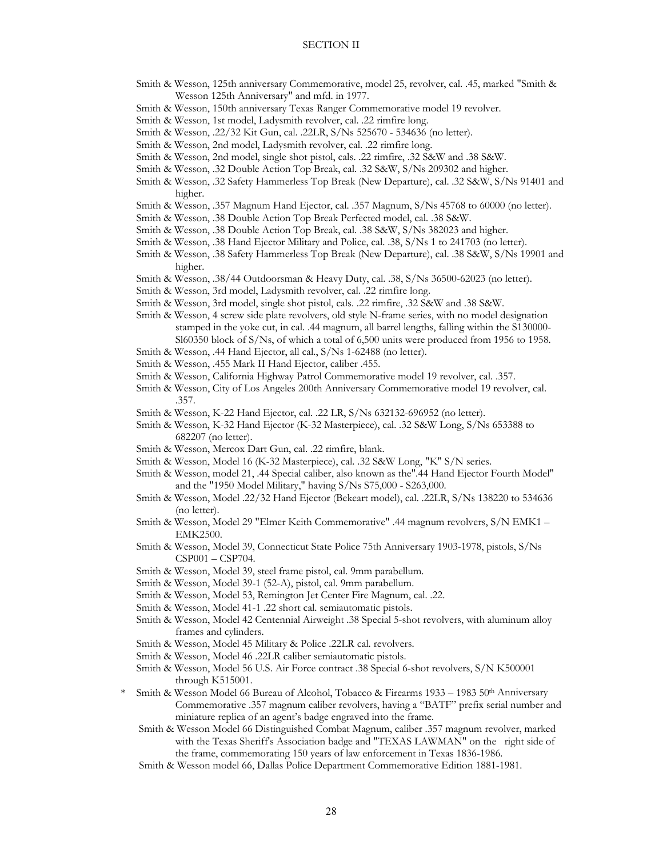- Smith & Wesson, 125th anniversary Commemorative, model 25, revolver, cal. .45, marked "Smith & Wesson 125th Anniversary" and mfd. in 1977.
- Smith & Wesson, 150th anniversary Texas Ranger Commemorative model 19 revolver.
- Smith & Wesson, 1st model, Ladysmith revolver, cal. .22 rimfire long.
- Smith & Wesson, .22/32 Kit Gun, cal. .22LR, S/Ns 525670 534636 (no letter).
- Smith & Wesson, 2nd model, Ladysmith revolver, cal. .22 rimfire long.
- Smith & Wesson, 2nd model, single shot pistol, cals. .22 rimfire, .32 S&W and .38 S&W.
- Smith & Wesson, .32 Double Action Top Break, cal. .32 S&W, S/Ns 209302 and higher.
- Smith & Wesson, .32 Safety Hammerless Top Break (New Departure), cal. .32 S&W, S/Ns 91401 and higher.
- Smith & Wesson, .357 Magnum Hand Ejector, cal. .357 Magnum, S/Ns 45768 to 60000 (no letter).
- Smith & Wesson, .38 Double Action Top Break Perfected model, cal. .38 S&W.
- Smith & Wesson, .38 Double Action Top Break, cal. .38 S&W, S/Ns 382023 and higher.
- Smith & Wesson, .38 Hand Ejector Military and Police, cal. .38, S/Ns 1 to 241703 (no letter).
- Smith & Wesson, .38 Safety Hammerless Top Break (New Departure), cal. .38 S&W, S/Ns 19901 and higher.
- Smith & Wesson, .38/44 Outdoorsman & Heavy Duty, cal. .38, S/Ns 36500-62023 (no letter).
- Smith & Wesson, 3rd model, Ladysmith revolver, cal. .22 rimfire long.
- Smith & Wesson, 3rd model, single shot pistol, cals. .22 rimfire, .32 S&W and .38 S&W.
- Smith & Wesson, 4 screw side plate revolvers, old style N-frame series, with no model designation stamped in the yoke cut, in cal. .44 magnum, all barrel lengths, falling within the S130000- Sl60350 block of S/Ns, of which a total of 6,500 units were produced from 1956 to 1958.
- Smith & Wesson, .44 Hand Ejector, all cal., S/Ns 1-62488 (no letter).
- Smith & Wesson, .455 Mark II Hand Ejector, caliber .455.
- Smith & Wesson, California Highway Patrol Commemorative model 19 revolver, cal. .357.
- Smith & Wesson, City of Los Angeles 200th Anniversary Commemorative model 19 revolver, cal. .357.
- Smith & Wesson, K-22 Hand Ejector, cal. .22 LR, S/Ns 632132-696952 (no letter).
- Smith & Wesson, K-32 Hand Ejector (K-32 Masterpiece), cal. .32 S&W Long, S/Ns 653388 to 682207 (no letter).
- Smith & Wesson, Mercox Dart Gun, cal. .22 rimfire, blank.
- Smith & Wesson, Model 16 (K-32 Masterpiece), cal. .32 S&W Long, "K" S/N series.
- Smith & Wesson, model 21, .44 Special caliber, also known as the".44 Hand Ejector Fourth Model" and the "1950 Model Military," having S/Ns S75,000 - S263,000.
- Smith & Wesson, Model .22/32 Hand Ejector (Bekeart model), cal. .22LR, S/Ns 138220 to 534636 (no letter).
- Smith & Wesson, Model 29 "Elmer Keith Commemorative" .44 magnum revolvers, S/N EMK1 EMK2500.
- Smith & Wesson, Model 39, Connecticut State Police 75th Anniversary 1903-1978, pistols, S/Ns CSP001 – CSP704.
- Smith & Wesson, Model 39, steel frame pistol, cal. 9mm parabellum.
- Smith & Wesson, Model 39-1 (52-A), pistol, cal. 9mm parabellum.
- Smith & Wesson, Model 53, Remington Jet Center Fire Magnum, cal. .22.
- Smith & Wesson, Model 41-1 .22 short cal. semiautomatic pistols.
- Smith & Wesson, Model 42 Centennial Airweight .38 Special 5-shot revolvers, with aluminum alloy frames and cylinders.
- Smith & Wesson, Model 45 Military & Police .22LR cal. revolvers.
- Smith & Wesson, Model 46 .22LR caliber semiautomatic pistols.
- Smith & Wesson, Model 56 U.S. Air Force contract .38 Special 6-shot revolvers, S/N K500001 through K515001.
- \* Smith & Wesson Model 66 Bureau of Alcohol, Tobacco & Firearms 1933 1983 50<sup>th</sup> Anniversary Commemorative .357 magnum caliber revolvers, having a "BATF" prefix serial number and miniature replica of an agent's badge engraved into the frame.
	- Smith & Wesson Model 66 Distinguished Combat Magnum, caliber .357 magnum revolver, marked with the Texas Sheriff's Association badge and "TEXAS LAWMAN" on the right side of the frame, commemorating 150 years of law enforcement in Texas 1836-1986.
	- Smith & Wesson model 66, Dallas Police Department Commemorative Edition 1881-1981.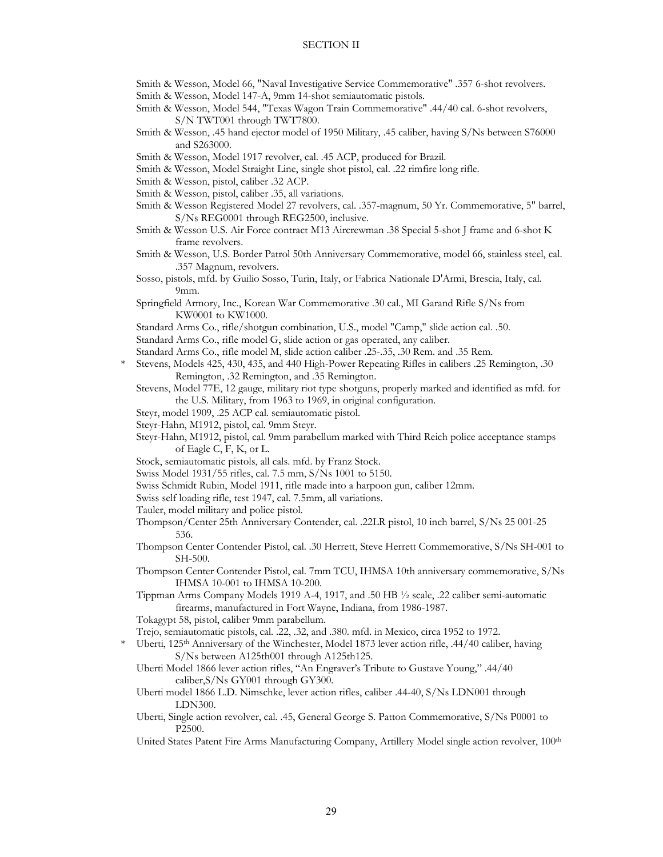- Smith & Wesson, Model 66, "Naval Investigative Service Commemorative" .357 6-shot revolvers.
- Smith & Wesson, Model 147-A, 9mm 14-shot semiautomatic pistols.
- Smith & Wesson, Model 544, "Texas Wagon Train Commemorative" .44/40 cal. 6-shot revolvers, S/N TWT001 through TWT7800.
- Smith & Wesson, .45 hand ejector model of 1950 Military, .45 caliber, having S/Ns between S76000 and S263000.
- Smith & Wesson, Model 1917 revolver, cal. .45 ACP, produced for Brazil.
- Smith & Wesson, Model Straight Line, single shot pistol, cal. .22 rimfire long rifle.
- Smith & Wesson, pistol, caliber .32 ACP.
- Smith & Wesson, pistol, caliber .35, all variations.
- Smith & Wesson Registered Model 27 revolvers, cal. .357-magnum, 50 Yr. Commemorative, 5" barrel, S/Ns REG0001 through REG2500, inclusive.
- Smith & Wesson U.S. Air Force contract M13 Aircrewman .38 Special 5-shot J frame and 6-shot K frame revolvers.
- Smith & Wesson, U.S. Border Patrol 50th Anniversary Commemorative, model 66, stainless steel, cal. .357 Magnum, revolvers.
- Sosso, pistols, mfd. by Guilio Sosso, Turin, Italy, or Fabrica Nationale D'Armi, Brescia, Italy, cal. 9mm.
- Springfield Armory, Inc., Korean War Commemorative .30 cal., MI Garand Rifle S/Ns from KW0001 to KW1000.
- Standard Arms Co., rifle/shotgun combination, U.S., model "Camp," slide action cal. .50.
- Standard Arms Co., rifle model G, slide action or gas operated, any caliber.
- Standard Arms Co., rifle model M, slide action caliber .25-.35, .30 Rem. and .35 Rem.
- \* Stevens, Models 425, 430, 435, and 440 High-Power Repeating Rifles in calibers .25 Remington, .30 Remington, .32 Remington, and .35 Remington.
	- Stevens, Model 77E, 12 gauge, military riot type shotguns, properly marked and identified as mfd. for the U.S. Military, from 1963 to 1969, in original configuration.
	- Steyr, model 1909, .25 ACP cal. semiautomatic pistol.
	- Steyr-Hahn, M1912, pistol, cal. 9mm Steyr.
	- Steyr-Hahn, M1912, pistol, cal. 9mm parabellum marked with Third Reich police acceptance stamps of Eagle C, F, K, or L.
	- Stock, semiautomatic pistols, all cals. mfd. by Franz Stock.
	- Swiss Model 1931/55 rifles, cal. 7.5 mm, S/Ns 1001 to 5150.
	- Swiss Schmidt Rubin, Model 1911, rifle made into a harpoon gun, caliber 12mm.
	- Swiss self loading rifle, test 1947, cal. 7.5mm, all variations.
	- Tauler, model military and police pistol.
	- Thompson/Center 25th Anniversary Contender, cal. .22LR pistol, 10 inch barrel, S/Ns 25 001-25 536.
	- Thompson Center Contender Pistol, cal. .30 Herrett, Steve Herrett Commemorative, S/Ns SH-001 to SH-500.
	- Thompson Center Contender Pistol, cal. 7mm TCU, IHMSA 10th anniversary commemorative, S/Ns IHMSA 10-001 to IHMSA 10-200.
	- Tippman Arms Company Models 1919 A-4, 1917, and .50 HB ½ scale, .22 caliber semi-automatic firearms, manufactured in Fort Wayne, Indiana, from 1986-1987.
	- Tokagypt 58, pistol, caliber 9mm parabellum.
	- Trejo, semiautomatic pistols, cal. .22, .32, and .380. mfd. in Mexico, circa 1952 to 1972.
- \* Uberti, 125th Anniversary of the Winchester, Model 1873 lever action rifle, .44/40 caliber, having S/Ns between A125th001 through A125th125.
	- Uberti Model 1866 lever action rifles, "An Engraver's Tribute to Gustave Young," .44/40 caliber,S/Ns GY001 through GY300.
	- Uberti model 1866 L.D. Nimschke, lever action rifles, caliber .44-40, S/Ns LDN001 through LDN300.
	- Uberti, Single action revolver, cal. .45, General George S. Patton Commemorative, S/Ns P0001 to P2500.
	- United States Patent Fire Arms Manufacturing Company, Artillery Model single action revolver, 100<sup>th</sup>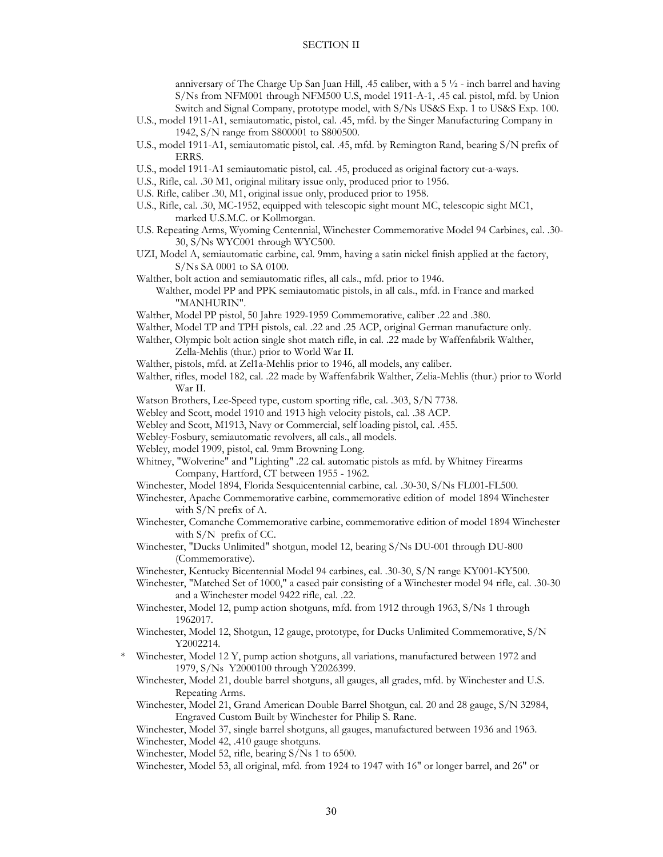anniversary of The Charge Up San Juan Hill, .45 caliber, with a 5 ½ - inch barrel and having S/Ns from NFM001 through NFM500 U.S, model 1911-A-1, .45 cal. pistol, mfd. by Union Switch and Signal Company, prototype model, with S/Ns US&S Exp. 1 to US&S Exp. 100.

- U.S., model 1911-A1, semiautomatic, pistol, cal. .45, mfd. by the Singer Manufacturing Company in 1942, S/N range from S800001 to S800500.
- U.S., model 1911-A1, semiautomatic pistol, cal. .45, mfd. by Remington Rand, bearing S/N prefix of ERRS.
- U.S., model 1911-A1 semiautomatic pistol, cal. .45, produced as original factory cut-a-ways.
- U.S., Rifle, cal. .30 M1, original military issue only, produced prior to 1956.
- U.S. Rifle, caliber .30, M1, original issue only, produced prior to 1958.
- U.S., Rifle, cal. .30, MC-1952, equipped with telescopic sight mount MC, telescopic sight MC1, marked U.S.M.C. or Kollmorgan.
- U.S. Repeating Arms, Wyoming Centennial, Winchester Commemorative Model 94 Carbines, cal. .30- 30, S/Ns WYC001 through WYC500.
- UZI, Model A, semiautomatic carbine, cal. 9mm, having a satin nickel finish applied at the factory, S/Ns SA 0001 to SA 0100.
- Walther, bolt action and semiautomatic rifles, all cals., mfd. prior to 1946.

 Walther, model PP and PPK semiautomatic pistols, in all cals., mfd. in France and marked "MANHURIN".

- Walther, Model PP pistol, 50 Jahre 1929-1959 Commemorative, caliber .22 and .380.
- Walther, Model TP and TPH pistols, cal. .22 and .25 ACP, original German manufacture only.
- Walther, Olympic bolt action single shot match rifle, in cal. .22 made by Waffenfabrik Walther, Zella-Mehlis (thur.) prior to World War II.
- Walther, pistols, mfd. at Zel1a-Mehlis prior to 1946, all models, any caliber.
- Walther, rifles, model 182, cal. .22 made by Waffenfabrik Walther, Zelia-Mehlis (thur.) prior to World War II.
- Watson Brothers, Lee-Speed type, custom sporting rifle, cal. .303, S/N 7738.
- Webley and Scott, model 1910 and 1913 high velocity pistols, cal. .38 ACP.
- Webley and Scott, M1913, Navy or Commercial, self loading pistol, cal. .455.
- Webley-Fosbury, semiautomatic revolvers, all cals., all models.
- Webley, model 1909, pistol, cal. 9mm Browning Long.
- Whitney, "Wolverine" and "Lighting" .22 cal. automatic pistols as mfd. by Whitney Firearms Company, Hartford, CT between 1955 - 1962.
- Winchester, Model 1894, Florida Sesquicentennial carbine, cal. .30-30, S/Ns FL001-FL500.
- Winchester, Apache Commemorative carbine, commemorative edition of model 1894 Winchester with S/N prefix of A.
- Winchester, Comanche Commemorative carbine, commemorative edition of model 1894 Winchester with S/N prefix of CC.
- Winchester, "Ducks Unlimited" shotgun, model 12, bearing S/Ns DU-001 through DU-800 (Commemorative).
- Winchester, Kentucky Bicentennial Model 94 carbines, cal. .30-30, S/N range KY001-KY500.
- Winchester, "Matched Set of 1000," a cased pair consisting of a Winchester model 94 rifle, cal. .30-30 and a Winchester model 9422 rifle, cal. .22.
- Winchester, Model 12, pump action shotguns, mfd. from 1912 through 1963, S/Ns 1 through 1962017.
- Winchester, Model 12, Shotgun, 12 gauge, prototype, for Ducks Unlimited Commemorative, S/N Y2002214.
- Winchester, Model 12 Y, pump action shotguns, all variations, manufactured between 1972 and 1979, S/Ns Y2000100 through Y2026399.
	- Winchester, Model 21, double barrel shotguns, all gauges, all grades, mfd. by Winchester and U.S. Repeating Arms.
	- Winchester, Model 21, Grand American Double Barrel Shotgun, cal. 20 and 28 gauge, S/N 32984, Engraved Custom Built by Winchester for Philip S. Rane.

Winchester, Model 37, single barrel shotguns, all gauges, manufactured between 1936 and 1963. Winchester, Model 42, .410 gauge shotguns.

Winchester, Model 52, rifle, bearing S/Ns 1 to 6500.

Winchester, Model 53, all original, mfd. from 1924 to 1947 with 16" or longer barrel, and 26" or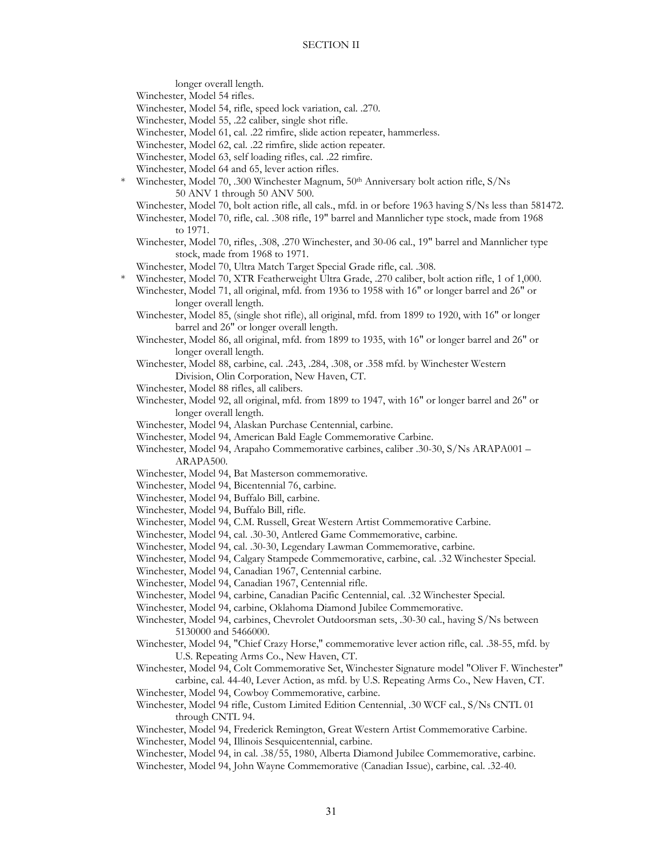longer overall length.

Winchester, Model 54 rifles.

Winchester, Model 54, rifle, speed lock variation, cal. .270.

Winchester, Model 55, .22 caliber, single shot rifle.

Winchester, Model 61, cal. .22 rimfire, slide action repeater, hammerless.

Winchester, Model 62, cal. .22 rimfire, slide action repeater.

- Winchester, Model 63, self loading rifles, cal. .22 rimfire.
- Winchester, Model 64 and 65, lever action rifles.
- Winchester, Model 70, .300 Winchester Magnum, 50<sup>th</sup> Anniversary bolt action rifle, S/Ns 50 ANV 1 through 50 ANV 500.
	- Winchester, Model 70, bolt action rifle, all cals., mfd. in or before 1963 having S/Ns less than 581472.
	- Winchester, Model 70, rifle, cal. .308 rifle, 19" barrel and Mannlicher type stock, made from 1968 to 1971.
	- Winchester, Model 70, rifles, .308, .270 Winchester, and 30-06 cal., 19" barrel and Mannlicher type stock, made from 1968 to 1971.
- Winchester, Model 70, Ultra Match Target Special Grade rifle, cal. .308.
- \* Winchester, Model 70, XTR Featherweight Ultra Grade, .270 caliber, bolt action rifle, 1 of 1,000.
	- Winchester, Model 71, all original, mfd. from 1936 to 1958 with 16" or longer barrel and 26" or longer overall length.
	- Winchester, Model 85, (single shot rifle), all original, mfd. from 1899 to 1920, with 16" or longer barrel and 26" or longer overall length.
	- Winchester, Model 86, all original, mfd. from 1899 to 1935, with 16" or longer barrel and 26" or longer overall length.
	- Winchester, Model 88, carbine, cal. .243, .284, .308, or .358 mfd. by Winchester Western Division, Olin Corporation, New Haven, CT.
	- Winchester, Model 88 rifles, all calibers.
	- Winchester, Model 92, all original, mfd. from 1899 to 1947, with 16" or longer barrel and 26" or longer overall length.
	- Winchester, Model 94, Alaskan Purchase Centennial, carbine.
	- Winchester, Model 94, American Bald Eagle Commemorative Carbine.
	- Winchester, Model 94, Arapaho Commemorative carbines, caliber .30-30, S/Ns ARAPA001 ARAPA500.
	- Winchester, Model 94, Bat Masterson commemorative.
	- Winchester, Model 94, Bicentennial 76, carbine.
	- Winchester, Model 94, Buffalo Bill, carbine.
	- Winchester, Model 94, Buffalo Bill, rifle.
	- Winchester, Model 94, C.M. Russell, Great Western Artist Commemorative Carbine.
	- Winchester, Model 94, cal. .30-30, Antlered Game Commemorative, carbine.
	- Winchester, Model 94, cal. .30-30, Legendary Lawman Commemorative, carbine.
	- Winchester, Model 94, Calgary Stampede Commemorative, carbine, cal. .32 Winchester Special.
	- Winchester, Model 94, Canadian 1967, Centennial carbine.
	- Winchester, Model 94, Canadian 1967, Centennial rifle.
	- Winchester, Model 94, carbine, Canadian Pacific Centennial, cal. .32 Winchester Special.
	- Winchester, Model 94, carbine, Oklahoma Diamond Jubilee Commemorative.
	- Winchester, Model 94, carbines, Chevrolet Outdoorsman sets, .30-30 cal., having S/Ns between 5130000 and 5466000.
	- Winchester, Model 94, "Chief Crazy Horse," commemorative lever action rifle, cal. .38-55, mfd. by U.S. Repeating Arms Co., New Haven, CT.
	- Winchester, Model 94, Colt Commemorative Set, Winchester Signature model "Oliver F. Winchester" carbine, cal. 44-40, Lever Action, as mfd. by U.S. Repeating Arms Co., New Haven, CT.
	- Winchester, Model 94, Cowboy Commemorative, carbine.
	- Winchester, Model 94 rifle, Custom Limited Edition Centennial, .30 WCF cal., S/Ns CNTL 01 through CNTL 94.
	- Winchester, Model 94, Frederick Remington, Great Western Artist Commemorative Carbine.
	- Winchester, Model 94, Illinois Sesquicentennial, carbine.
	- Winchester, Model 94, in cal. .38/55, 1980, Alberta Diamond Jubilee Commemorative, carbine. Winchester, Model 94, John Wayne Commemorative (Canadian Issue), carbine, cal. .32-40.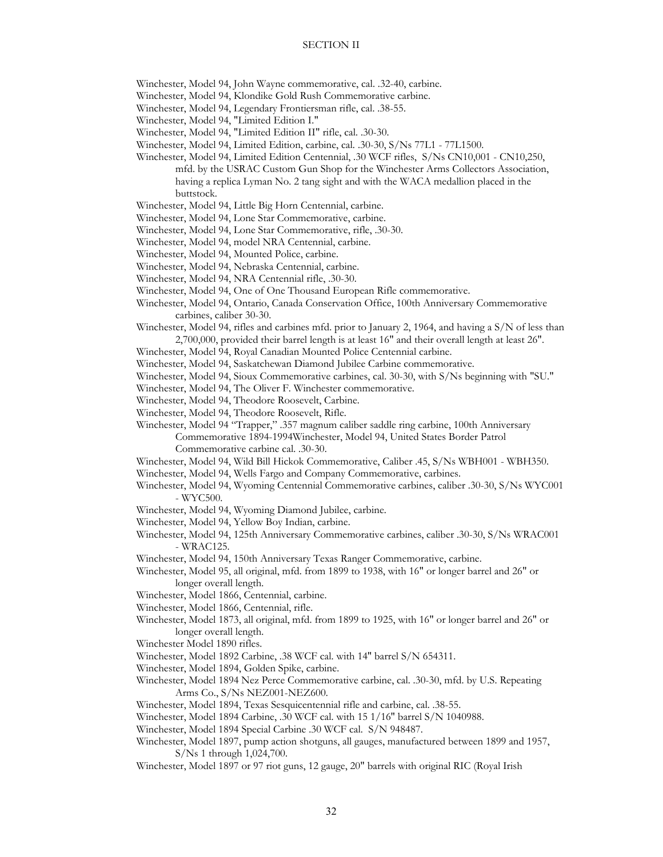Winchester, Model 94, John Wayne commemorative, cal. .32-40, carbine.

- Winchester, Model 94, Klondike Gold Rush Commemorative carbine.
- Winchester, Model 94, Legendary Frontiersman rifle, cal. .38-55.

Winchester, Model 94, "Limited Edition I."

- Winchester, Model 94, "Limited Edition II" rifle, cal. .30-30.
- Winchester, Model 94, Limited Edition, carbine, cal. .30-30, S/Ns 77L1 77L1500.
- Winchester, Model 94, Limited Edition Centennial, .30 WCF rifles, S/Ns CN10,001 CN10,250, mfd. by the USRAC Custom Gun Shop for the Winchester Arms Collectors Association, having a replica Lyman No. 2 tang sight and with the WACA medallion placed in the buttstock.
- Winchester, Model 94, Little Big Horn Centennial, carbine.
- Winchester, Model 94, Lone Star Commemorative, carbine.
- Winchester, Model 94, Lone Star Commemorative, rifle, .30-30.
- Winchester, Model 94, model NRA Centennial, carbine.
- Winchester, Model 94, Mounted Police, carbine.
- Winchester, Model 94, Nebraska Centennial, carbine.
- Winchester, Model 94, NRA Centennial rifle, .30-30.
- Winchester, Model 94, One of One Thousand European Rifle commemorative.
- Winchester, Model 94, Ontario, Canada Conservation Office, 100th Anniversary Commemorative carbines, caliber 30-30.
- Winchester, Model 94, rifles and carbines mfd. prior to January 2, 1964, and having a S/N of less than 2,700,000, provided their barrel length is at least 16" and their overall length at least 26".
- Winchester, Model 94, Royal Canadian Mounted Police Centennial carbine.
- Winchester, Model 94, Saskatchewan Diamond Jubilee Carbine commemorative.
- Winchester, Model 94, Sioux Commemorative carbines, cal. 30-30, with S/Ns beginning with "SU."
- Winchester, Model 94, The Oliver F. Winchester commemorative.
- Winchester, Model 94, Theodore Roosevelt, Carbine.
- Winchester, Model 94, Theodore Roosevelt, Rifle.

Winchester, Model 94 "Trapper," .357 magnum caliber saddle ring carbine, 100th Anniversary Commemorative 1894-1994Winchester, Model 94, United States Border Patrol Commemorative carbine cal. .30-30.

- Winchester, Model 94, Wild Bill Hickok Commemorative, Caliber .45, S/Ns WBH001 WBH350.
- Winchester, Model 94, Wells Fargo and Company Commemorative, carbines.
- Winchester, Model 94, Wyoming Centennial Commemorative carbines, caliber .30-30, S/Ns WYC001 - WYC500.
- Winchester, Model 94, Wyoming Diamond Jubilee, carbine.
- Winchester, Model 94, Yellow Boy Indian, carbine.
- Winchester, Model 94, 125th Anniversary Commemorative carbines, caliber .30-30, S/Ns WRAC001 - WRAC125.
- Winchester, Model 94, 150th Anniversary Texas Ranger Commemorative, carbine.
- Winchester, Model 95, all original, mfd. from 1899 to 1938, with 16" or longer barrel and 26" or longer overall length.
- Winchester, Model 1866, Centennial, carbine.
- Winchester, Model 1866, Centennial, rifle.
- Winchester, Model 1873, all original, mfd. from 1899 to 1925, with 16" or longer barrel and 26" or longer overall length.
- Winchester Model 1890 rifles.
- Winchester, Model 1892 Carbine, .38 WCF cal. with 14″ barrel S/N 654311.
- Winchester, Model 1894, Golden Spike, carbine.
- Winchester, Model 1894 Nez Perce Commemorative carbine, cal. .30-30, mfd. by U.S. Repeating Arms Co., S/Ns NEZ001-NEZ600.
- Winchester, Model 1894, Texas Sesquicentennial rifle and carbine, cal. .38-55.
- Winchester, Model 1894 Carbine, .30 WCF cal. with 15 1/16″ barrel S/N 1040988.
- Winchester, Model 1894 Special Carbine .30 WCF cal. S/N 948487.
- Winchester, Model 1897, pump action shotguns, all gauges, manufactured between 1899 and 1957, S/Ns 1 through 1,024,700.
- Winchester, Model 1897 or 97 riot guns, 12 gauge, 20" barrels with original RIC (Royal Irish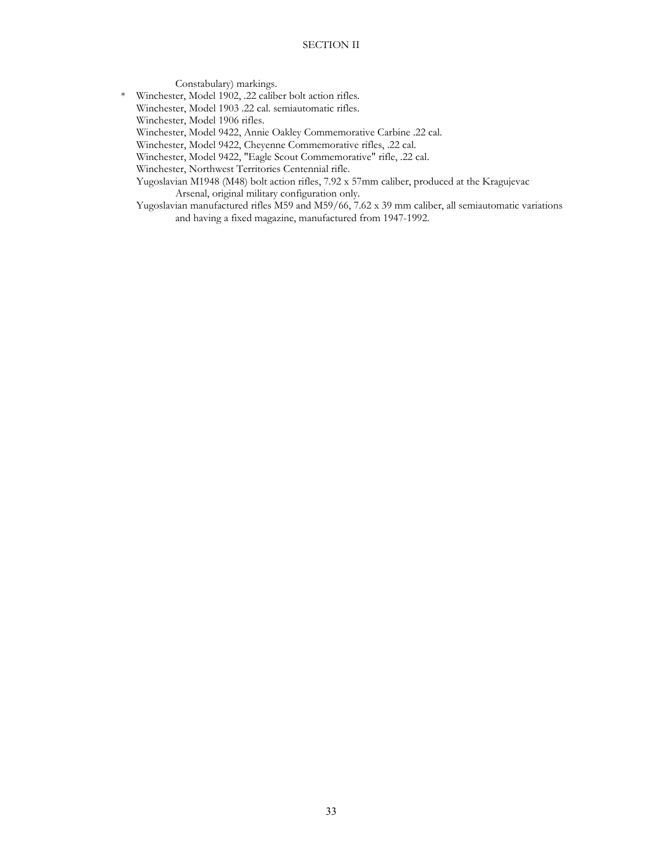Constabulary) markings. \* Winchester, Model 1902, .22 caliber bolt action rifles. Winchester, Model 1903 .22 cal. semiautomatic rifles. Winchester, Model 1906 rifles. Winchester, Model 9422, Annie Oakley Commemorative Carbine .22 cal. Winchester, Model 9422, Cheyenne Commemorative rifles, .22 cal. Winchester, Model 9422, "Eagle Scout Commemorative" rifle, .22 cal. Winchester, Northwest Territories Centennial rifle. Yugoslavian M1948 (M48) bolt action rifles, 7.92 x 57mm caliber, produced at the Kragujevac Arsenal, original military configuration only. Yugoslavian manufactured rifles M59 and M59/66, 7.62 x 39 mm caliber, all semiautomatic variations and having a fixed magazine, manufactured from 1947-1992.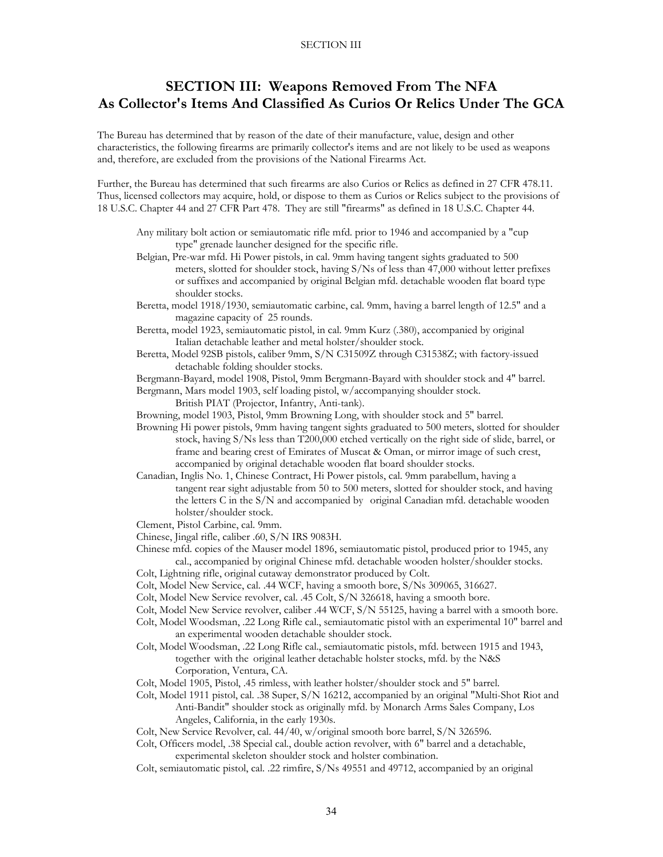# **SECTION III: Weapons Removed From The NFA As Collector's Items And Classified As Curios Or Relics Under The GCA**

The Bureau has determined that by reason of the date of their manufacture, value, design and other characteristics, the following firearms are primarily collector's items and are not likely to be used as weapons and, therefore, are excluded from the provisions of the National Firearms Act.

Further, the Bureau has determined that such firearms are also Curios or Relics as defined in 27 CFR 478.11. Thus, licensed collectors may acquire, hold, or dispose to them as Curios or Relics subject to the provisions of 18 U.S.C. Chapter 44 and 27 CFR Part 478. They are still "firearms" as defined in 18 U.S.C. Chapter 44.

- Any military bolt action or semiautomatic rifle mfd. prior to 1946 and accompanied by a "cup type" grenade launcher designed for the specific rifle.
- Belgian, Pre-war mfd. Hi Power pistols, in cal. 9mm having tangent sights graduated to 500 meters, slotted for shoulder stock, having S/Ns of less than 47,000 without letter prefixes or suffixes and accompanied by original Belgian mfd. detachable wooden flat board type shoulder stocks.
- Beretta, model 1918/1930, semiautomatic carbine, cal. 9mm, having a barrel length of 12.5" and a magazine capacity of 25 rounds.
- Beretta, model 1923, semiautomatic pistol, in cal. 9mm Kurz (.380), accompanied by original Italian detachable leather and metal holster/shoulder stock.
- Beretta, Model 92SB pistols, caliber 9mm, S/N C31509Z through C31538Z; with factory-issued detachable folding shoulder stocks.

 Bergmann-Bayard, model 1908, Pistol, 9mm Bergmann-Bayard with shoulder stock and 4" barrel. Bergmann, Mars model 1903, self loading pistol, w/accompanying shoulder stock.

British PIAT (Projector, Infantry, Anti-tank).

Browning, model 1903, Pistol, 9mm Browning Long, with shoulder stock and 5" barrel.

- Browning Hi power pistols, 9mm having tangent sights graduated to 500 meters, slotted for shoulder stock, having S/Ns less than T200,000 etched vertically on the right side of slide, barrel, or frame and bearing crest of Emirates of Muscat & Oman, or mirror image of such crest, accompanied by original detachable wooden flat board shoulder stocks.
- Canadian, Inglis No. 1, Chinese Contract, Hi Power pistols, cal. 9mm parabellum, having a tangent rear sight adjustable from 50 to 500 meters, slotted for shoulder stock, and having the letters C in the S/N and accompanied by original Canadian mfd. detachable wooden holster/shoulder stock.
- Clement, Pistol Carbine, cal. 9mm.
- Chinese, Jingal rifle, caliber .60, S/N IRS 9083H.

 Chinese mfd. copies of the Mauser model 1896, semiautomatic pistol, produced prior to 1945, any cal., accompanied by original Chinese mfd. detachable wooden holster/shoulder stocks.

- Colt, Lightning rifle, original cutaway demonstrator produced by Colt.
- Colt, Model New Service, cal. .44 WCF, having a smooth bore, S/Ns 309065, 316627.
- Colt, Model New Service revolver, cal. .45 Colt, S/N 326618, having a smooth bore.
- Colt, Model New Service revolver, caliber .44 WCF, S/N 55125, having a barrel with a smooth bore.
- Colt, Model Woodsman, .22 Long Rifle cal., semiautomatic pistol with an experimental 10" barrel and an experimental wooden detachable shoulder stock.
- Colt, Model Woodsman, .22 Long Rifle cal., semiautomatic pistols, mfd. between 1915 and 1943, together with the original leather detachable holster stocks, mfd. by the N&S Corporation, Ventura, CA.
- Colt, Model 1905, Pistol, .45 rimless, with leather holster/shoulder stock and 5" barrel.
- Colt, Model 1911 pistol, cal. .38 Super, S/N 16212, accompanied by an original "Multi-Shot Riot and Anti-Bandit" shoulder stock as originally mfd. by Monarch Arms Sales Company, Los Angeles, California, in the early 1930s.
- Colt, New Service Revolver, cal. 44/40, w/original smooth bore barrel, S/N 326596.
- Colt, Officers model, .38 Special cal., double action revolver, with 6" barrel and a detachable, experimental skeleton shoulder stock and holster combination.
- Colt, semiautomatic pistol, cal. .22 rimfire, S/Ns 49551 and 49712, accompanied by an original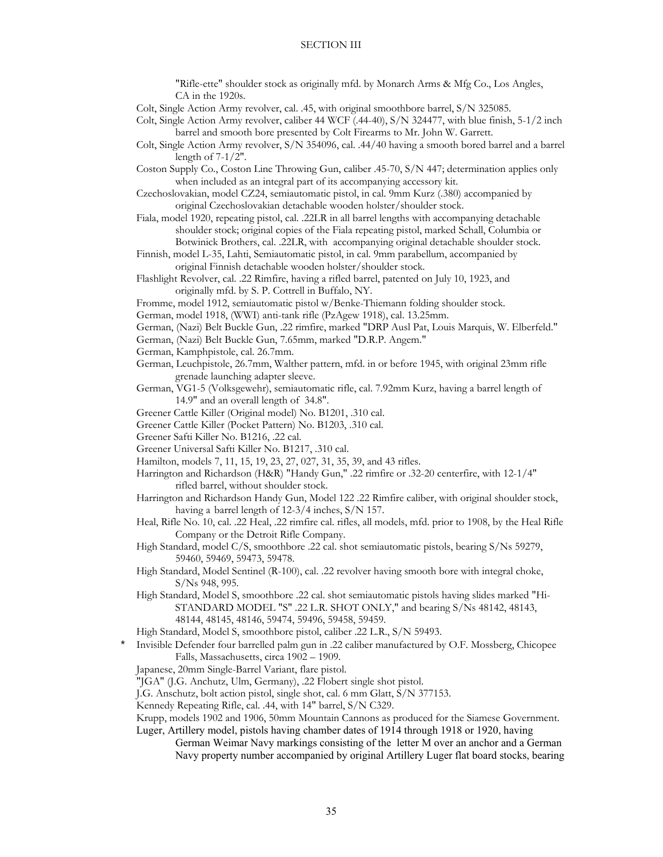"Rifle-ette" shoulder stock as originally mfd. by Monarch Arms & Mfg Co., Los Angles, CA in the 1920s.

Colt, Single Action Army revolver, cal. .45, with original smoothbore barrel, S/N 325085.

- Colt, Single Action Army revolver, caliber 44 WCF (.44-40), S/N 324477, with blue finish, 5-1/2 inch barrel and smooth bore presented by Colt Firearms to Mr. John W. Garrett.
- Colt, Single Action Army revolver, S/N 354096, cal. .44/40 having a smooth bored barrel and a barrel length of 7-1/2".
- Coston Supply Co., Coston Line Throwing Gun, caliber .45-70, S/N 447; determination applies only when included as an integral part of its accompanying accessory kit.
- Czechoslovakian, model CZ24, semiautomatic pistol, in cal. 9mm Kurz (.380) accompanied by original Czechoslovakian detachable wooden holster/shoulder stock.
- Fiala, model 1920, repeating pistol, cal. .22LR in all barrel lengths with accompanying detachable shoulder stock; original copies of the Fiala repeating pistol, marked Schall, Columbia or Botwinick Brothers, cal. .22LR, with accompanying original detachable shoulder stock.
- Finnish, model L-35, Lahti, Semiautomatic pistol, in cal. 9mm parabellum, accompanied by original Finnish detachable wooden holster/shoulder stock.
- Flashlight Revolver, cal. .22 Rimfire, having a rifled barrel, patented on July 10, 1923, and originally mfd. by S. P. Cottrell in Buffalo, NY.
- Fromme, model 1912, semiautomatic pistol w/Benke-Thiemann folding shoulder stock.
- German, model 1918, (WWI) anti-tank rifle (PzAgew 1918), cal. 13.25mm.
- German, (Nazi) Belt Buckle Gun, .22 rimfire, marked "DRP Ausl Pat, Louis Marquis, W. Elberfeld."
- German, (Nazi) Belt Buckle Gun, 7.65mm, marked "D.R.P. Angem."
- German, Kamphpistole, cal. 26.7mm.
- German, Leuchpistole, 26.7mm, Walther pattern, mfd. in or before 1945, with original 23mm rifle grenade launching adapter sleeve.
- German, VG1-5 (Volksgewehr), semiautomatic rifle, cal. 7.92mm Kurz, having a barrel length of 14.9" and an overall length of 34.8".
- Greener Cattle Killer (Original model) No. B1201, .310 cal.
- Greener Cattle Killer (Pocket Pattern) No. B1203, .310 cal.
- Greener Safti Killer No. B1216, .22 cal.
- Greener Universal Safti Killer No. B1217, .310 cal.
- Hamilton, models 7, 11, 15, 19, 23, 27, 027, 31, 35, 39, and 43 rifles.
- Harrington and Richardson (H&R) "Handy Gun," .22 rimfire or .32-20 centerfire, with 12-1/4" rifled barrel, without shoulder stock.
- Harrington and Richardson Handy Gun, Model 122 .22 Rimfire caliber, with original shoulder stock, having a barrel length of 12-3/4 inches, S/N 157.
- Heal, Rifle No. 10, cal. .22 Heal, .22 rimfire cal. rifles, all models, mfd. prior to 1908, by the Heal Rifle Company or the Detroit Rifle Company.
- High Standard, model C/S, smoothbore .22 cal. shot semiautomatic pistols, bearing S/Ns 59279, 59460, 59469, 59473, 59478.
- High Standard, Model Sentinel (R-100), cal. .22 revolver having smooth bore with integral choke, S/Ns 948, 995.
- High Standard, Model S, smoothbore .22 cal. shot semiautomatic pistols having slides marked "Hi- STANDARD MODEL "S" .22 L.R. SHOT ONLY," and bearing S/Ns 48142, 48143, 48144, 48145, 48146, 59474, 59496, 59458, 59459.
- High Standard, Model S, smoothbore pistol, caliber .22 L.R., S/N 59493.
- \* Invisible Defender four barrelled palm gun in .22 caliber manufactured by O.F. Mossberg, Chicopee Falls, Massachusetts, circa 1902 – 1909.
- Japanese, 20mm Single-Barrel Variant, flare pistol.
- "JGA" (J.G. Anchutz, Ulm, Germany), .22 Flobert single shot pistol.
- J.G. Anschutz, bolt action pistol, single shot, cal. 6 mm Glatt, S/N 377153.
- Kennedy Repeating Rifle, cal. .44, with 14" barrel, S/N C329.
- Krupp, models 1902 and 1906, 50mm Mountain Cannons as produced for the Siamese Government. Luger, Artillery model, pistols having chamber dates of 1914 through 1918 or 1920, having
	- German Weimar Navy markings consisting of the letter M over an anchor and a German Navy property number accompanied by original Artillery Luger flat board stocks, bearing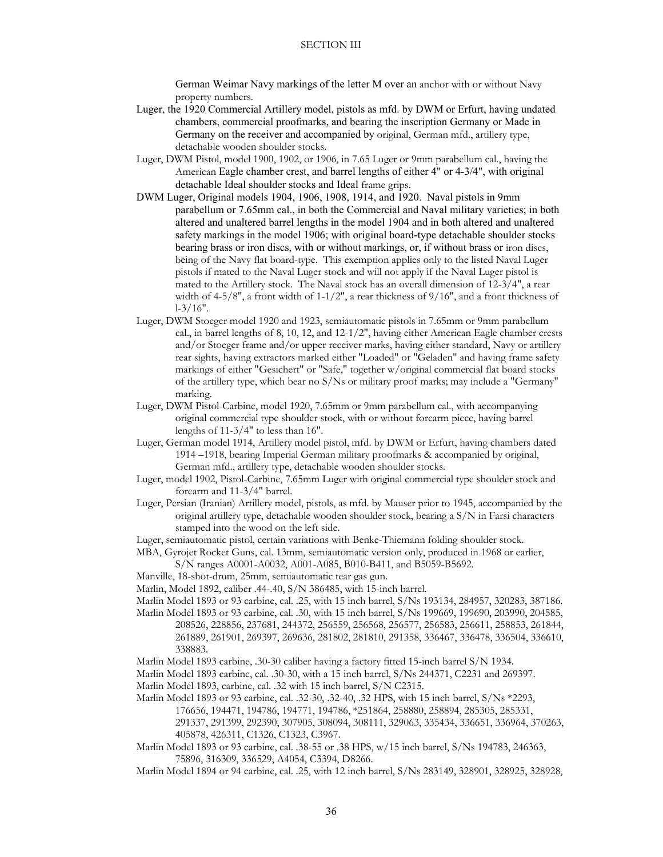German Weimar Navy markings of the letter M over an anchor with or without Navy property numbers.

- Luger, the 1920 Commercial Artillery model, pistols as mfd. by DWM or Erfurt, having undated chambers, commercial proofmarks, and bearing the inscription Germany or Made in Germany on the receiver and accompanied by original, German mfd., artillery type, detachable wooden shoulder stocks.
- Luger, DWM Pistol, model 1900, 1902, or 1906, in 7.65 Luger or 9mm parabellum cal., having the American Eagle chamber crest, and barrel lengths of either 4" or 4-3/4", with original detachable Ideal shoulder stocks and Ideal frame grips.
- DWM Luger, Original models 1904, 1906, 1908, 1914, and 1920. Naval pistols in 9mm parabellum or 7.65mm cal., in both the Commercial and Naval military varieties; in both altered and unaltered barrel lengths in the model 1904 and in both altered and unaltered safety markings in the model 1906; with original board-type detachable shoulder stocks bearing brass or iron discs, with or without markings, or, if without brass or iron discs, being of the Navy flat board-type. This exemption applies only to the listed Naval Luger pistols if mated to the Naval Luger stock and will not apply if the Naval Luger pistol is mated to the Artillery stock. The Naval stock has an overall dimension of 12-3/4", a rear width of 4-5/8", a front width of 1-1/2", a rear thickness of 9/16", and a front thickness of l-3/16".
- Luger, DWM Stoeger model 1920 and 1923, semiautomatic pistols in 7.65mm or 9mm parabellum cal., in barrel lengths of 8, 10, 12, and 12-1/2", having either American Eagle chamber crests and/or Stoeger frame and/or upper receiver marks, having either standard, Navy or artillery rear sights, having extractors marked either "Loaded" or "Geladen" and having frame safety markings of either "Gesichert" or "Safe," together w/original commercial flat board stocks of the artillery type, which bear no S/Ns or military proof marks; may include a "Germany" marking.
- Luger, DWM Pistol-Carbine, model 1920, 7.65mm or 9mm parabellum cal., with accompanying original commercial type shoulder stock, with or without forearm piece, having barrel lengths of 11-3/4" to less than 16".
- Luger, German model 1914, Artillery model pistol, mfd. by DWM or Erfurt, having chambers dated 1914 –1918, bearing Imperial German military proofmarks & accompanied by original, German mfd., artillery type, detachable wooden shoulder stocks.
- Luger, model 1902, Pistol-Carbine, 7.65mm Luger with original commercial type shoulder stock and forearm and 11-3/4" barrel.
- Luger, Persian (Iranian) Artillery model, pistols, as mfd. by Mauser prior to 1945, accompanied by the original artillery type, detachable wooden shoulder stock, bearing a S/N in Farsi characters stamped into the wood on the left side.
- Luger, semiautomatic pistol, certain variations with Benke-Thiemann folding shoulder stock.
- MBA, Gyrojet Rocket Guns, cal. 13mm, semiautomatic version only, produced in 1968 or earlier, S/N ranges A0001-A0032, A001-A085, B010-B411, and B5059-B5692.
- Manville, 18-shot-drum, 25mm, semiautomatic tear gas gun.
- Marlin, Model 1892, caliber .44-.40, S/N 386485, with 15-inch barrel.

Marlin Model 1893 or 93 carbine, cal. .25, with 15 inch barrel, S/Ns 193134, 284957, 320283, 387186.

 Marlin Model 1893 or 93 carbine, cal. .30, with 15 inch barrel, S/Ns 199669, 199690, 203990, 204585, 208526, 228856, 237681, 244372, 256559, 256568, 256577, 256583, 256611, 258853, 261844, 261889, 261901, 269397, 269636, 281802, 281810, 291358, 336467, 336478, 336504, 336610, 338883.

Marlin Model 1893 carbine, .30-30 caliber having a factory fitted 15-inch barrel S/N 1934.

 Marlin Model 1893 carbine, cal. .30-30, with a 15 inch barrel, S/Ns 244371, C2231 and 269397. Marlin Model 1893, carbine, cal. .32 with 15 inch barrel, S/N C2315.

 Marlin Model 1893 or 93 carbine, cal. .32-30, .32-40, .32 HPS, with 15 inch barrel, S/Ns \*2293, 176656, 194471, 194786, 194771, 194786, \*251864, 258880, 258894, 285305, 285331,

291337, 291399, 292390, 307905, 308094, 308111, 329063, 335434, 336651, 336964, 370263, 405878, 426311, C1326, C1323, C3967.

 Marlin Model 1893 or 93 carbine, cal. .38-55 or .38 HPS, w/15 inch barrel, S/Ns 194783, 246363, 75896, 316309, 336529, A4054, C3394, D8266.

Marlin Model 1894 or 94 carbine, cal. .25, with 12 inch barrel, S/Ns 283149, 328901, 328925, 328928,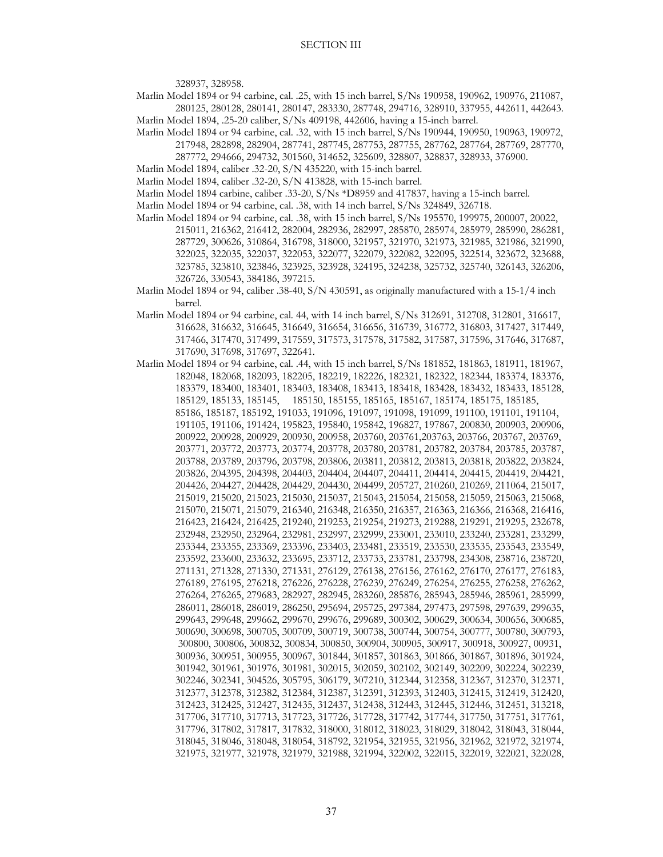328937, 328958.

 Marlin Model 1894 or 94 carbine, cal. .25, with 15 inch barrel, S/Ns 190958, 190962, 190976, 211087, 280125, 280128, 280141, 280147, 283330, 287748, 294716, 328910, 337955, 442611, 442643.

Marlin Model 1894, .25-20 caliber, S/Ns 409198, 442606, having a 15-inch barrel.

- Marlin Model 1894 or 94 carbine, cal. .32, with 15 inch barrel, S/Ns 190944, 190950, 190963, 190972, 217948, 282898, 282904, 287741, 287745, 287753, 287755, 287762, 287764, 287769, 287770, 287772, 294666, 294732, 301560, 314652, 325609, 328807, 328837, 328933, 376900.
- Marlin Model 1894, caliber .32-20, S/N 435220, with 15-inch barrel.

Marlin Model 1894, caliber .32-20, S/N 413828, with 15-inch barrel.

Marlin Model 1894 carbine, caliber .33-20, S/Ns \*D8959 and 417837, having a 15-inch barrel.

- Marlin Model 1894 or 94 carbine, cal. .38, with 14 inch barrel, S/Ns 324849, 326718.
- Marlin Model 1894 or 94 carbine, cal. .38, with 15 inch barrel, S/Ns 195570, 199975, 200007, 20022, 215011, 216362, 216412, 282004, 282936, 282997, 285870, 285974, 285979, 285990, 286281, 287729, 300626, 310864, 316798, 318000, 321957, 321970, 321973, 321985, 321986, 321990, 322025, 322035, 322037, 322053, 322077, 322079, 322082, 322095, 322514, 323672, 323688, 323785, 323810, 323846, 323925, 323928, 324195, 324238, 325732, 325740, 326143, 326206, 326726, 330543, 384186, 397215.
- Marlin Model 1894 or 94, caliber .38-40, S/N 430591, as originally manufactured with a 15-1/4 inch barrel.
- Marlin Model 1894 or 94 carbine, cal. 44, with 14 inch barrel, S/Ns 312691, 312708, 312801, 316617, 316628, 316632, 316645, 316649, 316654, 316656, 316739, 316772, 316803, 317427, 317449, 317466, 317470, 317499, 317559, 317573, 317578, 317582, 317587, 317596, 317646, 317687, 317690, 317698, 317697, 322641.
- Marlin Model 1894 or 94 carbine, cal. .44, with 15 inch barrel, S/Ns 181852, 181863, 181911, 181967, 182048, 182068, 182093, 182205, 182219, 182226, 182321, 182322, 182344, 183374, 183376, 183379, 183400, 183401, 183403, 183408, 183413, 183418, 183428, 183432, 183433, 185128, 185129, 185133, 185145, 185150, 185155, 185165, 185167, 185174, 185175, 185185, 85186, 185187, 185192, 191033, 191096, 191097, 191098, 191099, 191100, 191101, 191104, 191105, 191106, 191424, 195823, 195840, 195842, 196827, 197867, 200830, 200903, 200906, 200922, 200928, 200929, 200930, 200958, 203760, 203761,203763, 203766, 203767, 203769, 203771, 203772, 203773, 203774, 203778, 203780, 203781, 203782, 203784, 203785, 203787, 203788, 203789, 203796, 203798, 203806, 203811, 203812, 203813, 203818, 203822, 203824, 203826, 204395, 204398, 204403, 204404, 204407, 204411, 204414, 204415, 204419, 204421, 204426, 204427, 204428, 204429, 204430, 204499, 205727, 210260, 210269, 211064, 215017, 215019, 215020, 215023, 215030, 215037, 215043, 215054, 215058, 215059, 215063, 215068, 215070, 215071, 215079, 216340, 216348, 216350, 216357, 216363, 216366, 216368, 216416, 216423, 216424, 216425, 219240, 219253, 219254, 219273, 219288, 219291, 219295, 232678, 232948, 232950, 232964, 232981, 232997, 232999, 233001, 233010, 233240, 233281, 233299, 233344, 233355, 233369, 233396, 233403, 233481, 233519, 233530, 233535, 233543, 233549, 233592, 233600, 233632, 233695, 233712, 233733, 233781, 233798, 234308, 238716, 238720, 271131, 271328, 271330, 271331, 276129, 276138, 276156, 276162, 276170, 276177, 276183, 276189, 276195, 276218, 276226, 276228, 276239, 276249, 276254, 276255, 276258, 276262, 276264, 276265, 279683, 282927, 282945, 283260, 285876, 285943, 285946, 285961, 285999, 286011, 286018, 286019, 286250, 295694, 295725, 297384, 297473, 297598, 297639, 299635, 299643, 299648, 299662, 299670, 299676, 299689, 300302, 300629, 300634, 300656, 300685, 300690, 300698, 300705, 300709, 300719, 300738, 300744, 300754, 300777, 300780, 300793, 300800, 300806, 300832, 300834, 300850, 300904, 300905, 300917, 300918, 300927, 00931, 300936, 300951, 300955, 300967, 301844, 301857, 301863, 301866, 301867, 301896, 301924, 301942, 301961, 301976, 301981, 302015, 302059, 302102, 302149, 302209, 302224, 302239, 302246, 302341, 304526, 305795, 306179, 307210, 312344, 312358, 312367, 312370, 312371, 312377, 312378, 312382, 312384, 312387, 312391, 312393, 312403, 312415, 312419, 312420, 312423, 312425, 312427, 312435, 312437, 312438, 312443, 312445, 312446, 312451, 313218, 317706, 317710, 317713, 317723, 317726, 317728, 317742, 317744, 317750, 317751, 317761, 317796, 317802, 317817, 317832, 318000, 318012, 318023, 318029, 318042, 318043, 318044, 318045, 318046, 318048, 318054, 318792, 321954, 321955, 321956, 321962, 321972, 321974, 321975, 321977, 321978, 321979, 321988, 321994, 322002, 322015, 322019, 322021, 322028,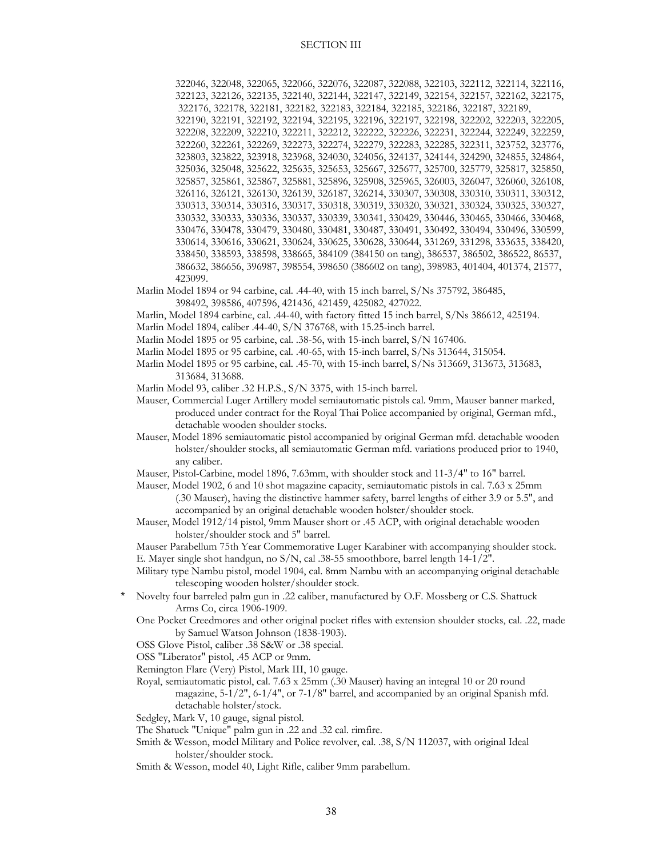322046, 322048, 322065, 322066, 322076, 322087, 322088, 322103, 322112, 322114, 322116, 322123, 322126, 322135, 322140, 322144, 322147, 322149, 322154, 322157, 322162, 322175, 322176, 322178, 322181, 322182, 322183, 322184, 322185, 322186, 322187, 322189, 322190, 322191, 322192, 322194, 322195, 322196, 322197, 322198, 322202, 322203, 322205, 322208, 322209, 322210, 322211, 322212, 322222, 322226, 322231, 322244, 322249, 322259, 322260, 322261, 322269, 322273, 322274, 322279, 322283, 322285, 322311, 323752, 323776, 323803, 323822, 323918, 323968, 324030, 324056, 324137, 324144, 324290, 324855, 324864, 325036, 325048, 325622, 325635, 325653, 325667, 325677, 325700, 325779, 325817, 325850, 325857, 325861, 325867, 325881, 325896, 325908, 325965, 326003, 326047, 326060, 326108, 326116, 326121, 326130, 326139, 326187, 326214, 330307, 330308, 330310, 330311, 330312, 330313, 330314, 330316, 330317, 330318, 330319, 330320, 330321, 330324, 330325, 330327, 330332, 330333, 330336, 330337, 330339, 330341, 330429, 330446, 330465, 330466, 330468, 330476, 330478, 330479, 330480, 330481, 330487, 330491, 330492, 330494, 330496, 330599, 330614, 330616, 330621, 330624, 330625, 330628, 330644, 331269, 331298, 333635, 338420, 338450, 338593, 338598, 338665, 384109 (384150 on tang), 386537, 386502, 386522, 86537, 386632, 386656, 396987, 398554, 398650 (386602 on tang), 398983, 401404, 401374, 21577, 423099.

 Marlin Model 1894 or 94 carbine, cal. .44-40, with 15 inch barrel, S/Ns 375792, 386485, 398492, 398586, 407596, 421436, 421459, 425082, 427022.

Marlin, Model 1894 carbine, cal. .44-40, with factory fitted 15 inch barrel, S/Ns 386612, 425194.

Marlin Model 1894, caliber .44-40, S/N 376768, with 15.25-inch barrel.

Marlin Model 1895 or 95 carbine, cal. .38-56, with 15-inch barrel, S/N 167406.

Marlin Model 1895 or 95 carbine, cal. .40-65, with 15-inch barrel, S/Ns 313644, 315054.

 Marlin Model 1895 or 95 carbine, cal. .45-70, with 15-inch barrel, S/Ns 313669, 313673, 313683, 313684, 313688.

Marlin Model 93, caliber .32 H.P.S., S/N 3375, with 15-inch barrel.

 Mauser, Commercial Luger Artillery model semiautomatic pistols cal. 9mm, Mauser banner marked, produced under contract for the Royal Thai Police accompanied by original, German mfd., detachable wooden shoulder stocks.

 Mauser, Model 1896 semiautomatic pistol accompanied by original German mfd. detachable wooden holster/shoulder stocks, all semiautomatic German mfd. variations produced prior to 1940, any caliber.

Mauser, Pistol-Carbine, model 1896, 7.63mm, with shoulder stock and 11-3/4" to 16" barrel.

 Mauser, Model 1902, 6 and 10 shot magazine capacity, semiautomatic pistols in cal. 7.63 x 25mm (.30 Mauser), having the distinctive hammer safety, barrel lengths of either 3.9 or 5.5", and accompanied by an original detachable wooden holster/shoulder stock.

 Mauser, Model 1912/14 pistol, 9mm Mauser short or .45 ACP, with original detachable wooden holster/shoulder stock and 5" barrel.

 Mauser Parabellum 75th Year Commemorative Luger Karabiner with accompanying shoulder stock. E. Mayer single shot handgun, no S/N, cal .38-55 smoothbore, barrel length 14-1/2".

 Military type Nambu pistol, model 1904, cal. 8mm Nambu with an accompanying original detachable telescoping wooden holster/shoulder stock.

Novelty four barreled palm gun in .22 caliber, manufactured by O.F. Mossberg or C.S. Shattuck Arms Co, circa 1906-1909.

 One Pocket Creedmores and other original pocket rifles with extension shoulder stocks, cal. .22, made by Samuel Watson Johnson (1838-1903).

OSS Glove Pistol, caliber .38 S&W or .38 special.

OSS "Liberator" pistol, .45 ACP or 9mm.

Remington Flare (Very) Pistol, Mark III, 10 gauge.

 Royal, semiautomatic pistol, cal. 7.63 x 25mm (.30 Mauser) having an integral 10 or 20 round magazine,  $5-1/2$ ",  $6-1/4$ ", or  $7-1/8$ " barrel, and accompanied by an original Spanish mfd. detachable holster/stock.

Sedgley, Mark V, 10 gauge, signal pistol.

The Shatuck "Unique" palm gun in .22 and .32 cal. rimfire.

 Smith & Wesson, model Military and Police revolver, cal. .38, S/N 112037, with original Ideal holster/shoulder stock.

Smith & Wesson, model 40, Light Rifle, caliber 9mm parabellum.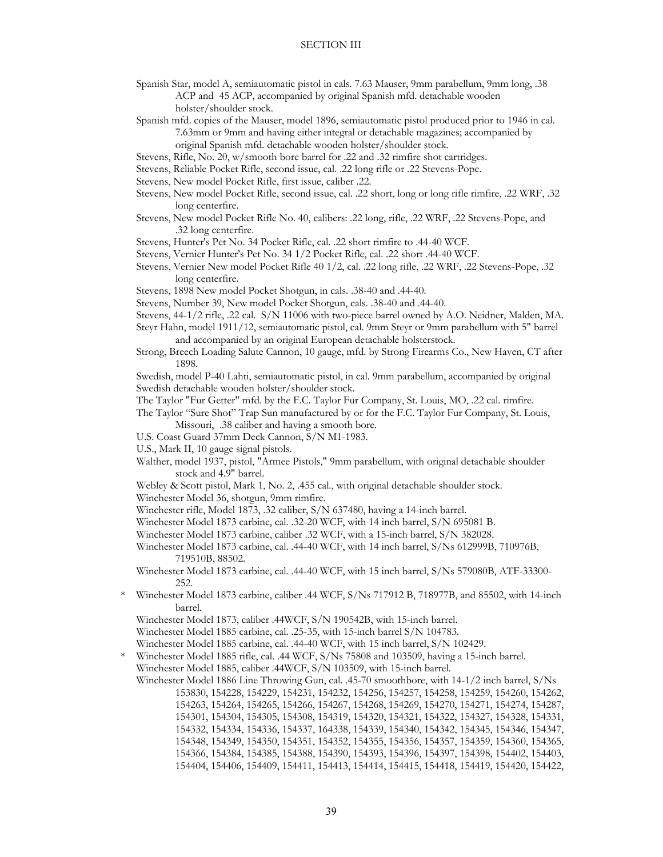Spanish Star, model A, semiautomatic pistol in cals. 7.63 Mauser, 9mm parabellum, 9mm long, .38 ACP and 45 ACP, accompanied by original Spanish mfd. detachable wooden holster/shoulder stock.

 Spanish mfd. copies of the Mauser, model 1896, semiautomatic pistol produced prior to 1946 in cal. 7.63mm or 9mm and having either integral or detachable magazines; accompanied by

original Spanish mfd. detachable wooden holster/shoulder stock.

- Stevens, Rifle, No. 20, w/smooth bore barrel for .22 and .32 rimfire shot cartridges.
- Stevens, Reliable Pocket Rifle, second issue, cal. .22 long rifle or .22 Stevens-Pope.
- Stevens, New model Pocket Rifle, first issue, caliber .22.
- Stevens, New model Pocket Rifle, second issue, cal. .22 short, long or long rifle rimfire, .22 WRF, .32 long centerfire.
- Stevens, New model Pocket Rifle No. 40, calibers: .22 long, rifle, .22 WRF, .22 Stevens-Pope, and .32 long centerfire.
- Stevens, Hunter's Pet No. 34 Pocket Rifle, cal. .22 short rimfire to .44-40 WCF.
- Stevens, Vernier Hunter's Pet No. 34 1/2 Pocket Rifle, cal. .22 short .44-40 WCF.
- Stevens, Vernier New model Pocket Rifle 40 1/2, cal. .22 long rifle, .22 WRF, .22 Stevens-Pope, .32 long centerfire.
- Stevens, 1898 New model Pocket Shotgun, in cals. .38-40 and .44-40.
- Stevens, Number 39, New model Pocket Shotgun, cals. .38-40 and .44-40.
- Stevens, 44-1/2 rifle, .22 cal. S/N 11006 with two-piece barrel owned by A.O. Neidner, Malden, MA.

 Steyr Hahn, model 1911/12, semiautomatic pistol, cal. 9mm Steyr or 9mm parabellum with 5" barrel and accompanied by an original European detachable holsterstock.

 Strong, Breech Loading Salute Cannon, 10 gauge, mfd. by Strong Firearms Co., New Haven, CT after 1898.

 Swedish, model P-40 Lahti, semiautomatic pistol, in cal. 9mm parabellum, accompanied by original Swedish detachable wooden holster/shoulder stock.

The Taylor "Fur Getter" mfd. by the F.C. Taylor Fur Company, St. Louis, MO, .22 cal. rimfire.

 The Taylor "Sure Shot" Trap Sun manufactured by or for the F.C. Taylor Fur Company, St. Louis, Missouri, .38 caliber and having a smooth bore.

- U.S. Coast Guard 37mm Deck Cannon, S/N M1-1983.
- U.S., Mark II, 10 gauge signal pistols.
- Walther, model 1937, pistol, "Armee Pistols," 9mm parabellum, with original detachable shoulder stock and 4.9" barrel.
- Webley & Scott pistol, Mark 1, No. 2, .455 cal., with original detachable shoulder stock.

Winchester Model 36, shotgun, 9mm rimfire.

Winchester rifle, Model 1873, .32 caliber, S/N 637480, having a 14-inch barrel.

Winchester Model 1873 carbine, cal. .32-20 WCF, with 14 inch barrel, S/N 695081 B.

Winchester Model 1873 carbine, caliber .32 WCF, with a 15-inch barrel, S/N 382028.

 Winchester Model 1873 carbine, cal. .44-40 WCF, with 14 inch barrel, S/Ns 612999B, 710976B, 719510B, 88502.

 Winchester Model 1873 carbine, cal. .44-40 WCF, with 15 inch barrel, S/Ns 579080B, ATF-33300- 252.

 \* Winchester Model 1873 carbine, caliber .44 WCF, S/Ns 717912 B, 718977B, and 85502, with 14-inch barrel.

Winchester Model 1873, caliber .44WCF, S/N 190542B, with 15-inch barrel.

Winchester Model 1885 carbine, cal. .25-35, with 15-inch barrel S/N 104783.

Winchester Model 1885 carbine, cal. .44-40 WCF, with 15 inch barrel, S/N 102429.

 \* Winchester Model 1885 rifle, cal. .44 WCF, S/Ns 75808 and 103509, having a 15-inch barrel. Winchester Model 1885, caliber .44WCF, S/N 103509, with 15-inch barrel.

 Winchester Model 1886 Line Throwing Gun, cal. .45-70 smoothbore, with 14-1/2 inch barrel, S/Ns 153830, 154228, 154229, 154231, 154232, 154256, 154257, 154258, 154259, 154260, 154262, 154263, 154264, 154265, 154266, 154267, 154268, 154269, 154270, 154271, 154274, 154287, 154301, 154304, 154305, 154308, 154319, 154320, 154321, 154322, 154327, 154328, 154331, 154332, 154334, 154336, 154337, 164338, 154339, 154340, 154342, 154345, 154346, 154347, 154348, 154349, 154350, 154351, 154352, 154355, 154356, 154357, 154359, 154360, 154365, 154366, 154384, 154385, 154388, 154390, 154393, 154396, 154397, 154398, 154402, 154403, 154404, 154406, 154409, 154411, 154413, 154414, 154415, 154418, 154419, 154420, 154422,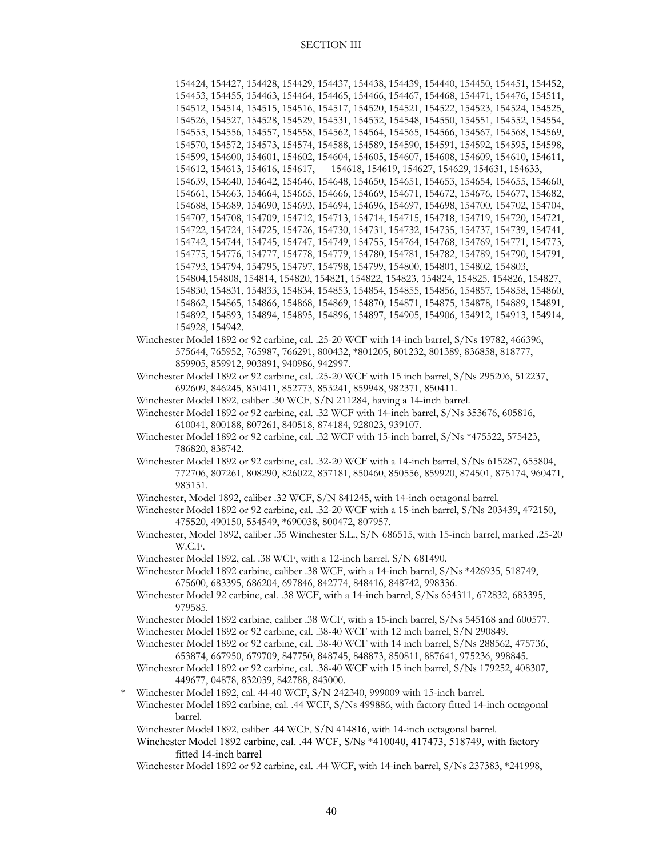154424, 154427, 154428, 154429, 154437, 154438, 154439, 154440, 154450, 154451, 154452, 154453, 154455, 154463, 154464, 154465, 154466, 154467, 154468, 154471, 154476, 154511, 154512, 154514, 154515, 154516, 154517, 154520, 154521, 154522, 154523, 154524, 154525, 154526, 154527, 154528, 154529, 154531, 154532, 154548, 154550, 154551, 154552, 154554, 154555, 154556, 154557, 154558, 154562, 154564, 154565, 154566, 154567, 154568, 154569, 154570, 154572, 154573, 154574, 154588, 154589, 154590, 154591, 154592, 154595, 154598, 154599, 154600, 154601, 154602, 154604, 154605, 154607, 154608, 154609, 154610, 154611, 154612, 154613, 154616, 154617, 154618, 154619, 154627, 154629, 154631, 154633, 154639, 154640, 154642, 154646, 154648, 154650, 154651, 154653, 154654, 154655, 154660, 154661, 154663, 154664, 154665, 154666, 154669, 154671, 154672, 154676, 154677, 154682, 154688, 154689, 154690, 154693, 154694, 154696, 154697, 154698, 154700, 154702, 154704, 154707, 154708, 154709, 154712, 154713, 154714, 154715, 154718, 154719, 154720, 154721, 154722, 154724, 154725, 154726, 154730, 154731, 154732, 154735, 154737, 154739, 154741, 154742, 154744, 154745, 154747, 154749, 154755, 154764, 154768, 154769, 154771, 154773, 154775, 154776, 154777, 154778, 154779, 154780, 154781, 154782, 154789, 154790, 154791, 154793, 154794, 154795, 154797, 154798, 154799, 154800, 154801, 154802, 154803, 154804,154808, 154814, 154820, 154821, 154822, 154823, 154824, 154825, 154826, 154827, 154830, 154831, 154833, 154834, 154853, 154854, 154855, 154856, 154857, 154858, 154860, 154862, 154865, 154866, 154868, 154869, 154870, 154871, 154875, 154878, 154889, 154891, 154892, 154893, 154894, 154895, 154896, 154897, 154905, 154906, 154912, 154913, 154914, 154928, 154942.

 Winchester Model 1892 or 92 carbine, cal. .25-20 WCF with 14-inch barrel, S/Ns 19782, 466396, 575644, 765952, 765987, 766291, 800432, \*801205, 801232, 801389, 836858, 818777, 859905, 859912, 903891, 940986, 942997.

 Winchester Model 1892 or 92 carbine, cal. .25-20 WCF with 15 inch barrel, S/Ns 295206, 512237, 692609, 846245, 850411, 852773, 853241, 859948, 982371, 850411.

Winchester Model 1892, caliber .30 WCF, S/N 211284, having a 14-inch barrel.

 Winchester Model 1892 or 92 carbine, cal. .32 WCF with 14-inch barrel, S/Ns 353676, 605816, 610041, 800188, 807261, 840518, 874184, 928023, 939107.

- Winchester Model 1892 or 92 carbine, cal. .32 WCF with 15-inch barrel, S/Ns \*475522, 575423, 786820, 838742.
- Winchester Model 1892 or 92 carbine, cal. .32-20 WCF with a 14-inch barrel, S/Ns 615287, 655804, 772706, 807261, 808290, 826022, 837181, 850460, 850556, 859920, 874501, 875174, 960471, 983151.
- Winchester, Model 1892, caliber .32 WCF, S/N 841245, with 14-inch octagonal barrel.

 Winchester Model 1892 or 92 carbine, cal. .32-20 WCF with a 15-inch barrel, S/Ns 203439, 472150, 475520, 490150, 554549, \*690038, 800472, 807957.

- Winchester, Model 1892, caliber .35 Winchester S.L., S/N 686515, with 15-inch barrel, marked .25-20 W.C.F.
- Winchester Model 1892, cal. .38 WCF, with a 12-inch barrel, S/N 681490.

 Winchester Model 1892 carbine, caliber .38 WCF, with a 14-inch barrel, S/Ns \*426935, 518749, 675600, 683395, 686204, 697846, 842774, 848416, 848742, 998336.

 Winchester Model 92 carbine, cal. .38 WCF, with a 14-inch barrel, S/Ns 654311, 672832, 683395, 979585.

 Winchester Model 1892 carbine, caliber .38 WCF, with a 15-inch barrel, S/Ns 545168 and 600577. Winchester Model 1892 or 92 carbine, cal. .38-40 WCF with 12 inch barrel, S/N 290849.

 Winchester Model 1892 or 92 carbine, cal. .38-40 WCF with 14 inch barrel, S/Ns 288562, 475736, 653874, 667950, 679709, 847750, 848745, 848873, 850811, 887641, 975236, 998845.

 Winchester Model 1892 or 92 carbine, cal. .38-40 WCF with 15 inch barrel, S/Ns 179252, 408307, 449677, 04878, 832039, 842788, 843000.

\* Winchester Model 1892, cal. 44-40 WCF, S/N 242340, 999009 with 15-inch barrel.

Winchester Model 1892 carbine, cal. .44 WCF, S/Ns 499886, with factory fitted 14-inch octagonal barrel.

Winchester Model 1892, caliber .44 WCF, S/N 414816, with 14-inch octagonal barrel.

Winchester Model 1892 carbine, cal. .44 WCF, S/Ns \*410040, 417473, 518749, with factory fitted 14-inch barrel

Winchester Model 1892 or 92 carbine, cal. .44 WCF, with 14-inch barrel, S/Ns 237383, \*241998,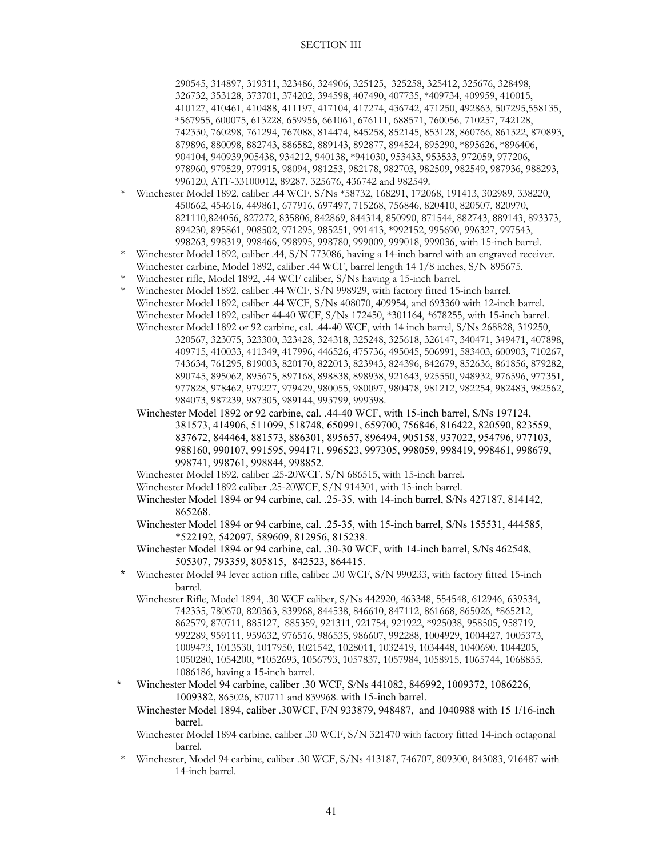290545, 314897, 319311, 323486, 324906, 325125, 325258, 325412, 325676, 328498, 326732, 353128, 373701, 374202, 394598, 407490, 407735, \*409734, 409959, 410015, 410127, 410461, 410488, 411197, 417104, 417274, 436742, 471250, 492863, 507295,558135, \*567955, 600075, 613228, 659956, 661061, 676111, 688571, 760056, 710257, 742128, 742330, 760298, 761294, 767088, 814474, 845258, 852145, 853128, 860766, 861322, 870893, 879896, 880098, 882743, 886582, 889143, 892877, 894524, 895290, \*895626, \*896406, 904104, 940939,905438, 934212, 940138, \*941030, 953433, 953533, 972059, 977206, 978960, 979529, 979915, 98094, 981253, 982178, 982703, 982509, 982549, 987936, 988293, 996120, ATF-33100012, 89287, 325676, 436742 and 982549.

- Winchester Model 1892, caliber .44 WCF, S/Ns \*58732, 168291, 172068, 191413, 302989, 338220, 450662, 454616, 449861, 677916, 697497, 715268, 756846, 820410, 820507, 820970, 821110,824056, 827272, 835806, 842869, 844314, 850990, 871544, 882743, 889143, 893373, 894230, 895861, 908502, 971295, 985251, 991413, \*992152, 995690, 996327, 997543, 998263, 998319, 998466, 998995, 998780, 999009, 999018, 999036, with 15-inch barrel.
- \* Winchester Model 1892, caliber .44, S/N 773086, having a 14-inch barrel with an engraved receiver. Winchester carbine, Model 1892, caliber .44 WCF, barrel length 14 1/8 inches, S/N 895675.
- Winchester rifle, Model 1892, .44 WCF caliber, S/Ns having a 15-inch barrel.
- \* Winchester Model 1892, caliber .44 WCF, S/N 998929, with factory fitted 15-inch barrel. Winchester Model 1892, caliber .44 WCF, S/Ns 408070, 409954, and 693360 with 12-inch barrel. Winchester Model 1892, caliber 44-40 WCF, S/Ns 172450, \*301164, \*678255, with 15-inch barrel. Winchester Model 1892 or 92 carbine, cal. .44-40 WCF, with 14 inch barrel, S/Ns 268828, 319250, 320567, 323075, 323300, 323428, 324318, 325248, 325618, 326147, 340471, 349471, 407898, 409715, 410033, 411349, 417996, 446526, 475736, 495045, 506991, 583403, 600903, 710267,
	- 743634, 761295, 819003, 820170, 822013, 823943, 824396, 842679, 852636, 861856, 879282, 890745, 895062, 895675, 897168, 898838, 898938, 921643, 925550, 948932, 976596, 977351, 977828, 978462, 979227, 979429, 980055, 980097, 980478, 981212, 982254, 982483, 982562, 984073, 987239, 987305, 989144, 993799, 999398.
	- Winchester Model 1892 or 92 carbine, cal. .44-40 WCF, with 15-inch barrel, S/Ns 197124, 381573, 414906, 511099, 518748, 650991, 659700, 756846, 816422, 820590, 823559, 837672, 844464, 881573, 886301, 895657, 896494, 905158, 937022, 954796, 977103, 988160, 990107, 991595, 994171, 996523, 997305, 998059, 998419, 998461, 998679, 998741, 998761, 998844, 998852.

Winchester Model 1892, caliber .25-20WCF, S/N 686515, with 15-inch barrel.

- Winchester Model 1892 caliber .25-20WCF, S/N 914301, with 15-inch barrel.
- Winchester Model 1894 or 94 carbine, cal. .25-35, with 14-inch barrel, S/Ns 427187, 814142, 865268.
- Winchester Model 1894 or 94 carbine, cal. .25-35, with 15-inch barrel, S/Ns 155531, 444585, \*522192, 542097, 589609, 812956, 815238.
- Winchester Model 1894 or 94 carbine, cal. .30-30 WCF, with 14-inch barrel, S/Ns 462548, 505307, 793359, 805815, 842523, 864415.
- Winchester Model 94 lever action rifle, caliber .30 WCF, S/N 990233, with factory fitted 15-inch barrel.
	- Winchester Rifle, Model 1894, .30 WCF caliber, S/Ns 442920, 463348, 554548, 612946, 639534, 742335, 780670, 820363, 839968, 844538, 846610, 847112, 861668, 865026, \*865212, 862579, 870711, 885127, 885359, 921311, 921754, 921922, \*925038, 958505, 958719, 992289, 959111, 959632, 976516, 986535, 986607, 992288, 1004929, 1004427, 1005373, 1009473, 1013530, 1017950, 1021542, 1028011, 1032419, 1034448, 1040690, 1044205, 1050280, 1054200, \*1052693, 1056793, 1057837, 1057984, 1058915, 1065744, 1068855, 1086186, having a 15-inch barrel.
- \* Winchester Model 94 carbine, caliber .30 WCF, S/Ns 441082, 846992, 1009372, 1086226, 1009382, 865026, 870711 and 839968. with 15-inch barrel.

Winchester Model 1894, caliber .30WCF, F/N 933879, 948487, and 1040988 with 15 1/16-inch barrel.

 Winchester Model 1894 carbine, caliber .30 WCF, S/N 321470 with factory fitted 14-inch octagonal barrel.

Winchester, Model 94 carbine, caliber .30 WCF, S/Ns 413187, 746707, 809300, 843083, 916487 with 14-inch barrel.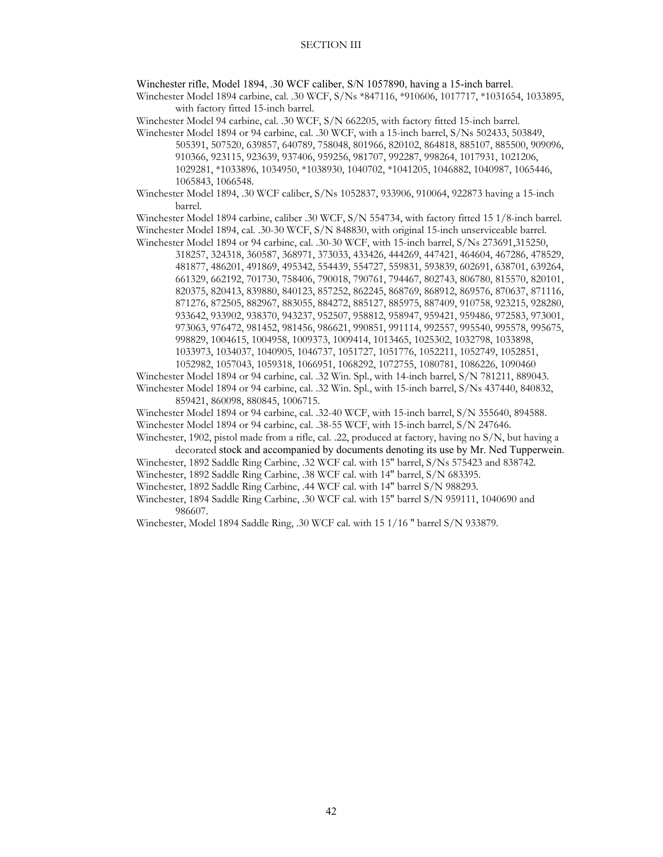Winchester rifle, Model 1894, .30 WCF caliber, S/N 1057890, having a 15-inch barrel.

 Winchester Model 1894 carbine, cal. .30 WCF, S/Ns \*847116, \*910606, 1017717, \*1031654, 1033895, with factory fitted 15-inch barrel.

Winchester Model 94 carbine, cal. .30 WCF, S/N 662205, with factory fitted 15-inch barrel.

- Winchester Model 1894 or 94 carbine, cal. .30 WCF, with a 15-inch barrel, S/Ns 502433, 503849, 505391, 507520, 639857, 640789, 758048, 801966, 820102, 864818, 885107, 885500, 909096, 910366, 923115, 923639, 937406, 959256, 981707, 992287, 998264, 1017931, 1021206, 1029281, \*1033896, 1034950, \*1038930, 1040702, \*1041205, 1046882, 1040987, 1065446, 1065843, 1066548.
- Winchester Model 1894, .30 WCF caliber, S/Ns 1052837, 933906, 910064, 922873 having a 15-inch barrel.

 Winchester Model 1894 carbine, caliber .30 WCF, S/N 554734, with factory fitted 15 1/8-inch barrel. Winchester Model 1894, cal. .30-30 WCF, S/N 848830, with original 15-inch unserviceable barrel.

 Winchester Model 1894 or 94 carbine, cal. .30-30 WCF, with 15-inch barrel, S/Ns 273691,315250, 318257, 324318, 360587, 368971, 373033, 433426, 444269, 447421, 464604, 467286, 478529, 481877, 486201, 491869, 495342, 554439, 554727, 559831, 593839, 602691, 638701, 639264, 661329, 662192, 701730, 758406, 790018, 790761, 794467, 802743, 806780, 815570, 820101, 820375, 820413, 839880, 840123, 857252, 862245, 868769, 868912, 869576, 870637, 871116, 871276, 872505, 882967, 883055, 884272, 885127, 885975, 887409, 910758, 923215, 928280, 933642, 933902, 938370, 943237, 952507, 958812, 958947, 959421, 959486, 972583, 973001, 973063, 976472, 981452, 981456, 986621, 990851, 991114, 992557, 995540, 995578, 995675, 998829, 1004615, 1004958, 1009373, 1009414, 1013465, 1025302, 1032798, 1033898, 1033973, 1034037, 1040905, 1046737, 1051727, 1051776, 1052211, 1052749, 1052851, 1052982, 1057043, 1059318, 1066951, 1068292, 1072755, 1080781, 1086226, 1090460

 Winchester Model 1894 or 94 carbine, cal. .32 Win. Spl., with 14-inch barrel, S/N 781211, 889043. Winchester Model 1894 or 94 carbine, cal. .32 Win. Spl., with 15-inch barrel, S/Ns 437440, 840832,

859421, 860098, 880845, 1006715.

 Winchester Model 1894 or 94 carbine, cal. .32-40 WCF, with 15-inch barrel, S/N 355640, 894588. Winchester Model 1894 or 94 carbine, cal. .38-55 WCF, with 15-inch barrel, S/N 247646.

 Winchester, 1902, pistol made from a rifle, cal. .22, produced at factory, having no S/N, but having a decorated stock and accompanied by documents denoting its use by Mr. Ned Tupperwein.

Winchester, 1892 Saddle Ring Carbine, .32 WCF cal. with 15″ barrel, S/Ns 575423 and 838742.

Winchester, 1892 Saddle Ring Carbine, .38 WCF cal. with 14″ barrel, S/N 683395.

Winchester, 1892 Saddle Ring Carbine, .44 WCF cal. with 14″ barrel S/N 988293.

Winchester, 1894 Saddle Ring Carbine, .30 WCF cal. with 15″ barrel S/N 959111, 1040690 and 986607.

Winchester, Model 1894 Saddle Ring, .30 WCF cal. with 15 1/16 ″ barrel S/N 933879.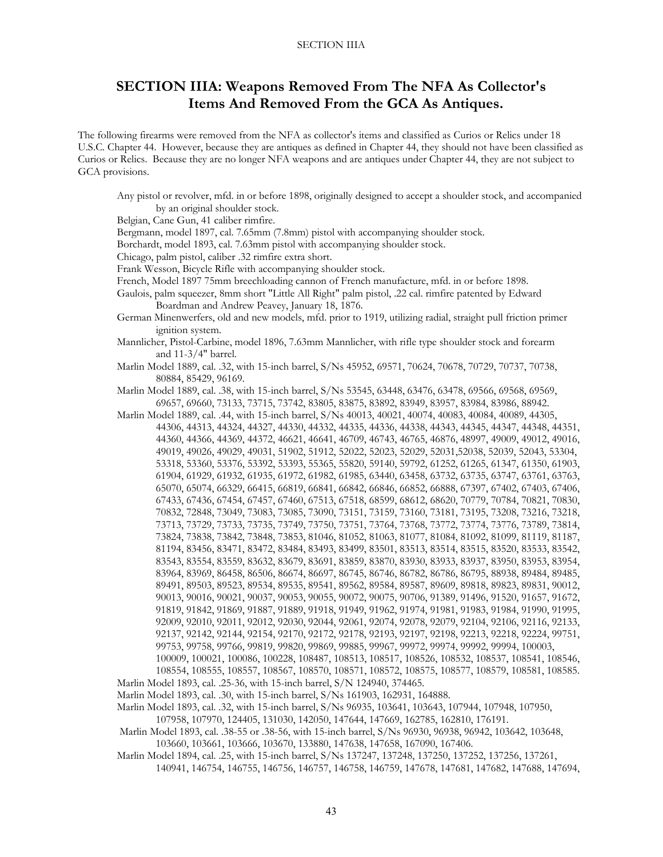# **SECTION IIIA: Weapons Removed From The NFA As Collector's Items And Removed From the GCA As Antiques.**

The following firearms were removed from the NFA as collector's items and classified as Curios or Relics under 18 U.S.C. Chapter 44. However, because they are antiques as defined in Chapter 44, they should not have been classified as Curios or Relics. Because they are no longer NFA weapons and are antiques under Chapter 44, they are not subject to GCA provisions.

Any pistol or revolver, mfd. in or before 1898, originally designed to accept a shoulder stock, and accompanied by an original shoulder stock. Belgian, Cane Gun, 41 caliber rimfire. Bergmann, model 1897, cal. 7.65mm (7.8mm) pistol with accompanying shoulder stock. Borchardt, model 1893, cal. 7.63mm pistol with accompanying shoulder stock. Chicago, palm pistol, caliber .32 rimfire extra short. Frank Wesson, Bicycle Rifle with accompanying shoulder stock. French, Model 1897 75mm breechloading cannon of French manufacture, mfd. in or before 1898. Gaulois, palm squeezer, 8mm short "Little All Right" palm pistol, .22 cal. rimfire patented by Edward Boardman and Andrew Peavey, January 18, 1876. German Minenwerfers, old and new models, mfd. prior to 1919, utilizing radial, straight pull friction primer ignition system. Mannlicher, Pistol-Carbine, model 1896, 7.63mm Mannlicher, with rifle type shoulder stock and forearm and 11-3/4" barrel. Marlin Model 1889, cal. .32, with 15-inch barrel, S/Ns 45952, 69571, 70624, 70678, 70729, 70737, 70738, 80884, 85429, 96169. Marlin Model 1889, cal. .38, with 15-inch barrel, S/Ns 53545, 63448, 63476, 63478, 69566, 69568, 69569, 69657, 69660, 73133, 73715, 73742, 83805, 83875, 83892, 83949, 83957, 83984, 83986, 88942. Marlin Model 1889, cal. .44, with 15-inch barrel, S/Ns 40013, 40021, 40074, 40083, 40084, 40089, 44305, 44306, 44313, 44324, 44327, 44330, 44332, 44335, 44336, 44338, 44343, 44345, 44347, 44348, 44351, 44360, 44366, 44369, 44372, 46621, 46641, 46709, 46743, 46765, 46876, 48997, 49009, 49012, 49016, 49019, 49026, 49029, 49031, 51902, 51912, 52022, 52023, 52029, 52031,52038, 52039, 52043, 53304, 53318, 53360, 53376, 53392, 53393, 55365, 55820, 59140, 59792, 61252, 61265, 61347, 61350, 61903, 61904, 61929, 61932, 61935, 61972, 61982, 61985, 63440, 63458, 63732, 63735, 63747, 63761, 63763, 65070, 65074, 66329, 66415, 66819, 66841, 66842, 66846, 66852, 66888, 67397, 67402, 67403, 67406, 67433, 67436, 67454, 67457, 67460, 67513, 67518, 68599, 68612, 68620, 70779, 70784, 70821, 70830, 70832, 72848, 73049, 73083, 73085, 73090, 73151, 73159, 73160, 73181, 73195, 73208, 73216, 73218, 73713, 73729, 73733, 73735, 73749, 73750, 73751, 73764, 73768, 73772, 73774, 73776, 73789, 73814, 73824, 73838, 73842, 73848, 73853, 81046, 81052, 81063, 81077, 81084, 81092, 81099, 81119, 81187, 81194, 83456, 83471, 83472, 83484, 83493, 83499, 83501, 83513, 83514, 83515, 83520, 83533, 83542, 83543, 83554, 83559, 83632, 83679, 83691, 83859, 83870, 83930, 83933, 83937, 83950, 83953, 83954, 83964, 83969, 86458, 86506, 86674, 86697, 86745, 86746, 86782, 86786, 86795, 88938, 89484, 89485, 89491, 89503, 89523, 89534, 89535, 89541, 89562, 89584, 89587, 89609, 89818, 89823, 89831, 90012, 90013, 90016, 90021, 90037, 90053, 90055, 90072, 90075, 90706, 91389, 91496, 91520, 91657, 91672, 91819, 91842, 91869, 91887, 91889, 91918, 91949, 91962, 91974, 91981, 91983, 91984, 91990, 91995, 92009, 92010, 92011, 92012, 92030, 92044, 92061, 92074, 92078, 92079, 92104, 92106, 92116, 92133, 92137, 92142, 92144, 92154, 92170, 92172, 92178, 92193, 92197, 92198, 92213, 92218, 92224, 99751, 99753, 99758, 99766, 99819, 99820, 99869, 99885, 99967, 99972, 99974, 99992, 99994, 100003, 100009, 100021, 100086, 100228, 108487, 108513, 108517, 108526, 108532, 108537, 108541, 108546, 108554, 108555, 108557, 108567, 108570, 108571, 108572, 108575, 108577, 108579, 108581, 108585. Marlin Model 1893, cal. .25-36, with 15-inch barrel, S/N 124940, 374465. Marlin Model 1893, cal. .30, with 15-inch barrel, S/Ns 161903, 162931, 164888. Marlin Model 1893, cal. .32, with 15-inch barrel, S/Ns 96935, 103641, 103643, 107944, 107948, 107950, 107958, 107970, 124405, 131030, 142050, 147644, 147669, 162785, 162810, 176191. Marlin Model 1893, cal. .38-55 or .38-56, with 15-inch barrel, S/Ns 96930, 96938, 96942, 103642, 103648, 103660, 103661, 103666, 103670, 133880, 147638, 147658, 167090, 167406.

 Marlin Model 1894, cal. .25, with 15-inch barrel, S/Ns 137247, 137248, 137250, 137252, 137256, 137261, 140941, 146754, 146755, 146756, 146757, 146758, 146759, 147678, 147681, 147682, 147688, 147694,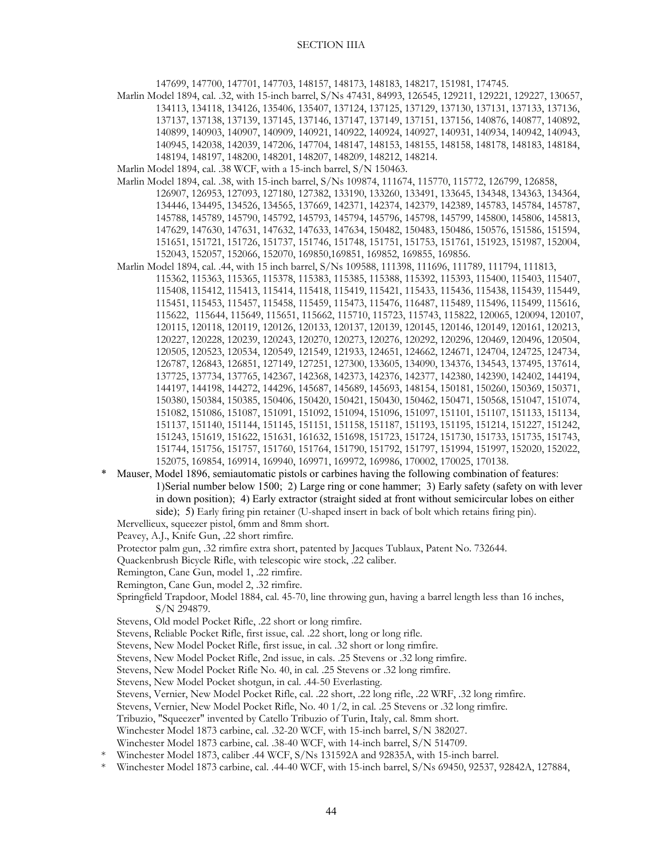147699, 147700, 147701, 147703, 148157, 148173, 148183, 148217, 151981, 174745.

 Marlin Model 1894, cal. .32, with 15-inch barrel, S/Ns 47431, 84993, 126545, 129211, 129221, 129227, 130657, 134113, 134118, 134126, 135406, 135407, 137124, 137125, 137129, 137130, 137131, 137133, 137136, 137137, 137138, 137139, 137145, 137146, 137147, 137149, 137151, 137156, 140876, 140877, 140892, 140899, 140903, 140907, 140909, 140921, 140922, 140924, 140927, 140931, 140934, 140942, 140943, 140945, 142038, 142039, 147206, 147704, 148147, 148153, 148155, 148158, 148178, 148183, 148184, 148194, 148197, 148200, 148201, 148207, 148209, 148212, 148214.

Marlin Model 1894, cal. .38 WCF, with a 15-inch barrel, S/N 150463.

- Marlin Model 1894, cal. .38, with 15-inch barrel, S/Ns 109874, 111674, 115770, 115772, 126799, 126858, 126907, 126953, 127093, 127180, 127382, 133190, 133260, 133491, 133645, 134348, 134363, 134364, 134446, 134495, 134526, 134565, 137669, 142371, 142374, 142379, 142389, 145783, 145784, 145787, 145788, 145789, 145790, 145792, 145793, 145794, 145796, 145798, 145799, 145800, 145806, 145813, 147629, 147630, 147631, 147632, 147633, 147634, 150482, 150483, 150486, 150576, 151586, 151594, 151651, 151721, 151726, 151737, 151746, 151748, 151751, 151753, 151761, 151923, 151987, 152004, 152043, 152057, 152066, 152070, 169850,169851, 169852, 169855, 169856.
- Marlin Model 1894, cal. .44, with 15 inch barrel, S/Ns 109588, 111398, 111696, 111789, 111794, 111813, 115362, 115363, 115365, 115378, 115383, 115385, 115388, 115392, 115393, 115400, 115403, 115407, 115408, 115412, 115413, 115414, 115418, 115419, 115421, 115433, 115436, 115438, 115439, 115449, 115451, 115453, 115457, 115458, 115459, 115473, 115476, 116487, 115489, 115496, 115499, 115616, 115622, 115644, 115649, 115651, 115662, 115710, 115723, 115743, 115822, 120065, 120094, 120107, 120115, 120118, 120119, 120126, 120133, 120137, 120139, 120145, 120146, 120149, 120161, 120213, 120227, 120228, 120239, 120243, 120270, 120273, 120276, 120292, 120296, 120469, 120496, 120504, 120505, 120523, 120534, 120549, 121549, 121933, 124651, 124662, 124671, 124704, 124725, 124734, 126787, 126843, 126851, 127149, 127251, 127300, 133605, 134090, 134376, 134543, 137495, 137614, 137725, 137734, 137765, 142367, 142368, 142373, 142376, 142377, 142380, 142390, 142402, 144194, 144197, 144198, 144272, 144296, 145687, 145689, 145693, 148154, 150181, 150260, 150369, 150371, 150380, 150384, 150385, 150406, 150420, 150421, 150430, 150462, 150471, 150568, 151047, 151074, 151082, 151086, 151087, 151091, 151092, 151094, 151096, 151097, 151101, 151107, 151133, 151134, 151137, 151140, 151144, 151145, 151151, 151158, 151187, 151193, 151195, 151214, 151227, 151242, 151243, 151619, 151622, 151631, 161632, 151698, 151723, 151724, 151730, 151733, 151735, 151743, 151744, 151756, 151757, 151760, 151764, 151790, 151792, 151797, 151994, 151997, 152020, 152022, 152075, 169854, 169914, 169940, 169971, 169972, 169986, 170002, 170025, 170138.
- \* Mauser, Model 1896, semiautomatic pistols or carbines having the following combination of features: 1)Serial number below 1500; 2) Large ring or cone hammer; 3) Early safety (safety on with lever in down position); 4) Early extractor (straight sided at front without semicircular lobes on either side); 5) Early firing pin retainer (U-shaped insert in back of bolt which retains firing pin). Mervellieux, squeezer pistol, 6mm and 8mm short.
	- Peavey, A.J., Knife Gun, .22 short rimfire.
	- Protector palm gun, .32 rimfire extra short, patented by Jacques Tublaux, Patent No. 732644.
	- Quackenbrush Bicycle Rifle, with telescopic wire stock, .22 caliber.
	- Remington, Cane Gun, model 1, .22 rimfire.
	- Remington, Cane Gun, model 2, .32 rimfire.
	- Springfield Trapdoor, Model 1884, cal. 45-70, line throwing gun, having a barrel length less than 16 inches, S/N 294879.
	- Stevens, Old model Pocket Rifle, .22 short or long rimfire.
	- Stevens, Reliable Pocket Rifle, first issue, cal. .22 short, long or long rifle.
	- Stevens, New Model Pocket Rifle, first issue, in cal. .32 short or long rimfire.
	- Stevens, New Model Pocket Rifle, 2nd issue, in cals. .25 Stevens or .32 long rimfire.
	- Stevens, New Model Pocket Rifle No. 40, in cal. .25 Stevens or .32 long rimfire.
	- Stevens, New Model Pocket shotgun, in cal. .44-50 Everlasting.
	- Stevens, Vernier, New Model Pocket Rifle, cal. .22 short, .22 long rifle, .22 WRF, .32 long rimfire.
	- Stevens, Vernier, New Model Pocket Rifle, No. 40 1/2, in cal. .25 Stevens or .32 long rimfire.

Tribuzio, "Squeezer" invented by Catello Tribuzio of Turin, Italy, cal. 8mm short.

- Winchester Model 1873 carbine, cal. .32-20 WCF, with 15-inch barrel, S/N 382027.
- Winchester Model 1873 carbine, cal. .38-40 WCF, with 14-inch barrel, S/N 514709.
- Winchester Model 1873, caliber .44 WCF, S/Ns 131592A and 92835A, with 15-inch barrel.
- \* Winchester Model 1873 carbine, cal. .44-40 WCF, with 15-inch barrel, S/Ns 69450, 92537, 92842A, 127884,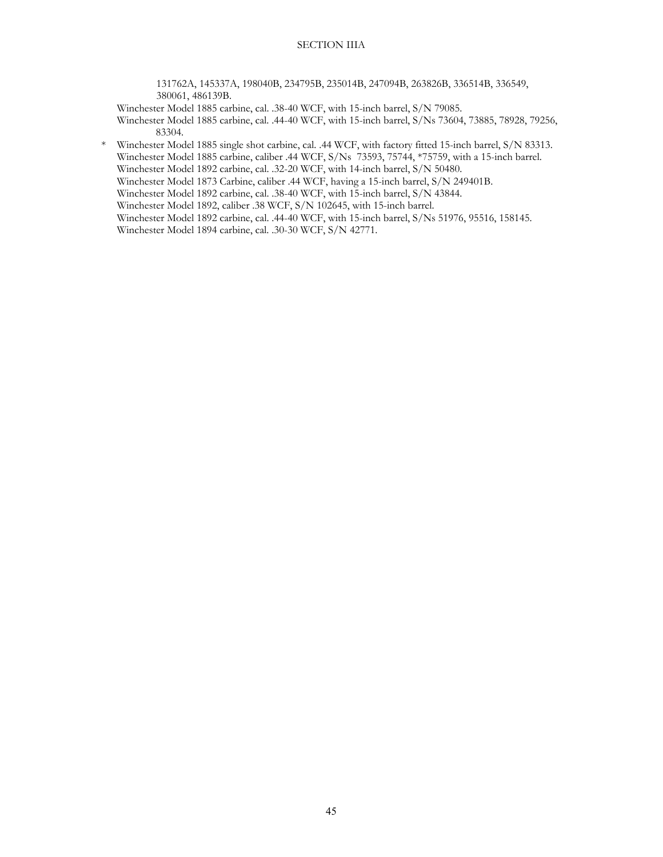131762A, 145337A, 198040B, 234795B, 235014B, 247094B, 263826B, 336514B, 336549, 380061, 486139B.

Winchester Model 1885 carbine, cal. .38-40 WCF, with 15-inch barrel, S/N 79085.

 Winchester Model 1885 carbine, cal. .44-40 WCF, with 15-inch barrel, S/Ns 73604, 73885, 78928, 79256, 83304.

 \* Winchester Model 1885 single shot carbine, cal. .44 WCF, with factory fitted 15-inch barrel, S/N 83313. Winchester Model 1885 carbine, caliber .44 WCF, S/Ns 73593, 75744, \*75759, with a 15-inch barrel. Winchester Model 1892 carbine, cal. .32-20 WCF, with 14-inch barrel, S/N 50480.

Winchester Model 1873 Carbine, caliber .44 WCF, having a 15-inch barrel, S/N 249401B.

Winchester Model 1892 carbine, cal. .38-40 WCF, with 15-inch barrel, S/N 43844.

Winchester Model 1892, caliber .38 WCF, S/N 102645, with 15-inch barrel.

Winchester Model 1892 carbine, cal. .44-40 WCF, with 15-inch barrel, S/Ns 51976, 95516, 158145.

Winchester Model 1894 carbine, cal. .30-30 WCF, S/N 42771.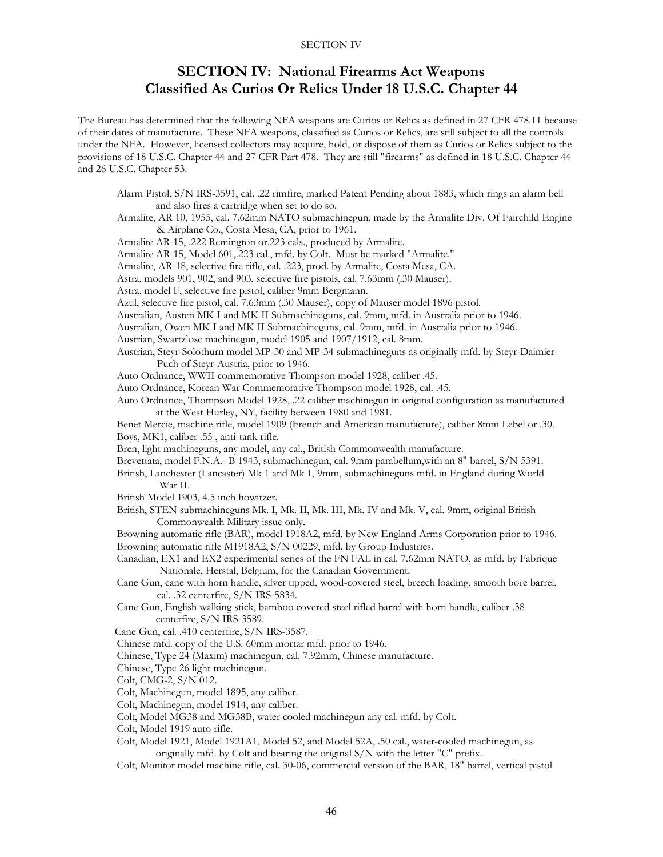# **SECTION IV: National Firearms Act Weapons Classified As Curios Or Relics Under 18 U.S.C. Chapter 44**

The Bureau has determined that the following NFA weapons are Curios or Relics as defined in 27 CFR 478.11 because of their dates of manufacture. These NFA weapons, classified as Curios or Relics, are still subject to all the controls under the NFA. However, licensed collectors may acquire, hold, or dispose of them as Curios or Relics subject to the provisions of 18 U.S.C. Chapter 44 and 27 CFR Part 478. They are still "firearms" as defined in 18 U.S.C. Chapter 44 and 26 U.S.C. Chapter 53.

- Alarm Pistol, S/N IRS-3591, cal. .22 rimfire, marked Patent Pending about 1883, which rings an alarm bell and also fires a cartridge when set to do so.
- Armalite, AR 10, 1955, cal. 7.62mm NATO submachinegun, made by the Armalite Div. Of Fairchild Engine & Airplane Co., Costa Mesa, CA, prior to 1961.
- Armalite AR-15, .222 Remington or.223 cals., produced by Armalite.
- Armalite AR-15, Model 601,.223 cal., mfd. by Colt. Must be marked "Armalite."
- Armalite, AR-18, selective fire rifle, cal. .223, prod. by Armalite, Costa Mesa, CA.
- Astra, models 901, 902, and 903, selective fire pistols, cal. 7.63mm (.30 Mauser).
- Astra, model F, selective fire pistol, caliber 9mm Bergmann.
- Azul, selective fire pistol, cal. 7.63mm (.30 Mauser), copy of Mauser model 1896 pistol.
- Australian, Austen MK I and MK II Submachineguns, cal. 9mm, mfd. in Australia prior to 1946.
- Australian, Owen MK I and MK II Submachineguns, cal. 9mm, mfd. in Australia prior to 1946.
- Austrian, Swartzlose machinegun, model 1905 and 1907/1912, cal. 8mm.
- Austrian, Steyr-Solothurn model MP-30 and MP-34 submachineguns as originally mfd. by Steyr-Daimier- Puch of Steyr-Austria, prior to 1946.
- Auto Ordnance, WWII commemorative Thompson model 1928, caliber .45.
- Auto Ordnance, Korean War Commemorative Thompson model 1928, cal. .45.
- Auto Ordnance, Thompson Model 1928, .22 caliber machinegun in original configuration as manufactured at the West Hurley, NY, facility between 1980 and 1981.
- Benet Mercie, machine rifle, model 1909 (French and American manufacture), caliber 8mm Lebel or .30. Boys, MK1, caliber .55 , anti-tank rifle.
- Bren, light machineguns, any model, any cal., British Commonwealth manufacture.
- Brevettata, model F.N.A.- B 1943, submachinegun, cal. 9mm parabellum,with an 8" barrel, S/N 5391.
- British, Lanchester (Lancaster) Mk 1 and Mk 1, 9mm, submachineguns mfd. in England during World War II.
- British Model 1903, 4.5 inch howitzer.
- British, STEN submachineguns Mk. I, Mk. II, Mk. III, Mk. IV and Mk. V, cal. 9mm, original British Commonwealth Military issue only.

 Browning automatic rifle (BAR), model 1918A2, mfd. by New England Arms Corporation prior to 1946. Browning automatic rifle M1918A2, S/N 00229, mfd. by Group Industries.

- Canadian, EX1 and EX2 experimental series of the FN FAL in cal. 7.62mm NATO, as mfd. by Fabrique Nationale, Herstal, Belgium, for the Canadian Government.
- Cane Gun, cane with horn handle, silver tipped, wood-covered steel, breech loading, smooth bore barrel, cal. .32 centerfire, S/N IRS-5834.
- Cane Gun, English walking stick, bamboo covered steel rifled barrel with horn handle, caliber .38 centerfire, S/N IRS-3589.
- Cane Gun, cal. .410 centerfire, S/N IRS-3587.
- Chinese mfd. copy of the U.S. 60mm mortar mfd. prior to 1946.
- Chinese, Type 24 (Maxim) machinegun, cal. 7.92mm, Chinese manufacture.
- Chinese, Type 26 light machinegun.
- Colt, CMG-2, S/N 012.
- Colt, Machinegun, model 1895, any caliber.
- Colt, Machinegun, model 1914, any caliber.
- Colt, Model MG38 and MG38B, water cooled machinegun any cal. mfd. by Colt.
- Colt, Model 1919 auto rifle.
- Colt, Model 1921, Model 1921A1, Model 52, and Model 52A, .50 cal., water-cooled machinegun, as originally mfd. by Colt and bearing the original S/N with the letter "C" prefix.
- Colt, Monitor model machine rifle, cal. 30-06, commercial version of the BAR, 18" barrel, vertical pistol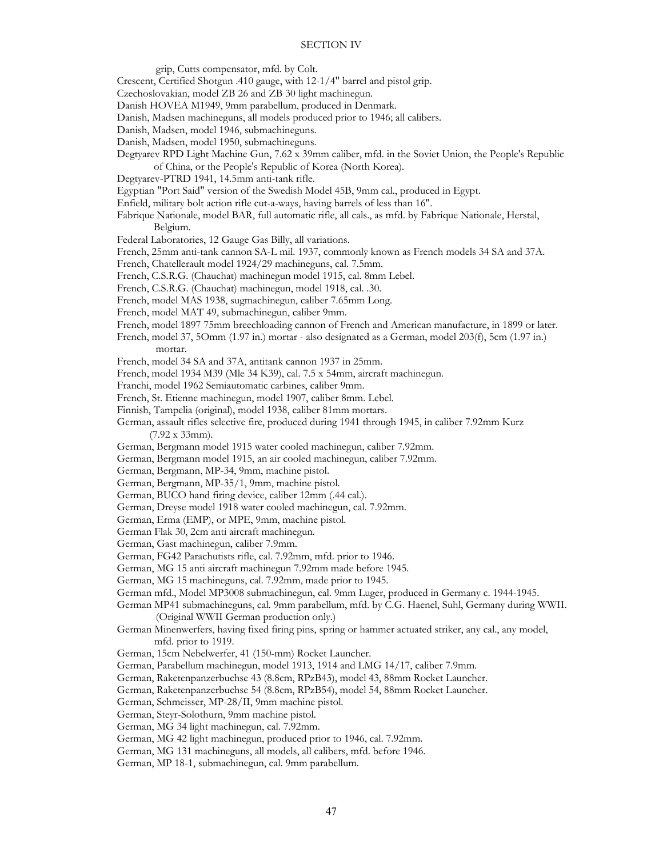- grip, Cutts compensator, mfd. by Colt.
- Crescent, Certified Shotgun .410 gauge, with 12-1/4" barrel and pistol grip.
- Czechoslovakian, model ZB 26 and ZB 30 light machinegun.
- Danish HOVEA M1949, 9mm parabellum, produced in Denmark.
- Danish, Madsen machineguns, all models produced prior to 1946; all calibers.
- Danish, Madsen, model 1946, submachineguns.
- Danish, Madsen, model 1950, submachineguns.
- Degtyarev RPD Light Machine Gun, 7.62 x 39mm caliber, mfd. in the Soviet Union, the People's Republic of China, or the People's Republic of Korea (North Korea).
- Degtyarev-PTRD 1941, 14.5mm anti-tank rifle.
- Egyptian "Port Said" version of the Swedish Model 45B, 9mm cal., produced in Egypt.
- Enfield, military bolt action rifle cut-a-ways, having barrels of less than 16".
- Fabrique Nationale, model BAR, full automatic rifle, all cals., as mfd. by Fabrique Nationale, Herstal, Belgium.
- Federal Laboratories, 12 Gauge Gas Billy, all variations.
- French, 25mm anti-tank cannon SA-L mil. 1937, commonly known as French models 34 SA and 37A.
- French, Chatellerault model 1924/29 machineguns, cal. 7.5mm.
- French, C.S.R.G. (Chauchat) machinegun model 1915, cal. 8mm Lebel.
- French, C.S.R.G. (Chauchat) machinegun, model 1918, cal. .30.
- French, model MAS 1938, sugmachinegun, caliber 7.65mm Long.
- French, model MAT 49, submachinegun, caliber 9mm.
- French, model 1897 75mm breechloading cannon of French and American manufacture, in 1899 or later.
- French, model 37, 5Omm (1.97 in.) mortar also designated as a German, model 203(f), 5cm (1.97 in.) mortar.
- French, model 34 SA and 37A, antitank cannon 1937 in 25mm.
- French, model 1934 M39 (Mle 34 K39), cal. 7.5 x 54mm, aircraft machinegun.
- Franchi, model 1962 Semiautomatic carbines, caliber 9mm.
- French, St. Etienne machinegun, model 1907, caliber 8mm. Lebel.
- Finnish, Tampelia (original), model 1938, caliber 81mm mortars.
- German, assault rifles selective fire, produced during 1941 through 1945, in caliber 7.92mm Kurz (7.92 x 33mm).
- German, Bergmann model 1915 water cooled machinegun, caliber 7.92mm.
- German, Bergmann model 1915, an air cooled machinegun, caliber 7.92mm.
- German, Bergmann, MP-34, 9mm, machine pistol.
- German, Bergmann, MP-35/1, 9mm, machine pistol.
- German, BUCO hand firing device, caliber 12mm (.44 cal.).
- German, Dreyse model 1918 water cooled machinegun, cal. 7.92mm.
- German, Erma (EMP), or MPE, 9mm, machine pistol.
- German Flak 30, 2cm anti aircraft machinegun.
- German, Gast machinegun, caliber 7.9mm.
- German, FG42 Parachutists rifle, cal. 7.92mm, mfd. prior to 1946.
- German, MG 15 anti aircraft machinegun 7.92mm made before 1945.
- German, MG 15 machineguns, cal. 7.92mm, made prior to 1945.
- German mfd., Model MP3008 submachinegun, cal. 9mm Luger, produced in Germany c. 1944-1945.

 German MP41 submachineguns, cal. 9mm parabellum, mfd. by C.G. Haenel, Suhl, Germany during WWII. (Original WWII German production only.)

- German Minenwerfers, having fixed firing pins, spring or hammer actuated striker, any cal., any model, mfd. prior to 1919.
- German, 15cm Nebelwerfer, 41 (150-mm) Rocket Launcher.
- German, Parabellum machinegun, model 1913, 1914 and LMG 14/17, caliber 7.9mm.
- German, Raketenpanzerbuchse 43 (8.8cm, RPzB43), model 43, 88mm Rocket Launcher.
- German, Raketenpanzerbuchse 54 (8.8cm, RPzB54), model 54, 88mm Rocket Launcher.
- German, Schmeisser, MP-28/II, 9mm machine pistol.
- German, Steyr-Solothurn, 9mm machine pistol.
- German, MG 34 light machinegun, cal. 7.92mm.
- German, MG 42 light machinegun, produced prior to 1946, cal. 7.92mm.
- German, MG 131 machineguns, all models, all calibers, mfd. before 1946.
- German, MP 18-1, submachinegun, cal. 9mm parabellum.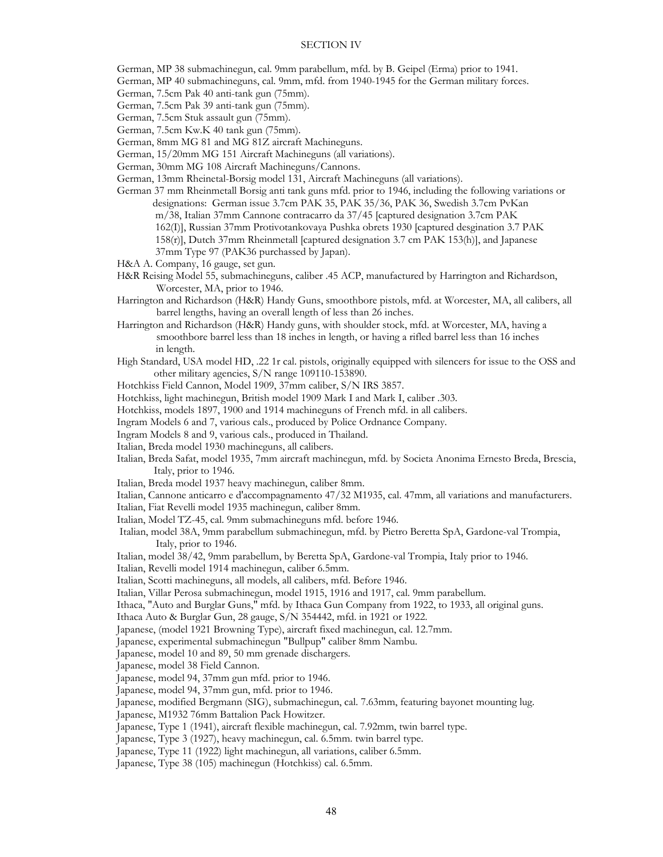German, MP 38 submachinegun, cal. 9mm parabellum, mfd. by B. Geipel (Erma) prior to 1941.

- German, MP 40 submachineguns, cal. 9mm, mfd. from 1940-1945 for the German military forces.
- German, 7.5cm Pak 40 anti-tank gun (75mm).
- German, 7.5cm Pak 39 anti-tank gun (75mm).
- German, 7.5cm Stuk assault gun (75mm).
- German, 7.5cm Kw.K 40 tank gun (75mm).
- German, 8mm MG 81 and MG 81Z aircraft Machineguns.
- German, 15/20mm MG 151 Aircraft Machineguns (all variations).
- German, 30mm MG 108 Aircraft Machineguns/Cannons.
- German, 13mm Rheinetal-Borsig model 131, Aircraft Machineguns (all variations).
- German 37 mm Rheinmetall Borsig anti tank guns mfd. prior to 1946, including the following variations or designations: German issue 3.7cm PAK 35, PAK 35/36, PAK 36, Swedish 3.7cm PvKan m/38, Italian 37mm Cannone contracarro da 37/45 [captured designation 3.7cm PAK 162(I)], Russian 37mm Protivotankovaya Pushka obrets 1930 [captured desgination 3.7 PAK 158(r)], Dutch 37mm Rheinmetall [captured designation 3.7 cm PAK 153(h)], and Japanese 37mm Type 97 (PAK36 purchassed by Japan).
- H&A A. Company, 16 gauge, set gun.
- H&R Reising Model 55, submachineguns, caliber .45 ACP, manufactured by Harrington and Richardson, Worcester, MA, prior to 1946.
- Harrington and Richardson (H&R) Handy Guns, smoothbore pistols, mfd. at Worcester, MA, all calibers, all barrel lengths, having an overall length of less than 26 inches.
- Harrington and Richardson (H&R) Handy guns, with shoulder stock, mfd. at Worcester, MA, having a smoothbore barrel less than 18 inches in length, or having a rifled barrel less than 16 inches in length.
- High Standard, USA model HD, .22 1r cal. pistols, originally equipped with silencers for issue to the OSS and other military agencies, S/N range 109110-153890.
- Hotchkiss Field Cannon, Model 1909, 37mm caliber, S/N IRS 3857.
- Hotchkiss, light machinegun, British model 1909 Mark I and Mark I, caliber .303.
- Hotchkiss, models 1897, 1900 and 1914 machineguns of French mfd. in all calibers.
- Ingram Models 6 and 7, various cals., produced by Police Ordnance Company.
- Ingram Models 8 and 9, various cals., produced in Thailand.
- Italian, Breda model 1930 machineguns, all calibers.
- Italian, Breda Safat, model 1935, 7mm aircraft machinegun, mfd. by Societa Anonima Ernesto Breda, Brescia, Italy, prior to 1946.
- Italian, Breda model 1937 heavy machinegun, caliber 8mm.
- Italian, Cannone anticarro e d'accompagnamento 47/32 M1935, cal. 47mm, all variations and manufacturers.
- Italian, Fiat Revelli model 1935 machinegun, caliber 8mm.
- Italian, Model TZ-45, cal. 9mm submachineguns mfd. before 1946.
- Italian, model 38A, 9mm parabellum submachinegun, mfd. by Pietro Beretta SpA, Gardone-val Trompia, Italy, prior to 1946.
- Italian, model 38/42, 9mm parabellum, by Beretta SpA, Gardone-val Trompia, Italy prior to 1946.
- Italian, Revelli model 1914 machinegun, caliber 6.5mm.
- Italian, Scotti machineguns, all models, all calibers, mfd. Before 1946.
- Italian, Villar Perosa submachinegun, model 1915, 1916 and 1917, cal. 9mm parabellum.
- Ithaca, "Auto and Burglar Guns," mfd. by Ithaca Gun Company from 1922, to 1933, all original guns.
- Ithaca Auto & Burglar Gun, 28 gauge, S/N 354442, mfd. in 1921 or 1922.
- Japanese, (model 1921 Browning Type), aircraft fixed machinegun, cal. 12.7mm.
- Japanese, experimental submachinegun "Bullpup" caliber 8mm Nambu.
- Japanese, model 10 and 89, 50 mm grenade dischargers.
- Japanese, model 38 Field Cannon.
- Japanese, model 94, 37mm gun mfd. prior to 1946.
- Japanese, model 94, 37mm gun, mfd. prior to 1946.
- Japanese, modified Bergmann (SIG), submachinegun, cal. 7.63mm, featuring bayonet mounting lug.
- Japanese, M1932 76mm Battalion Pack Howitzer.
- Japanese, Type 1 (1941), aircraft flexible machinegun, cal. 7.92mm, twin barrel type.
- Japanese, Type 3 (1927), heavy machinegun, cal. 6.5mm. twin barrel type.
- Japanese, Type 11 (1922) light machinegun, all variations, caliber 6.5mm.
- Japanese, Type 38 (105) machinegun (Hotchkiss) cal. 6.5mm.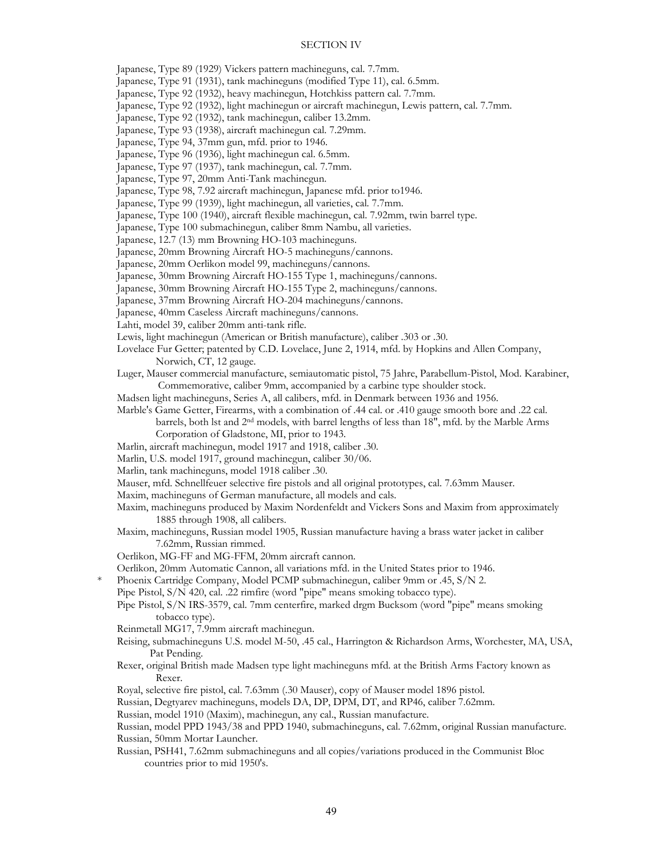Japanese, Type 89 (1929) Vickers pattern machineguns, cal. 7.7mm.

Japanese, Type 91 (1931), tank machineguns (modified Type 11), cal. 6.5mm.

Japanese, Type 92 (1932), heavy machinegun, Hotchkiss pattern cal. 7.7mm.

Japanese, Type 92 (1932), light machinegun or aircraft machinegun, Lewis pattern, cal. 7.7mm.

Japanese, Type 92 (1932), tank machinegun, caliber 13.2mm.

- Japanese, Type 93 (1938), aircraft machinegun cal. 7.29mm.
- Japanese, Type 94, 37mm gun, mfd. prior to 1946.

Japanese, Type 96 (1936), light machinegun cal. 6.5mm.

Japanese, Type 97 (1937), tank machinegun, cal. 7.7mm.

Japanese, Type 97, 20mm Anti-Tank machinegun.

Japanese, Type 98, 7.92 aircraft machinegun, Japanese mfd. prior to1946.

Japanese, Type 99 (1939), light machinegun, all varieties, cal. 7.7mm.

Japanese, Type 100 (1940), aircraft flexible machinegun, cal. 7.92mm, twin barrel type.

Japanese, Type 100 submachinegun, caliber 8mm Nambu, all varieties.

Japanese, 12.7 (13) mm Browning HO-103 machineguns.

Japanese, 20mm Browning Aircraft HO-5 machineguns/cannons.

- Japanese, 20mm Oerlikon model 99, machineguns/cannons.
- Japanese, 30mm Browning Aircraft HO-155 Type 1, machineguns/cannons.

Japanese, 30mm Browning Aircraft HO-155 Type 2, machineguns/cannons.

Japanese, 37mm Browning Aircraft HO-204 machineguns/cannons.

- Japanese, 40mm Caseless Aircraft machineguns/cannons.
- Lahti, model 39, caliber 20mm anti-tank rifle.
- Lewis, light machinegun (American or British manufacture), caliber .303 or .30.
- Lovelace Fur Getter; patented by C.D. Lovelace, June 2, 1914, mfd. by Hopkins and Allen Company, Norwich, CT, 12 gauge.
- Luger, Mauser commercial manufacture, semiautomatic pistol, 75 Jahre, Parabellum-Pistol, Mod. Karabiner, Commemorative, caliber 9mm, accompanied by a carbine type shoulder stock.
- Madsen light machineguns, Series A, all calibers, mfd. in Denmark between 1936 and 1956.

Marble's Game Getter, Firearms, with a combination of .44 cal. or .410 gauge smooth bore and .22 cal.

barrels, both lst and 2nd models, with barrel lengths of less than 18", mfd. by the Marble Arms Corporation of Gladstone, MI, prior to 1943.

- Marlin, aircraft machinegun, model 1917 and 1918, caliber .30.
- Marlin, U.S. model 1917, ground machinegun, caliber 30/06.
- Marlin, tank machineguns, model 1918 caliber .30.
- Mauser, mfd. Schnellfeuer selective fire pistols and all original prototypes, cal. 7.63mm Mauser.
- Maxim, machineguns of German manufacture, all models and cals.
- Maxim, machineguns produced by Maxim Nordenfeldt and Vickers Sons and Maxim from approximately 1885 through 1908, all calibers.

 Maxim, machineguns, Russian model 1905, Russian manufacture having a brass water jacket in caliber 7.62mm, Russian rimmed.

- Oerlikon, MG-FF and MG-FFM, 20mm aircraft cannon.
- Oerlikon, 20mm Automatic Cannon, all variations mfd. in the United States prior to 1946.
- Phoenix Cartridge Company, Model PCMP submachinegun, caliber 9mm or .45, S/N 2.
- Pipe Pistol, S/N 420, cal. .22 rimfire (word "pipe" means smoking tobacco type).

 Pipe Pistol, S/N IRS-3579, cal. 7mm centerfire, marked drgm Bucksom (word "pipe" means smoking tobacco type).

- Reinmetall MG17, 7.9mm aircraft machinegun.
- Reising, submachineguns U.S. model M-50, .45 cal., Harrington & Richardson Arms, Worchester, MA, USA, Pat Pending.
- Rexer, original British made Madsen type light machineguns mfd. at the British Arms Factory known as Rexer.
- Royal, selective fire pistol, cal. 7.63mm (.30 Mauser), copy of Mauser model 1896 pistol.

Russian, Degtyarev machineguns, models DA, DP, DPM, DT, and RP46, caliber 7.62mm.

Russian, model 1910 (Maxim), machinegun, any cal., Russian manufacture.

 Russian, model PPD 1943/38 and PPD 1940, submachineguns, cal. 7.62mm, original Russian manufacture. Russian, 50mm Mortar Launcher.

 Russian, PSH41, 7.62mm submachineguns and all copies/variations produced in the Communist Bloc countries prior to mid 1950's.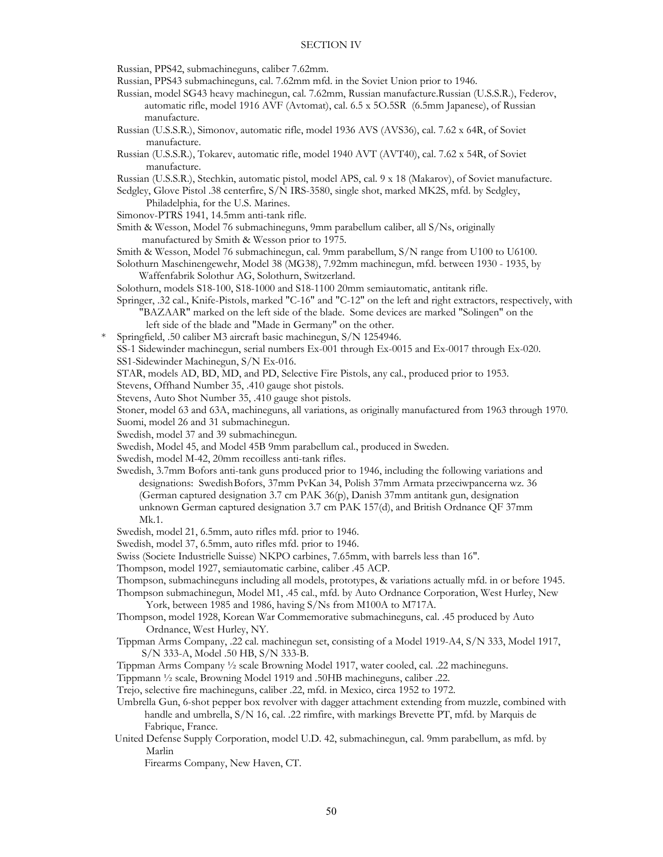Russian, PPS42, submachineguns, caliber 7.62mm.

- Russian, PPS43 submachineguns, cal. 7.62mm mfd. in the Soviet Union prior to 1946.
- Russian, model SG43 heavy machinegun, cal. 7.62mm, Russian manufacture.Russian (U.S.S.R.), Federov, automatic rifle, model 1916 AVF (Avtomat), cal. 6.5 x 5O.5SR (6.5mm Japanese), of Russian manufacture.
- Russian (U.S.S.R.), Simonov, automatic rifle, model 1936 AVS (AVS36), cal. 7.62 x 64R, of Soviet manufacture.
- Russian (U.S.S.R.), Tokarev, automatic rifle, model 1940 AVT (AVT40), cal. 7.62 x 54R, of Soviet manufacture.
- Russian (U.S.S.R.), Stechkin, automatic pistol, model APS, cal. 9 x 18 (Makarov), of Soviet manufacture.

 Sedgley, Glove Pistol .38 centerfire, S/N IRS-3580, single shot, marked MK2S, mfd. by Sedgley, Philadelphia, for the U.S. Marines.

Simonov-PTRS 1941, 14.5mm anti-tank rifle.

- Smith & Wesson, Model 76 submachineguns, 9mm parabellum caliber, all S/Ns, originally manufactured by Smith & Wesson prior to 1975.
- Smith & Wesson, Model 76 submachinegun, cal. 9mm parabellum, S/N range from U100 to U6100.

 Solothurn Maschinengewehr, Model 38 (MG38), 7.92mm machinegun, mfd. between 1930 - 1935, by Waffenfabrik Solothur AG, Solothurn, Switzerland.

Solothurn, models S18-100, S18-1000 and S18-1100 20mm semiautomatic, antitank rifle.

- Springer, .32 cal., Knife-Pistols, marked "C-16" and "C-12" on the left and right extractors, respectively, with "BAZAAR" marked on the left side of the blade. Some devices are marked "Solingen" on the
- left side of the blade and "Made in Germany" on the other.
- \* Springfield, .50 caliber M3 aircraft basic machinegun, S/N 1254946.

 SS-1 Sidewinder machinegun, serial numbers Ex-001 through Ex-0015 and Ex-0017 through Ex-020. SS1-Sidewinder Machinegun, S/N Ex-016.

STAR, models AD, BD, MD, and PD, Selective Fire Pistols, any cal., produced prior to 1953.

Stevens, Offhand Number 35, .410 gauge shot pistols.

Stevens, Auto Shot Number 35, .410 gauge shot pistols.

Stoner, model 63 and 63A, machineguns, all variations, as originally manufactured from 1963 through 1970.

- Suomi, model 26 and 31 submachinegun.
- Swedish, model 37 and 39 submachinegun.
- Swedish, Model 45, and Model 45B 9mm parabellum cal., produced in Sweden.

Swedish, model M-42, 20mm recoilless anti-tank rifles.

- Swedish, 3.7mm Bofors anti-tank guns produced prior to 1946, including the following variations and designations: Swedish Bofors, 37mm PvKan 34, Polish 37mm Armata przeciwpancerna wz. 36 (German captured designation 3.7 cm PAK 36(p), Danish 37mm antitank gun, designation unknown German captured designation 3.7 cm PAK 157(d), and British Ordnance QF 37mm Mk.1.
- Swedish, model 21, 6.5mm, auto rifles mfd. prior to 1946.
- Swedish, model 37, 6.5mm, auto rifles mfd. prior to 1946.
- Swiss (Societe Industrielle Suisse) NKPO carbines, 7.65mm, with barrels less than 16".
- Thompson, model 1927, semiautomatic carbine, caliber .45 ACP.

Thompson, submachineguns including all models, prototypes, & variations actually mfd. in or before 1945.

- Thompson submachinegun, Model M1, .45 cal., mfd. by Auto Ordnance Corporation, West Hurley, New York, between 1985 and 1986, having S/Ns from M100A to M717A.
- Thompson, model 1928, Korean War Commemorative submachineguns, cal. .45 produced by Auto Ordnance, West Hurley, NY.
- Tippman Arms Company, .22 cal. machinegun set, consisting of a Model 1919-A4, S/N 333, Model 1917, S/N 333-A, Model .50 HB, S/N 333-B.
- Tippman Arms Company ½ scale Browning Model 1917, water cooled, cal. .22 machineguns.
- Tippmann ½ scale, Browning Model 1919 and .50HB machineguns, caliber .22.
- Trejo, selective fire machineguns, caliber .22, mfd. in Mexico, circa 1952 to 1972.
- Umbrella Gun, 6-shot pepper box revolver with dagger attachment extending from muzzle, combined with handle and umbrella, S/N 16, cal. .22 rimfire, with markings Brevette PT, mfd. by Marquis de Fabrique, France.
- United Defense Supply Corporation, model U.D. 42, submachinegun, cal. 9mm parabellum, as mfd. by Marlin

Firearms Company, New Haven, CT.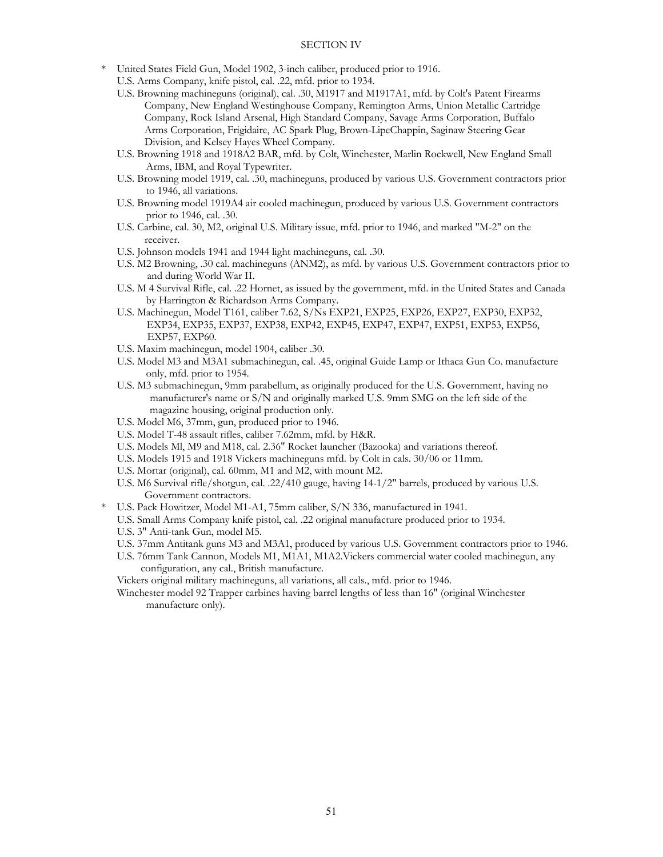- \* United States Field Gun, Model 1902, 3-inch caliber, produced prior to 1916.
	- U.S. Arms Company, knife pistol, cal. .22, mfd. prior to 1934.
	- U.S. Browning machineguns (original), cal. .30, M1917 and M1917A1, mfd. by Colt's Patent Firearms Company, New England Westinghouse Company, Remington Arms, Union Metallic Cartridge Company, Rock Island Arsenal, High Standard Company, Savage Arms Corporation, Buffalo Arms Corporation, Frigidaire, AC Spark Plug, Brown-LipeChappin, Saginaw Steering Gear Division, and Kelsey Hayes Wheel Company.
	- U.S. Browning 1918 and 1918A2 BAR, mfd. by Colt, Winchester, Marlin Rockwell, New England Small Arms, IBM, and Royal Typewriter.
	- U.S. Browning model 1919, cal. .30, machineguns, produced by various U.S. Government contractors prior to 1946, all variations.
	- U.S. Browning model 1919A4 air cooled machinegun, produced by various U.S. Government contractors prior to 1946, cal. .30.
	- U.S. Carbine, cal. 30, M2, original U.S. Military issue, mfd. prior to 1946, and marked "M-2" on the receiver.
	- U.S. Johnson models 1941 and 1944 light machineguns, cal. .30.
	- U.S. M2 Browning, .30 cal. machineguns (ANM2), as mfd. by various U.S. Government contractors prior to and during World War II.
	- U.S. M 4 Survival Rifle, cal. .22 Hornet, as issued by the government, mfd. in the United States and Canada by Harrington & Richardson Arms Company.
	- U.S. Machinegun, Model T161, caliber 7.62, S/Ns EXP21, EXP25, EXP26, EXP27, EXP30, EXP32, EXP34, EXP35, EXP37, EXP38, EXP42, EXP45, EXP47, EXP47, EXP51, EXP53, EXP56, EXP57, EXP60.
	- U.S. Maxim machinegun, model 1904, caliber .30.
	- U.S. Model M3 and M3A1 submachinegun, cal. .45, original Guide Lamp or Ithaca Gun Co. manufacture only, mfd. prior to 1954.
	- U.S. M3 submachinegun, 9mm parabellum, as originally produced for the U.S. Government, having no manufacturer's name or S/N and originally marked U.S. 9mm SMG on the left side of the magazine housing, original production only.
	- U.S. Model M6, 37mm, gun, produced prior to 1946.
	- U.S. Model T-48 assault rifles, caliber 7.62mm, mfd. by H&R.
	- U.S. Models Ml, M9 and M18, cal. 2.36" Rocket launcher (Bazooka) and variations thereof.
	- U.S. Models 1915 and 1918 Vickers machineguns mfd. by Colt in cals. 30/06 or 11mm.
	- U.S. Mortar (original), cal. 60mm, M1 and M2, with mount M2.
	- U.S. M6 Survival rifle/shotgun, cal. .22/410 gauge, having 14-1/2" barrels, produced by various U.S. Government contractors.
- \* U.S. Pack Howitzer, Model M1-A1, 75mm caliber, S/N 336, manufactured in 1941.
	- U.S. Small Arms Company knife pistol, cal. .22 original manufacture produced prior to 1934.
	- U.S. 3" Anti-tank Gun, model M5.
	- U.S. 37mm Antitank guns M3 and M3A1, produced by various U.S. Government contractors prior to 1946.
	- U.S. 76mm Tank Cannon, Models M1, M1A1, M1A2.Vickers commercial water cooled machinegun, any configuration, any cal., British manufacture.

Vickers original military machineguns, all variations, all cals., mfd. prior to 1946.

 Winchester model 92 Trapper carbines having barrel lengths of less than 16" (original Winchester manufacture only).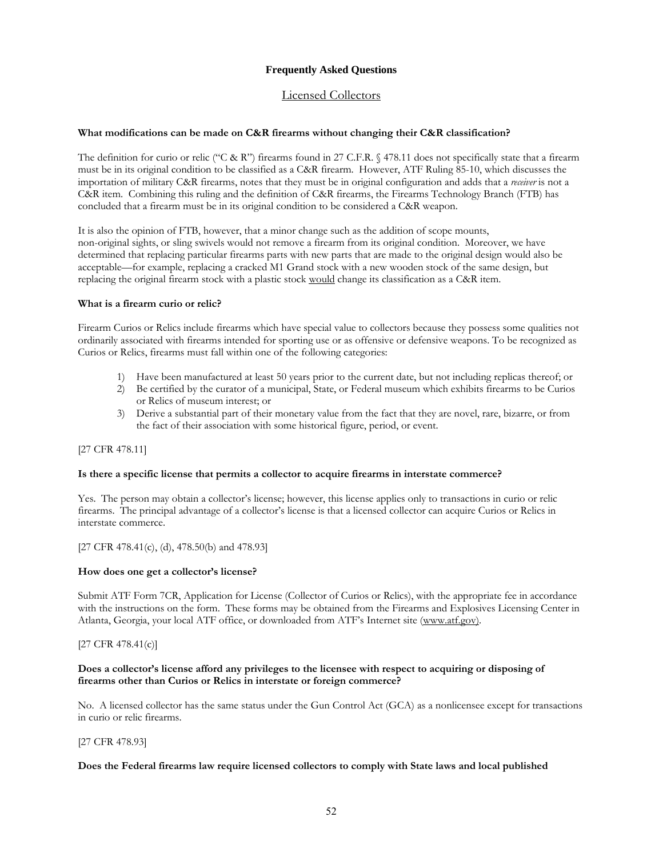## **Frequently Asked Questions**

## Licensed Collectors

## **What modifications can be made on C&R firearms without changing their C&R classification?**

The definition for curio or relic ("C & R") firearms found in 27 C.F.R.  $\frac{6478.11}{100}$  does not specifically state that a firearm must be in its original condition to be classified as a C&R firearm. However, ATF Ruling 85-10, which discusses the importation of military C&R firearms, notes that they must be in original configuration and adds that a *receiver* is not a C&R item. Combining this ruling and the definition of C&R firearms, the Firearms Technology Branch (FTB) has concluded that a firearm must be in its original condition to be considered a C&R weapon.

It is also the opinion of FTB, however, that a minor change such as the addition of scope mounts, non-original sights, or sling swivels would not remove a firearm from its original condition. Moreover, we have determined that replacing particular firearms parts with new parts that are made to the original design would also be acceptable—for example, replacing a cracked M1 Grand stock with a new wooden stock of the same design, but replacing the original firearm stock with a plastic stock would change its classification as a C&R item.

## **What is a firearm curio or relic?**

Firearm Curios or Relics include firearms which have special value to collectors because they possess some qualities not ordinarily associated with firearms intended for sporting use or as offensive or defensive weapons. To be recognized as Curios or Relics, firearms must fall within one of the following categories:

- 1) Have been manufactured at least 50 years prior to the current date, but not including replicas thereof; or
- 2) Be certified by the curator of a municipal, State, or Federal museum which exhibits firearms to be Curios or Relics of museum interest; or
- 3) Derive a substantial part of their monetary value from the fact that they are novel, rare, bizarre, or from the fact of their association with some historical figure, period, or event.

## [27 CFR 478.11]

## **Is there a specific license that permits a collector to acquire firearms in interstate commerce?**

Yes. The person may obtain a collector's license; however, this license applies only to transactions in curio or relic firearms. The principal advantage of a collector's license is that a licensed collector can acquire Curios or Relics in interstate commerce.

[27 CFR 478.41(c), (d), 478.50(b) and 478.93]

#### **How does one get a collector's license?**

Submit ATF Form 7CR, Application for License (Collector of Curios or Relics), with the appropriate fee in accordance with the instructions on the form. These forms may be obtained from the Firearms and Explosives Licensing Center in Atlanta, Georgia, your local ATF office, or downloaded from ATF's Internet site (www.atf.gov).

## [27 CFR 478.41(c)]

## **Does a collector's license afford any privileges to the licensee with respect to acquiring or disposing of firearms other than Curios or Relics in interstate or foreign commerce?**

No. A licensed collector has the same status under the Gun Control Act (GCA) as a nonlicensee except for transactions in curio or relic firearms.

## [27 CFR 478.93]

#### **Does the Federal firearms law require licensed collectors to comply with State laws and local published**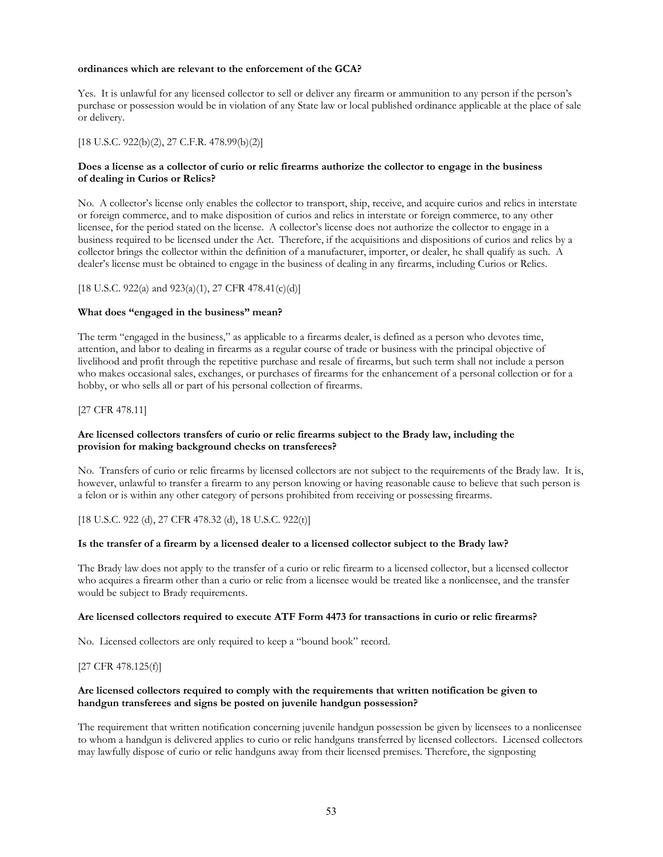## **ordinances which are relevant to the enforcement of the GCA?**

Yes. It is unlawful for any licensed collector to sell or deliver any firearm or ammunition to any person if the person's purchase or possession would be in violation of any State law or local published ordinance applicable at the place of sale or delivery.

## [18 U.S.C. 922(b)(2), 27 C.F.R. 478.99(b)(2)]

## **Does a license as a collector of curio or relic firearms authorize the collector to engage in the business of dealing in Curios or Relics?**

No. A collector's license only enables the collector to transport, ship, receive, and acquire curios and relics in interstate or foreign commerce, and to make disposition of curios and relics in interstate or foreign commerce, to any other licensee, for the period stated on the license. A collector's license does not authorize the collector to engage in a business required to be licensed under the Act. Therefore, if the acquisitions and dispositions of curios and relics by a collector brings the collector within the definition of a manufacturer, importer, or dealer, he shall qualify as such. A dealer's license must be obtained to engage in the business of dealing in any firearms, including Curios or Relics.

## [18 U.S.C. 922(a) and 923(a)(1), 27 CFR 478.41(c)(d)]

## **What does "engaged in the business" mean?**

The term "engaged in the business," as applicable to a firearms dealer, is defined as a person who devotes time, attention, and labor to dealing in firearms as a regular course of trade or business with the principal objective of livelihood and profit through the repetitive purchase and resale of firearms, but such term shall not include a person who makes occasional sales, exchanges, or purchases of firearms for the enhancement of a personal collection or for a hobby, or who sells all or part of his personal collection of firearms.

## [27 CFR 478.11]

## **Are licensed collectors transfers of curio or relic firearms subject to the Brady law, including the provision for making background checks on transferees?**

No. Transfers of curio or relic firearms by licensed collectors are not subject to the requirements of the Brady law. It is, however, unlawful to transfer a firearm to any person knowing or having reasonable cause to believe that such person is a felon or is within any other category of persons prohibited from receiving or possessing firearms.

[18 U.S.C. 922 (d), 27 CFR 478.32 (d), 18 U.S.C. 922(t)]

## **Is the transfer of a firearm by a licensed dealer to a licensed collector subject to the Brady law?**

The Brady law does not apply to the transfer of a curio or relic firearm to a licensed collector, but a licensed collector who acquires a firearm other than a curio or relic from a licensee would be treated like a nonlicensee, and the transfer would be subject to Brady requirements.

## **Are licensed collectors required to execute ATF Form 4473 for transactions in curio or relic firearms?**

No. Licensed collectors are only required to keep a "bound book" record.

## [27 CFR 478.125(f)]

## **Are licensed collectors required to comply with the requirements that written notification be given to handgun transferees and signs be posted on juvenile handgun possession?**

The requirement that written notification concerning juvenile handgun possession be given by licensees to a nonlicensee to whom a handgun is delivered applies to curio or relic handguns transferred by licensed collectors. Licensed collectors may lawfully dispose of curio or relic handguns away from their licensed premises. Therefore, the signposting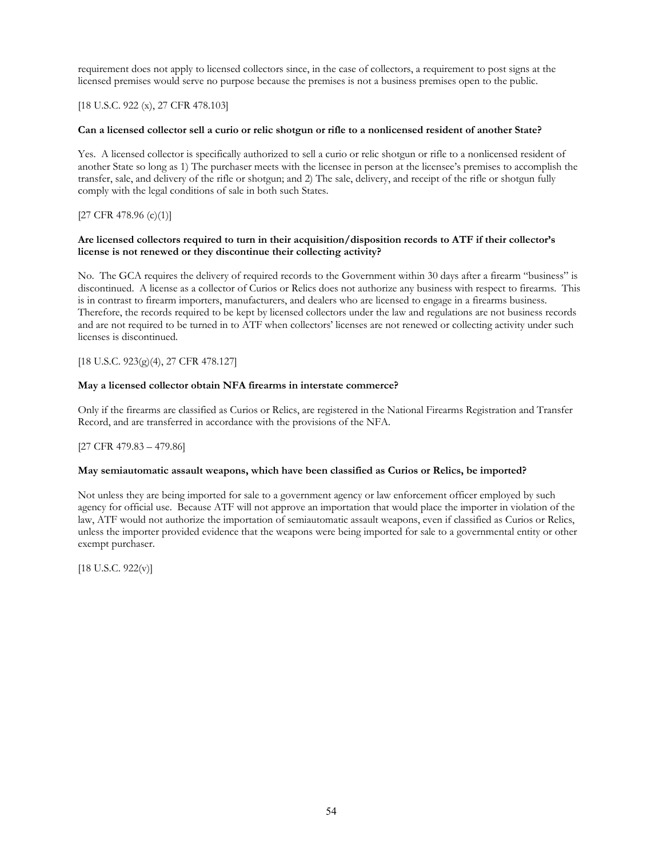requirement does not apply to licensed collectors since, in the case of collectors, a requirement to post signs at the licensed premises would serve no purpose because the premises is not a business premises open to the public.

## [18 U.S.C. 922 (x), 27 CFR 478.103]

## **Can a licensed collector sell a curio or relic shotgun or rifle to a nonlicensed resident of another State?**

Yes. A licensed collector is specifically authorized to sell a curio or relic shotgun or rifle to a nonlicensed resident of another State so long as 1) The purchaser meets with the licensee in person at the licensee's premises to accomplish the transfer, sale, and delivery of the rifle or shotgun; and 2) The sale, delivery, and receipt of the rifle or shotgun fully comply with the legal conditions of sale in both such States.

## $[27 \text{ CFR } 478.96 \text{ (c)}(1)]$

## **Are licensed collectors required to turn in their acquisition/disposition records to ATF if their collector's license is not renewed or they discontinue their collecting activity?**

No. The GCA requires the delivery of required records to the Government within 30 days after a firearm "business" is discontinued. A license as a collector of Curios or Relics does not authorize any business with respect to firearms. This is in contrast to firearm importers, manufacturers, and dealers who are licensed to engage in a firearms business. Therefore, the records required to be kept by licensed collectors under the law and regulations are not business records and are not required to be turned in to ATF when collectors' licenses are not renewed or collecting activity under such licenses is discontinued.

## [18 U.S.C. 923(g)(4), 27 CFR 478.127]

## **May a licensed collector obtain NFA firearms in interstate commerce?**

Only if the firearms are classified as Curios or Relics, are registered in the National Firearms Registration and Transfer Record, and are transferred in accordance with the provisions of the NFA.

## [27 CFR 479.83 – 479.86]

## **May semiautomatic assault weapons, which have been classified as Curios or Relics, be imported?**

Not unless they are being imported for sale to a government agency or law enforcement officer employed by such agency for official use. Because ATF will not approve an importation that would place the importer in violation of the law, ATF would not authorize the importation of semiautomatic assault weapons, even if classified as Curios or Relics, unless the importer provided evidence that the weapons were being imported for sale to a governmental entity or other exempt purchaser.

 $[18$  U.S.C.  $922(v)]$